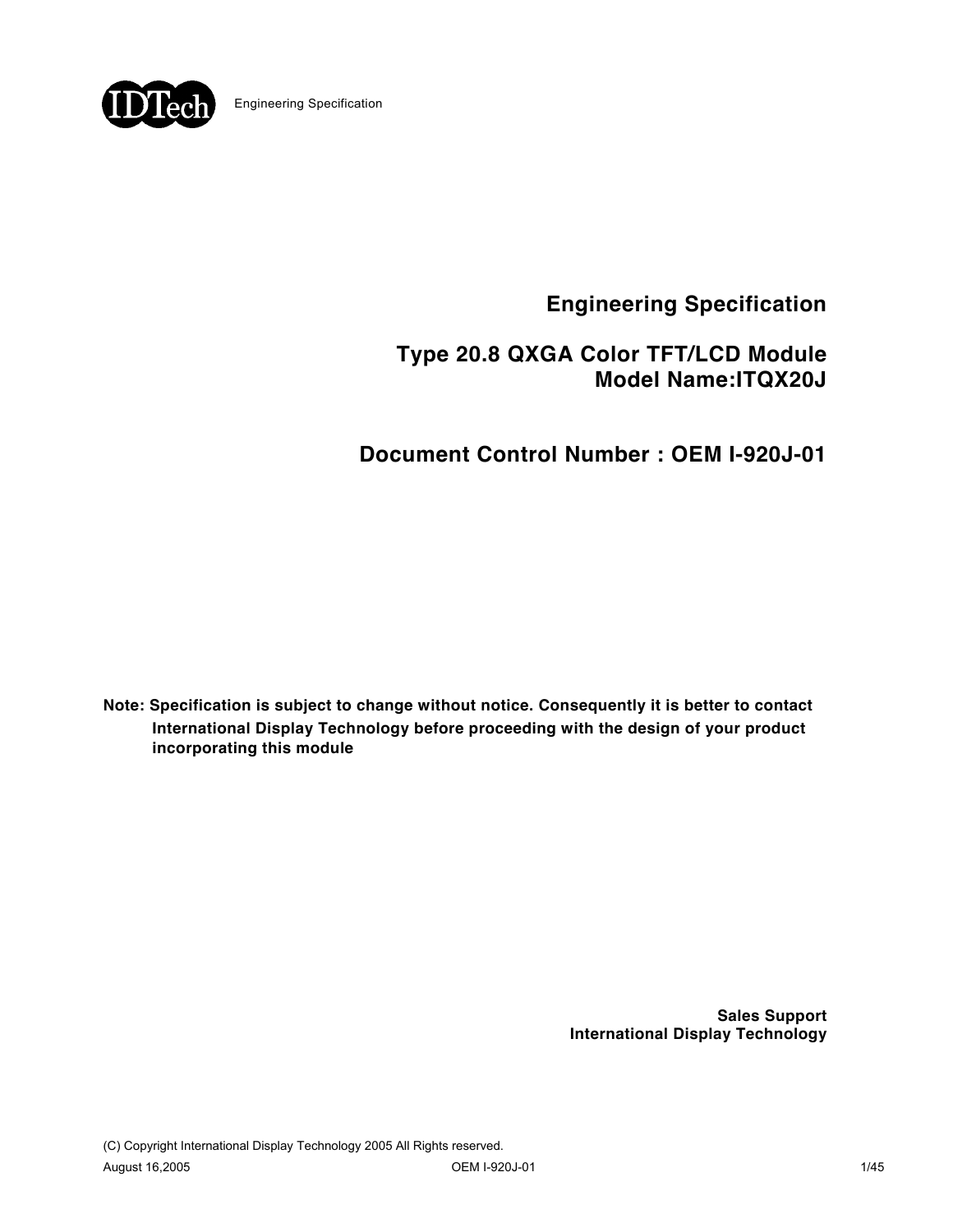

# **Type 20.8 QXGA Color TFT/LCD Module Model Name:ITQX20J**

**Document Control Number : OEM I-920J-01** 

**Note: Specification is subject to change without notice. Consequently it is better to contact International Display Technology before proceeding with the design of your product incorporating this module**

> **Sales Support International Display Technology**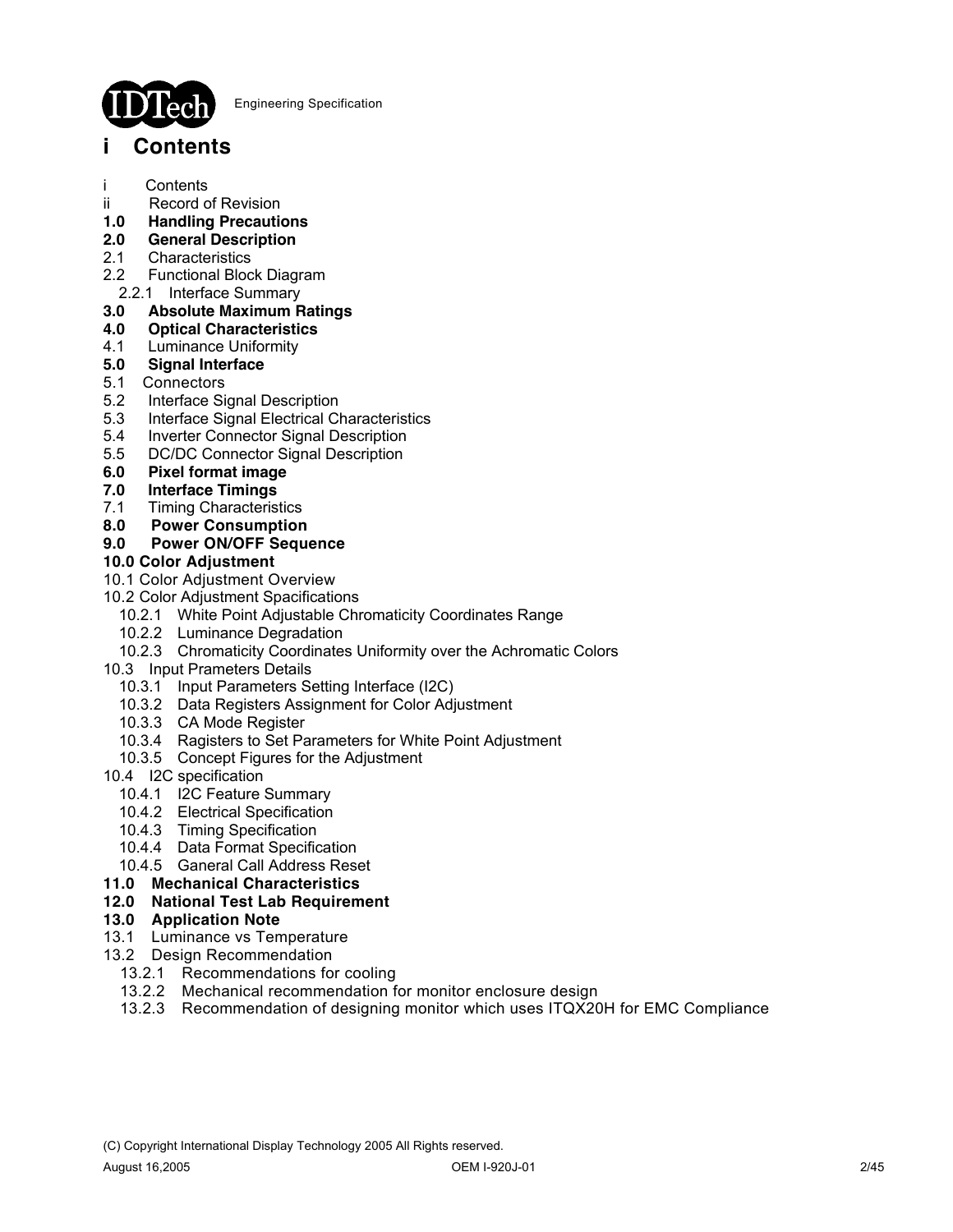

# **i Contents**

- i Contents
- ii Record of Revision
- **1.0 Handling Precautions**
- **2.0 General Description**
- **Characteristics**
- 2.2 Functional Block Diagram
- 2.2.1 Interface Summary

## **3.0 Absolute Maximum Ratings**

- **4.0 Optical Characteristics**
- 4.1 Luminance Uniformity
- **5.0 Signal Interface**
- 5.1 Connectors
- 5.2 Interface Signal Description
- 5.3 Interface Signal Electrical Characteristics
- 5.4 Inverter Connector Signal Description
- 5.5 DC/DC Connector Signal Description
- **6.0 Pixel format image**
- **7.0 Interface Timings**
- 7.1 Timing Characteristics
- **8.0 Power Consumption**

### **9.0 Power ON/OFF Sequence**

### **10.0 Color Adjustment**

- 10.1 Color Adjustment Overview
- 10.2 Color Adjustment Spacifications
	- 10.2.1 White Point Adjustable Chromaticity Coordinates Range
	- 10.2.2 Luminance Degradation
	- 10.2.3 Chromaticity Coordinates Uniformity over the Achromatic Colors
- 10.3 Input Prameters Details
	- 10.3.1 Input Parameters Setting Interface (I2C)
	- 10.3.2 Data Registers Assignment for Color Adjustment
	- 10.3.3 CA Mode Register
	- 10.3.4 Ragisters to Set Parameters for White Point Adjustment
	- 10.3.5 Concept Figures for the Adjustment
- 10.4 I2C specification
	- 10.4.1 I2C Feature Summary
- 10.4.2 Electrical Specification
- 10.4.3 Timing Specification
	- 10.4.4 Data Format Specification
	- 10.4.5 Ganeral Call Address Reset
- **11.0 Mechanical Characteristics**

### **12.0 National Test Lab Requirement**

### **13.0 Application Note**

- 13.1 Luminance vs Temperature
- 13.2 Design Recommendation
	- 13.2.1 Recommendations for cooling
	- 13.2.2 Mechanical recommendation for monitor enclosure design
	- 13.2.3 Recommendation of designing monitor which uses ITQX20H for EMC Compliance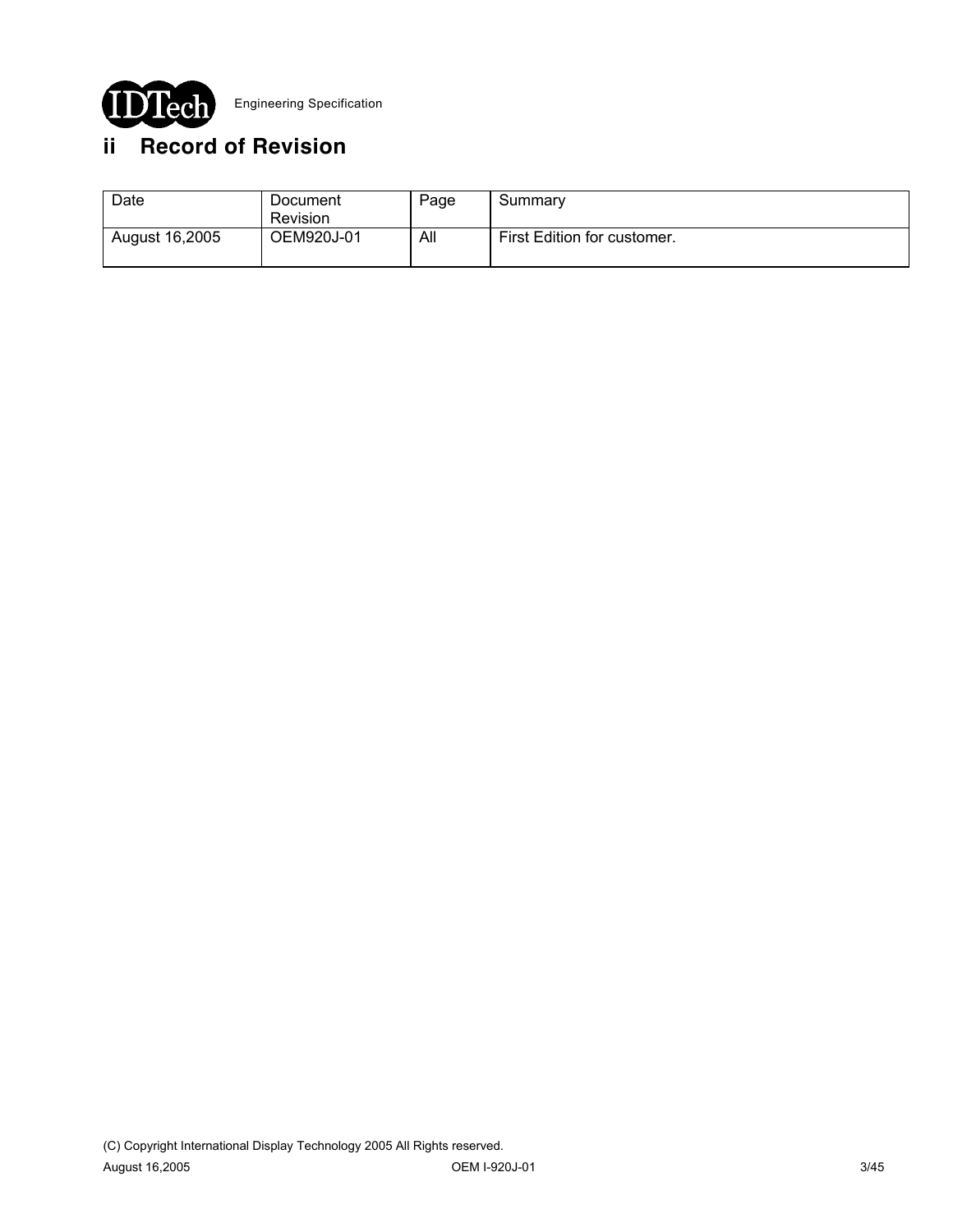

# **ii Record of Revision**

| Date           | Document<br>Revision | Page | Summary                     |
|----------------|----------------------|------|-----------------------------|
| August 16,2005 | OEM920J-01           | All  | First Edition for customer. |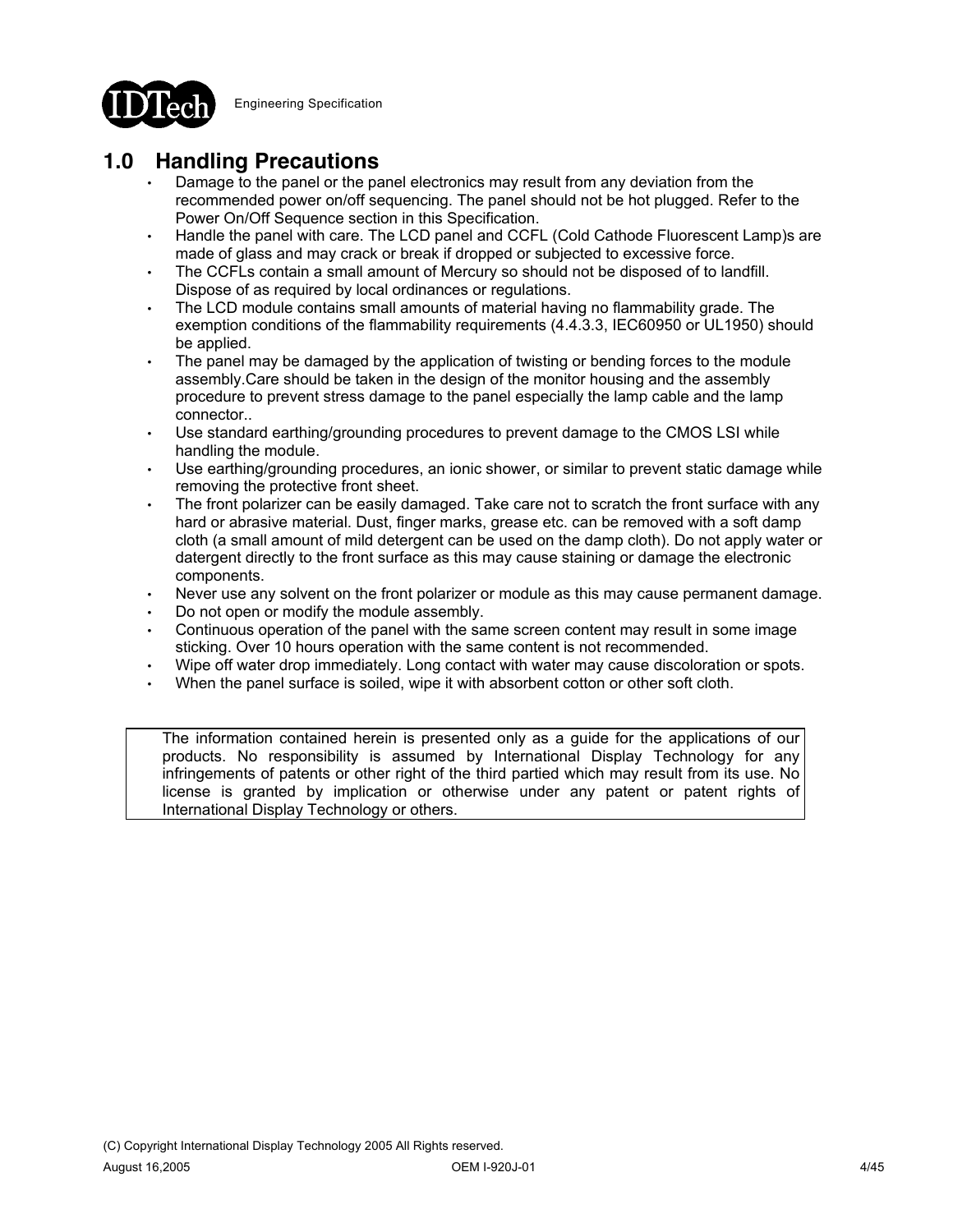

# **1.0 Handling Precautions**

- Damage to the panel or the panel electronics may result from any deviation from the recommended power on/off sequencing. The panel should not be hot plugged. Refer to the Power On/Off Sequence section in this Specification.
- Handle the panel with care. The LCD panel and CCFL (Cold Cathode Fluorescent Lamp)s are made of glass and may crack or break if dropped or subjected to excessive force.
- The CCFLs contain a small amount of Mercury so should not be disposed of to landfill. Dispose of as required by local ordinances or regulations.
- The LCD module contains small amounts of material having no flammability grade. The exemption conditions of the flammability requirements (4.4.3.3, IEC60950 or UL1950) should be applied.
- The panel may be damaged by the application of twisting or bending forces to the module assembly.Care should be taken in the design of the monitor housing and the assembly procedure to prevent stress damage to the panel especially the lamp cable and the lamp connector..
- Use standard earthing/grounding procedures to prevent damage to the CMOS LSI while handling the module.
- Use earthing/grounding procedures, an ionic shower, or similar to prevent static damage while removing the protective front sheet.
- The front polarizer can be easily damaged. Take care not to scratch the front surface with any hard or abrasive material. Dust, finger marks, grease etc. can be removed with a soft damp cloth (a small amount of mild detergent can be used on the damp cloth). Do not apply water or datergent directly to the front surface as this may cause staining or damage the electronic components.
- Never use any solvent on the front polarizer or module as this may cause permanent damage.
- Do not open or modify the module assembly.
- Continuous operation of the panel with the same screen content may result in some image sticking. Over 10 hours operation with the same content is not recommended.
- Wipe off water drop immediately. Long contact with water may cause discoloration or spots.
- When the panel surface is soiled, wipe it with absorbent cotton or other soft cloth.

The information contained herein is presented only as a guide for the applications of our products. No responsibility is assumed by International Display Technology for any infringements of patents or other right of the third partied which may result from its use. No license is granted by implication or otherwise under any patent or patent rights of International Display Technology or others.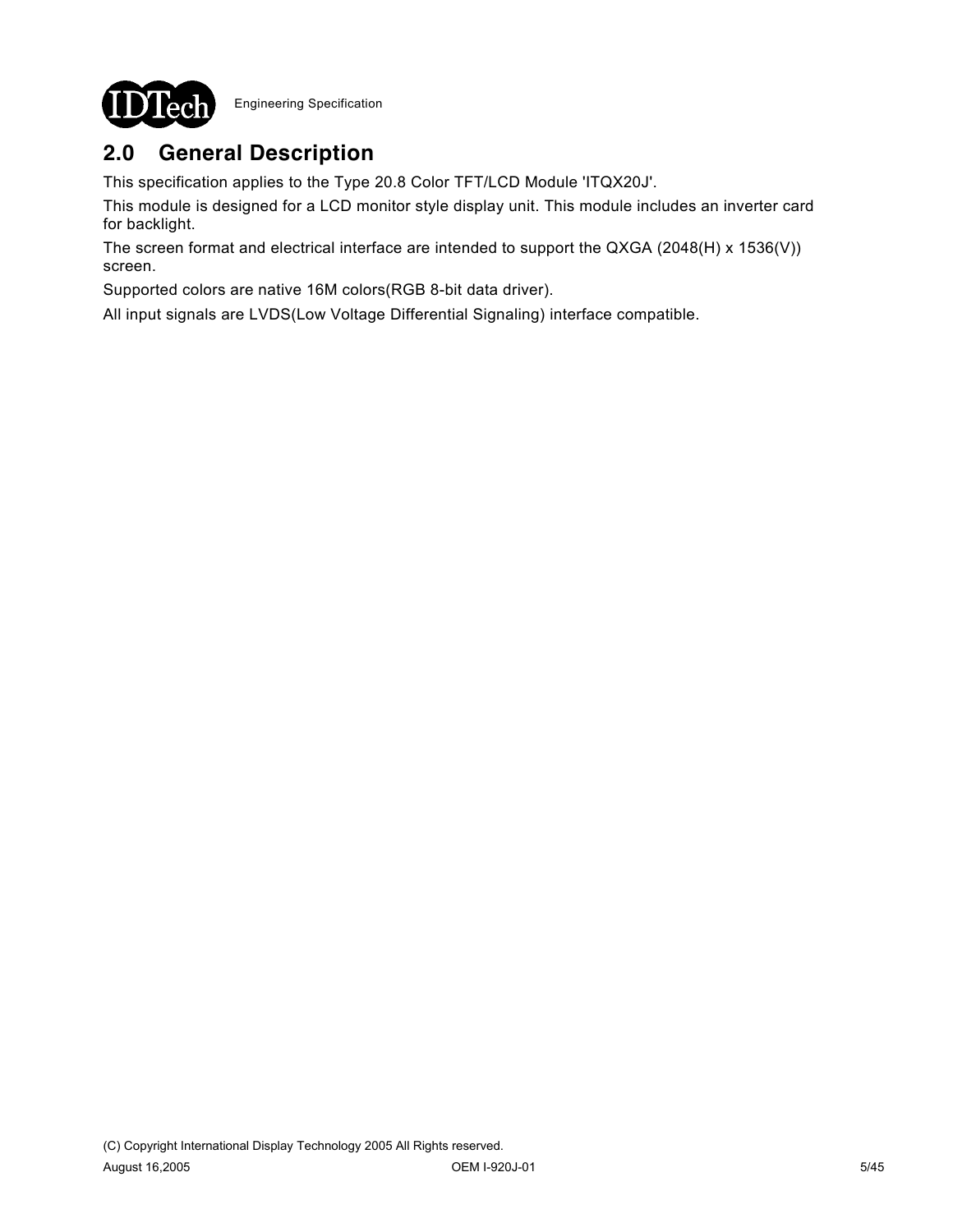

# **2.0 General Description**

This specification applies to the Type 20.8 Color TFT/LCD Module 'ITQX20J'.

This module is designed for a LCD monitor style display unit. This module includes an inverter card for backlight.

The screen format and electrical interface are intended to support the QXGA (2048(H) x 1536(V)) screen.

Supported colors are native 16M colors(RGB 8-bit data driver).

All input signals are LVDS(Low Voltage Differential Signaling) interface compatible.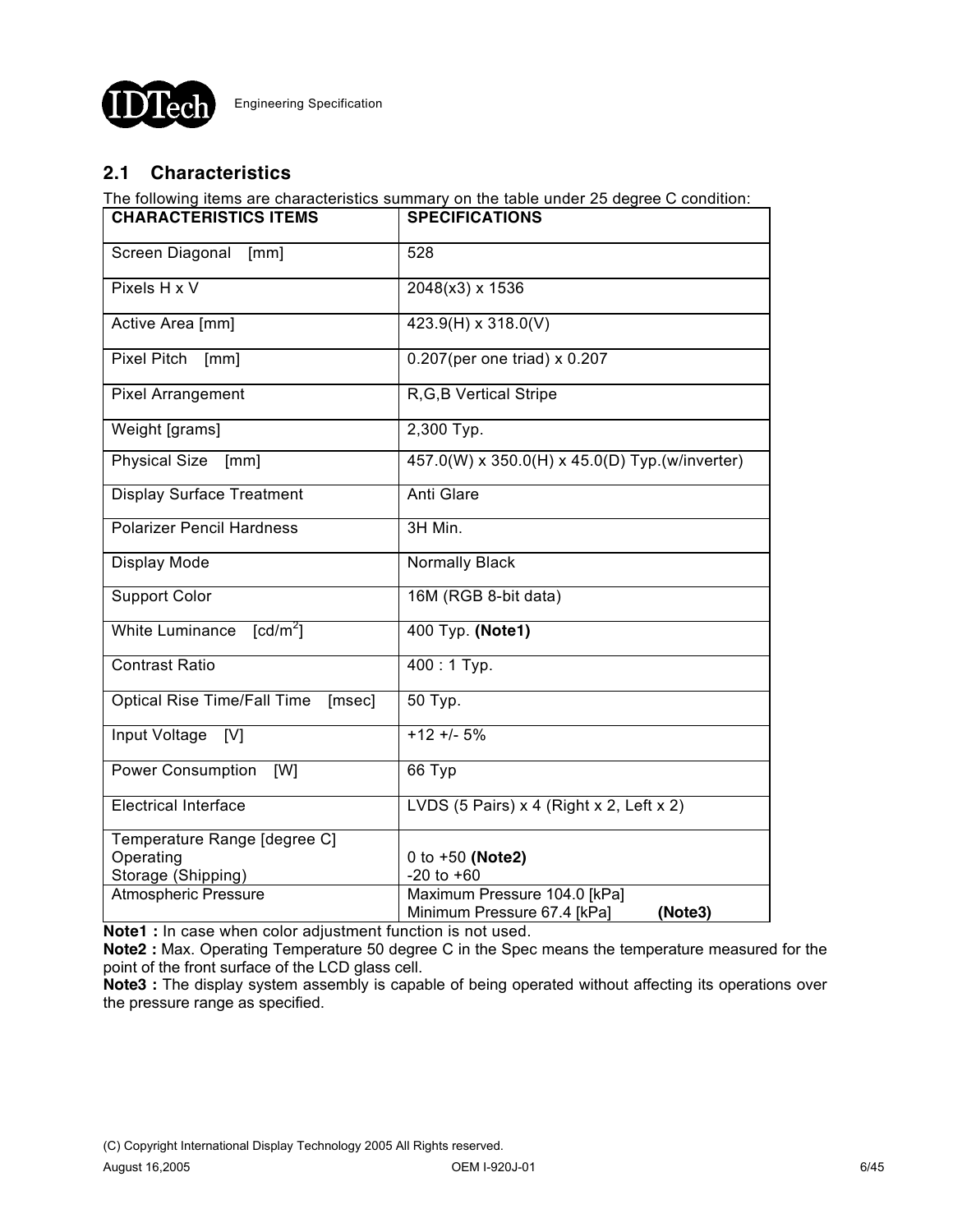

# **2.1 Characteristics**

The following items are characteristics summary on the table under 25 degree C condition:

| <b>CHARACTERISTICS ITEMS</b>              | <b>SPECIFICATIONS</b>                                                  |  |  |
|-------------------------------------------|------------------------------------------------------------------------|--|--|
| Screen Diagonal<br>[mm]                   | 528                                                                    |  |  |
| Pixels H x V                              | 2048(x3) x 1536                                                        |  |  |
| Active Area [mm]                          | 423.9(H) x 318.0(V)                                                    |  |  |
| Pixel Pitch<br>[mm]                       | 0.207(per one triad) x 0.207                                           |  |  |
| <b>Pixel Arrangement</b>                  | R, G, B Vertical Stripe                                                |  |  |
| Weight [grams]                            | 2,300 Typ.                                                             |  |  |
| <b>Physical Size</b><br>[mm]              | 457.0(W) x 350.0(H) x 45.0(D) Typ.(w/inverter)                         |  |  |
| <b>Display Surface Treatment</b>          | Anti Glare                                                             |  |  |
| <b>Polarizer Pencil Hardness</b>          | 3H Min.                                                                |  |  |
| Display Mode                              | <b>Normally Black</b>                                                  |  |  |
| <b>Support Color</b>                      | 16M (RGB 8-bit data)                                                   |  |  |
| White Luminance<br>[cd/m <sup>2</sup> ]   | 400 Typ. (Note1)                                                       |  |  |
| <b>Contrast Ratio</b>                     | $400:1$ Typ.                                                           |  |  |
| Optical Rise Time/Fall Time<br>[msec]     | 50 Typ.                                                                |  |  |
| Input Voltage<br>[V]                      | $+12 + 5%$                                                             |  |  |
| Power Consumption<br>[W]                  | 66 Typ                                                                 |  |  |
| <b>Electrical Interface</b>               | LVDS (5 Pairs) $x$ 4 (Right $x$ 2, Left $x$ 2)                         |  |  |
| Temperature Range [degree C]<br>Operating | 0 to +50 (Note2)                                                       |  |  |
| Storage (Shipping)                        | $-20$ to $+60$                                                         |  |  |
| <b>Atmospheric Pressure</b>               | Maximum Pressure 104.0 [kPa]<br>(Note3)<br>Minimum Pressure 67.4 [kPa] |  |  |

**Note1 :** In case when color adjustment function is not used.

**Note2 :** Max. Operating Temperature 50 degree C in the Spec means the temperature measured for the point of the front surface of the LCD glass cell.

**Note3 :** The display system assembly is capable of being operated without affecting its operations over the pressure range as specified.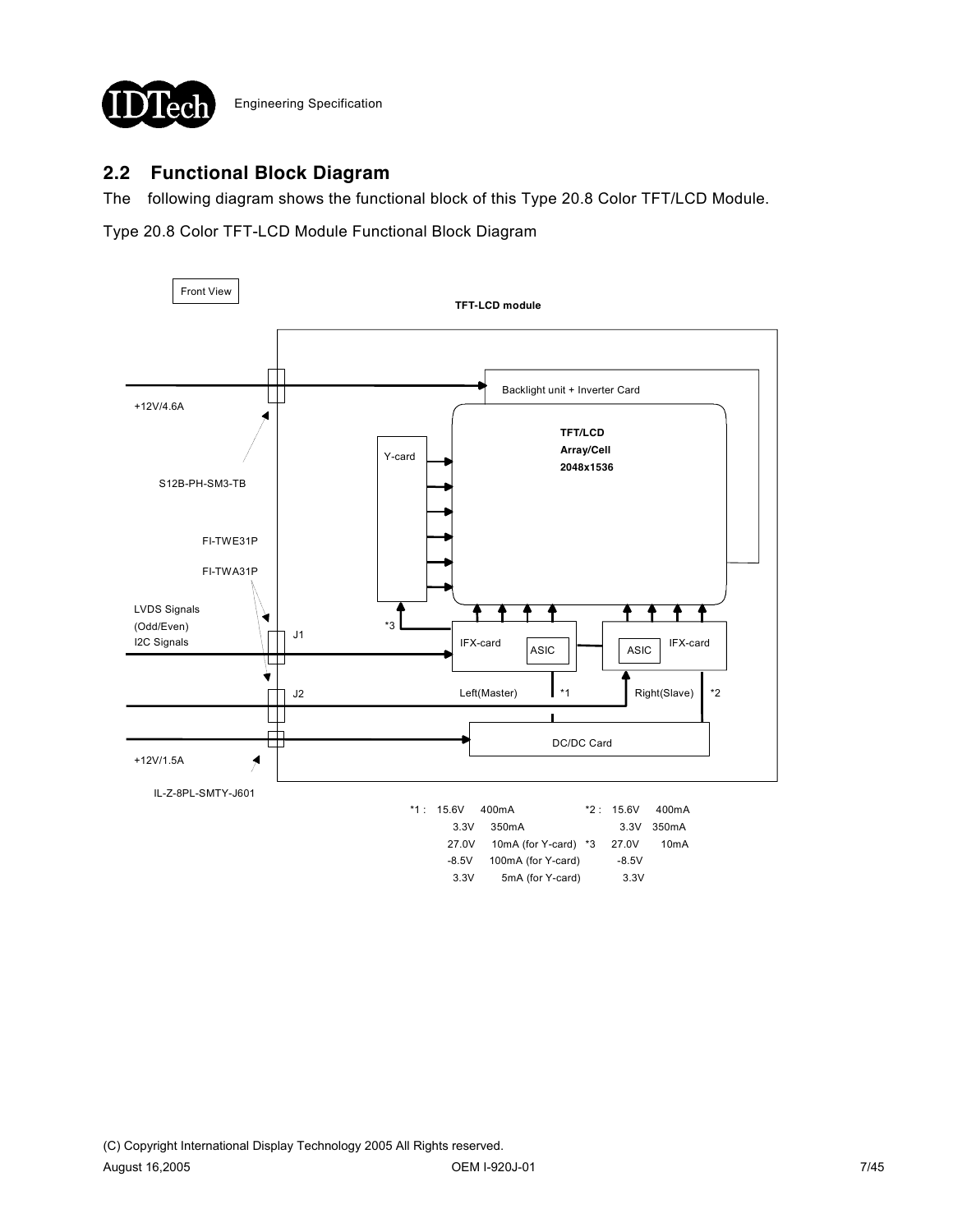

## **2.2 Functional Block Diagram**

The following diagram shows the functional block of this Type 20.8 Color TFT/LCD Module.

Type 20.8 Color TFT-LCD Module Functional Block Diagram

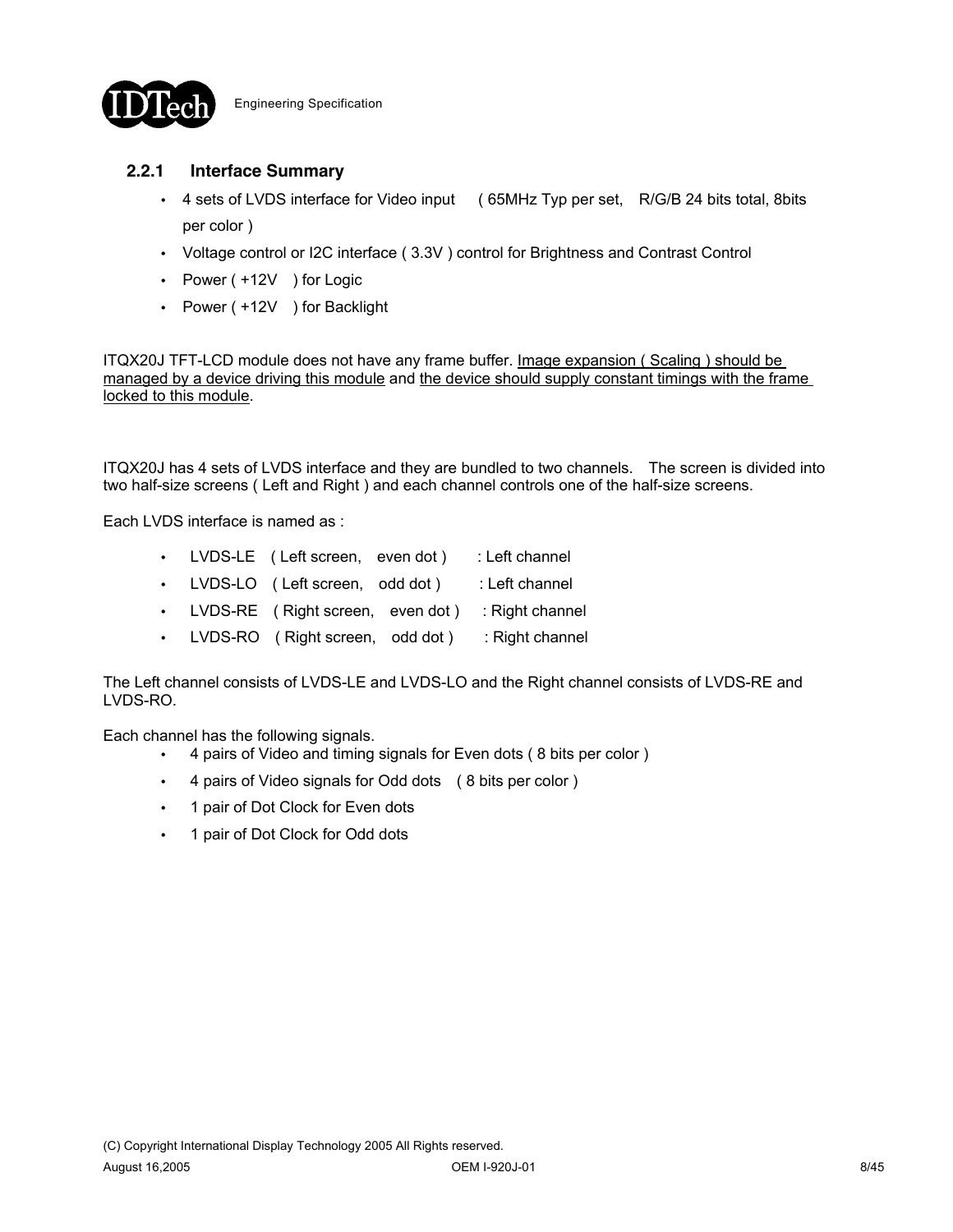

## **2.2.1 Interface Summary**

- 4 sets of LVDS interface for Video input (65MHz Typ per set, R/G/B 24 bits total, 8bits per color )
- Voltage control or I2C interface (3.3V) control for Brightness and Contrast Control
- Power ( +12V ) for Logic
- Power ( +12V ) for Backlight

ITQX20J TFT-LCD module does not have any frame buffer. Image expansion ( Scaling ) should be managed by a device driving this module and the device should supply constant timings with the frame locked to this module.

ITQX20J has 4 sets of LVDS interface and they are bundled to two channels. The screen is divided into two half-size screens ( Left and Right ) and each channel controls one of the half-size screens.

Each LVDS interface is named as :

- LVDS-LE ( Left screen, even dot ) : Left channel
- LVDS-LO ( Left screen, odd dot ) : Left channel
- LVDS-RE ( Right screen, even dot ) : Right channel
- LVDS-RO ( Right screen, odd dot ) : Right channel

The Left channel consists of LVDS-LE and LVDS-LO and the Right channel consists of LVDS-RE and LVDS-RO.

Each channel has the following signals.

- 4 pairs of Video and timing signals for Even dots (8 bits per color)
- 4 pairs of Video signals for Odd dots (8 bits per color)
- 1 pair of Dot Clock for Even dots
- 1 pair of Dot Clock for Odd dots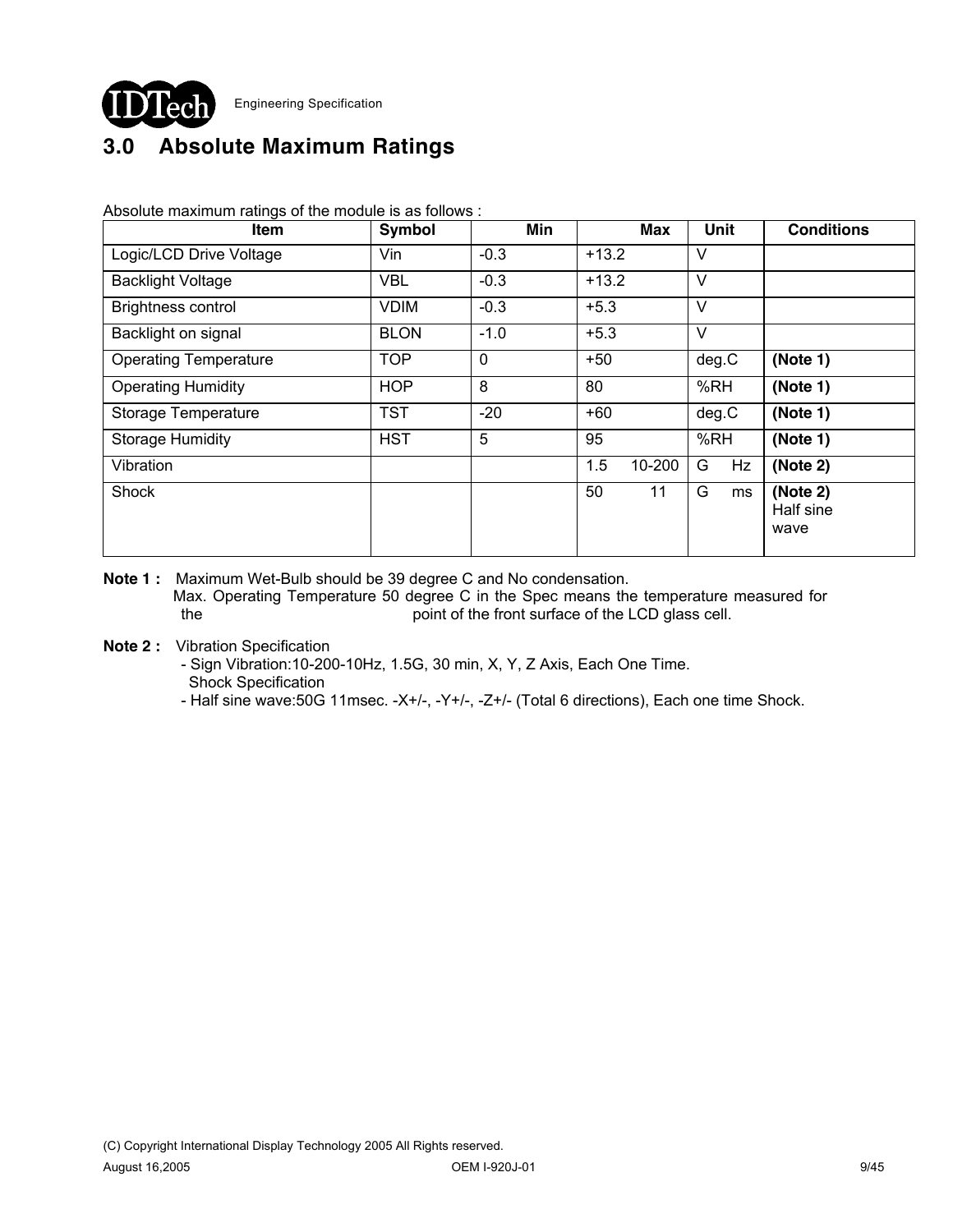

# **3.0 Absolute Maximum Ratings**

Absolute maximum ratings of the module is as follows :

| Item                         | Symbol      | Min    | <b>Max</b>    | Unit    | <b>Conditions</b>             |
|------------------------------|-------------|--------|---------------|---------|-------------------------------|
| Logic/LCD Drive Voltage      | Vin         | $-0.3$ | $+13.2$       | V       |                               |
| <b>Backlight Voltage</b>     | <b>VBL</b>  | $-0.3$ | $+13.2$       | $\vee$  |                               |
| <b>Brightness control</b>    | <b>VDIM</b> | $-0.3$ | $+5.3$        | V       |                               |
| Backlight on signal          | <b>BLON</b> | $-1.0$ | $+5.3$        | V       |                               |
| <b>Operating Temperature</b> | <b>TOP</b>  | 0      | $+50$         | deg.C   | (Note 1)                      |
| <b>Operating Humidity</b>    | <b>HOP</b>  | 8      | 80            | %RH     | (Note 1)                      |
| Storage Temperature          | <b>TST</b>  | $-20$  | $+60$         | deg.C   | (Note 1)                      |
| <b>Storage Humidity</b>      | <b>HST</b>  | 5      | 95            | %RH     | (Note 1)                      |
| Vibration                    |             |        | 1.5<br>10-200 | G<br>Hz | (Note 2)                      |
| Shock                        |             |        | 11<br>50      | G<br>ms | (Note 2)<br>Half sine<br>wave |

- **Note 1 :** Maximum Wet-Bulb should be 39 degree C and No condensation. Max. Operating Temperature 50 degree C in the Spec means the temperature measured for the point of the front surface of the LCD glass cell.
- **Note 2 :** Vibration Specification

 - Sign Vibration:10-200-10Hz, 1.5G, 30 min, X, Y, Z Axis, Each One Time. Shock Specification

- Half sine wave:50G 11msec. -X+/-, -Y+/-, -Z+/- (Total 6 directions), Each one time Shock.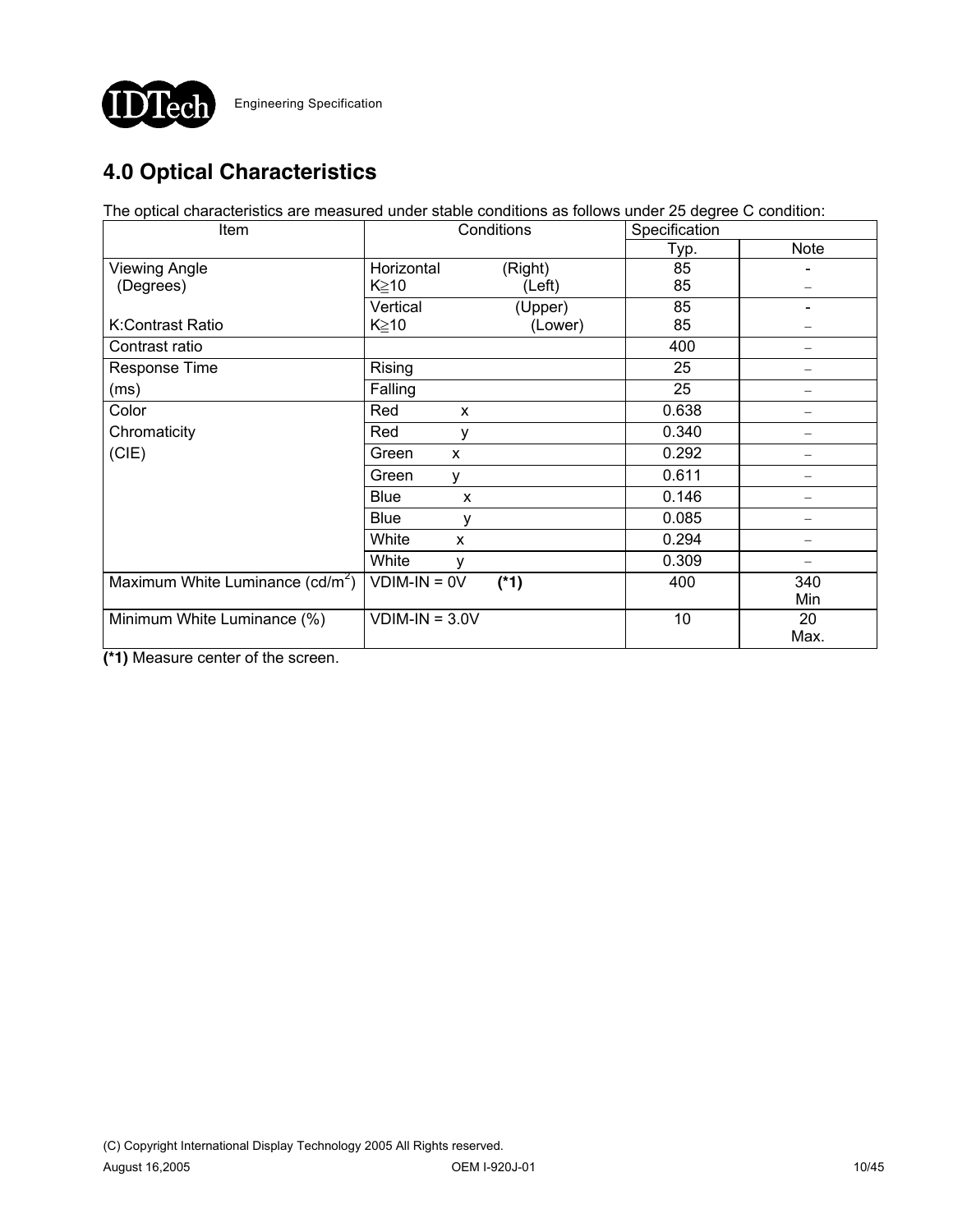

# **4.0 Optical Characteristics**

The optical characteristics are measured under stable conditions as follows under 25 degree C condition:

| Item                                         | Conditions       |         | Specification |             |
|----------------------------------------------|------------------|---------|---------------|-------------|
|                                              |                  |         | Typ.          | <b>Note</b> |
| <b>Viewing Angle</b>                         | Horizontal       | (Right) | 85            |             |
| (Degrees)                                    | $K \geq 10$      | (Left)  | 85            |             |
|                                              | Vertical         | (Upper) | 85            |             |
| K:Contrast Ratio                             | $K \geq 10$      | (Lower) | 85            |             |
| Contrast ratio                               |                  |         | 400           |             |
| Response Time                                | Rising           |         | 25            |             |
| (ms)                                         | Falling          |         | 25            |             |
| Color                                        | Red<br>X         |         | 0.638         |             |
| Chromaticity                                 | Red<br>٧         |         | 0.340         |             |
| (CIE)                                        | Green<br>X       |         | 0.292         |             |
|                                              | Green<br>٧       |         | 0.611         |             |
|                                              | <b>Blue</b><br>X |         | 0.146         |             |
|                                              | <b>Blue</b><br>٧ |         | 0.085         |             |
|                                              | White<br>X       |         | 0.294         |             |
|                                              | White<br>y       |         | 0.309         |             |
| Maximum White Luminance (cd/m <sup>2</sup> ) | $VDIM-IN = OV$   | $(*1)$  | 400           | 340         |
|                                              |                  |         |               | Min         |
| Minimum White Luminance (%)                  | $VDIM-IN = 3.0V$ |         | 10            | 20          |
|                                              |                  |         |               | Max.        |

**(\*1)** Measure center of the screen.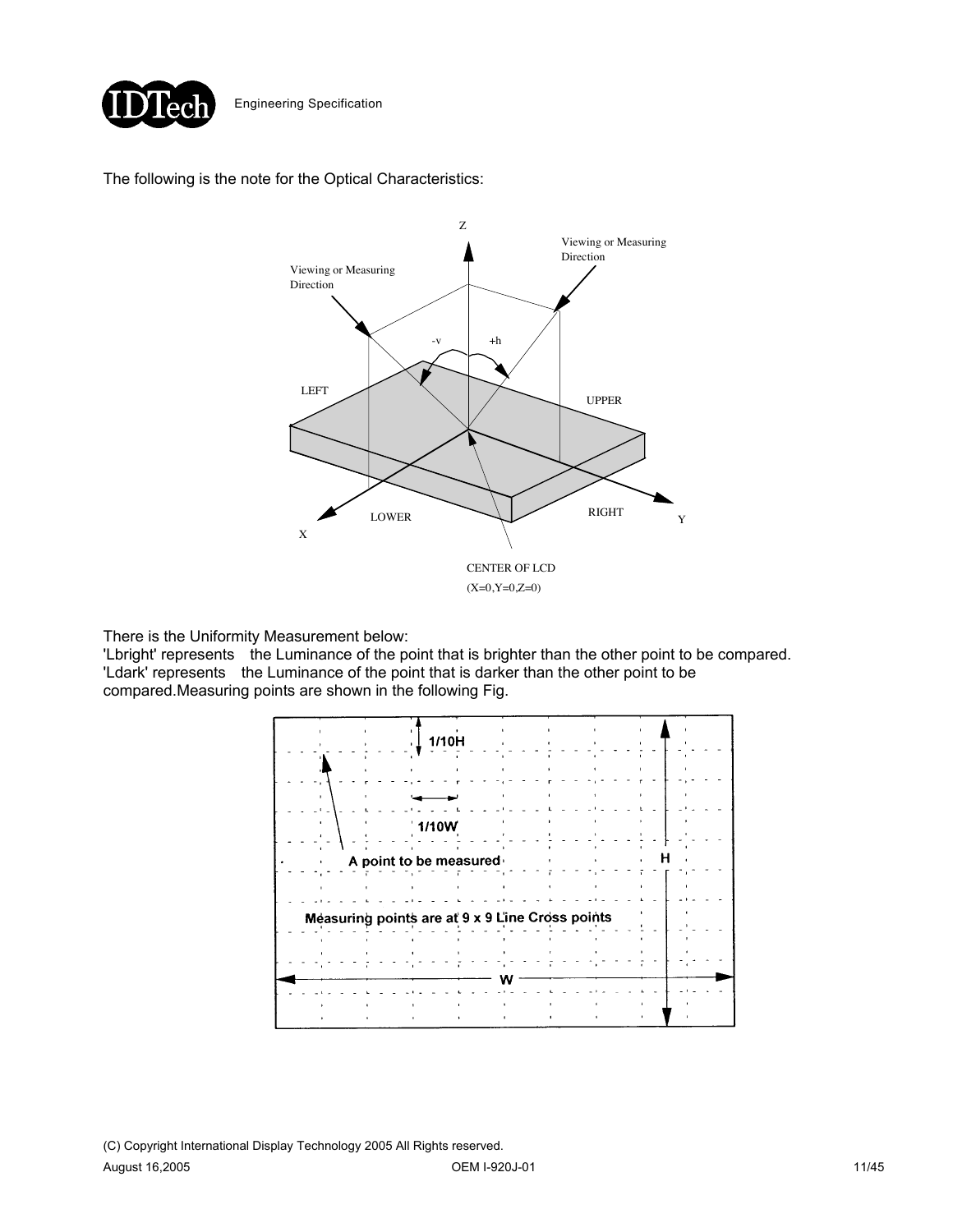

### The following is the note for the Optical Characteristics:



There is the Uniformity Measurement below:

'Lbright' represents the Luminance of the point that is brighter than the other point to be compared. 'Ldark' represents the Luminance of the point that is darker than the other point to be compared.Measuring points are shown in the following Fig.

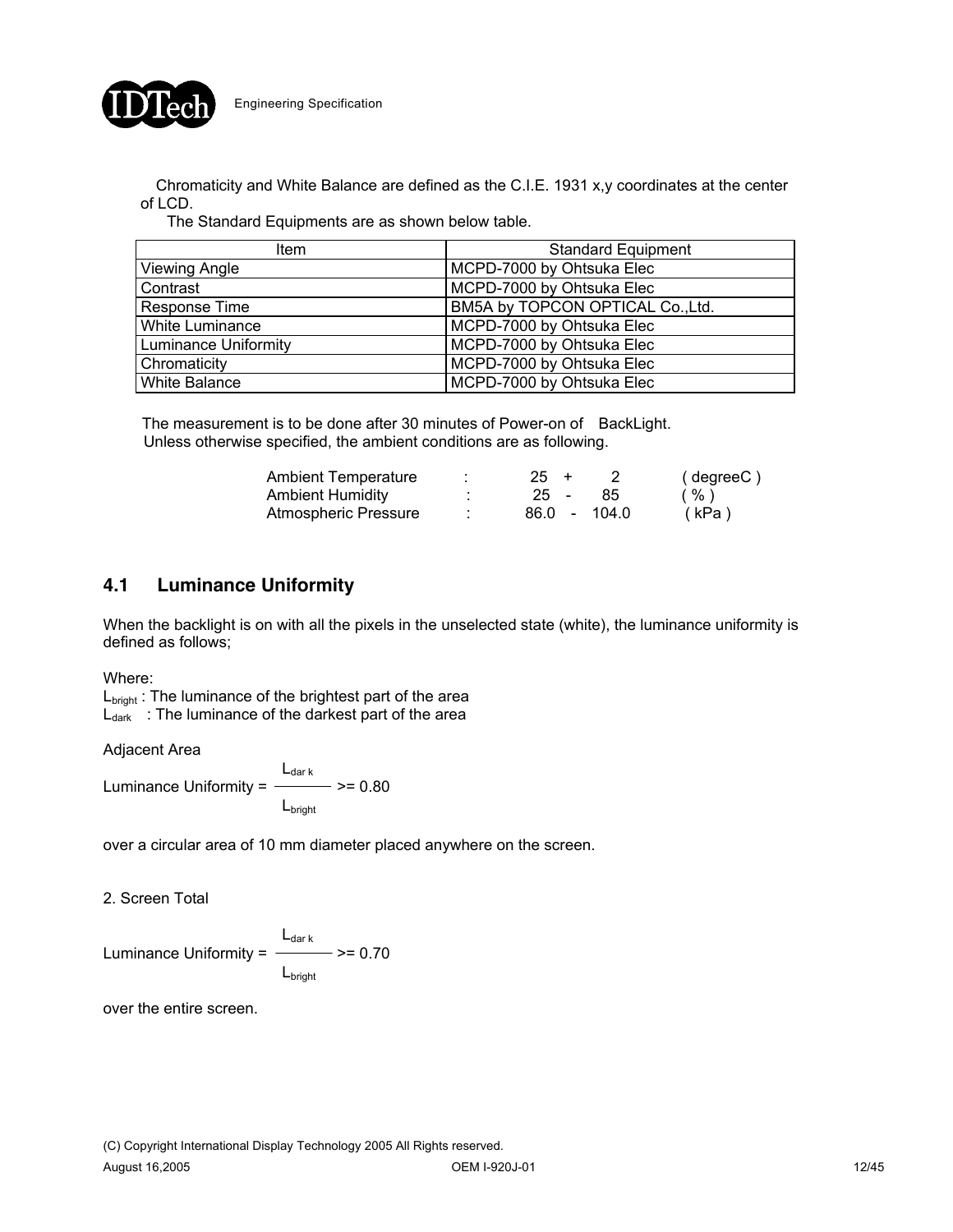

Chromaticity and White Balance are defined as the C.I.E. 1931 x,y coordinates at the center of LCD.

The Standard Equipments are as shown below table.

| <b>Item</b>                 | <b>Standard Equipment</b>        |
|-----------------------------|----------------------------------|
| Viewing Angle               | MCPD-7000 by Ohtsuka Elec        |
| Contrast                    | MCPD-7000 by Ohtsuka Elec        |
| Response Time               | BM5A by TOPCON OPTICAL Co., Ltd. |
| White Luminance             | MCPD-7000 by Ohtsuka Elec        |
| <b>Luminance Uniformity</b> | MCPD-7000 by Ohtsuka Elec        |
| Chromaticity                | MCPD-7000 by Ohtsuka Elec        |
| <b>White Balance</b>        | MCPD-7000 by Ohtsuka Elec        |

The measurement is to be done after 30 minutes of Power-on of BackLight. Unless otherwise specified, the ambient conditions are as following.

| <b>Ambient Temperature</b> | $25 +$       | (degreeC) |
|----------------------------|--------------|-----------|
| <b>Ambient Humidity</b>    | $25 -$<br>85 | %)        |
| Atmospheric Pressure       | 86.0 - 104.0 | (kPa)     |

## **4.1 Luminance Uniformity**

When the backlight is on with all the pixels in the unselected state (white), the luminance uniformity is defined as follows;

#### Where:

L<sub>bright</sub>: The luminance of the brightest part of the area  $L_{dark}$  : The luminance of the darkest part of the area

Adjacent Area

 $\frac{L_{\text{dark}}}{L_{\text{max}}}$  >= 0.80 Luminance Uniformity =  $-$ Lbright

over a circular area of 10 mm diameter placed anywhere on the screen.

2. Screen Total

 $L_{\text{dark}}$  >= 0.70 Luminance Uniformity  $=$ L<sub>bright</sub>

over the entire screen.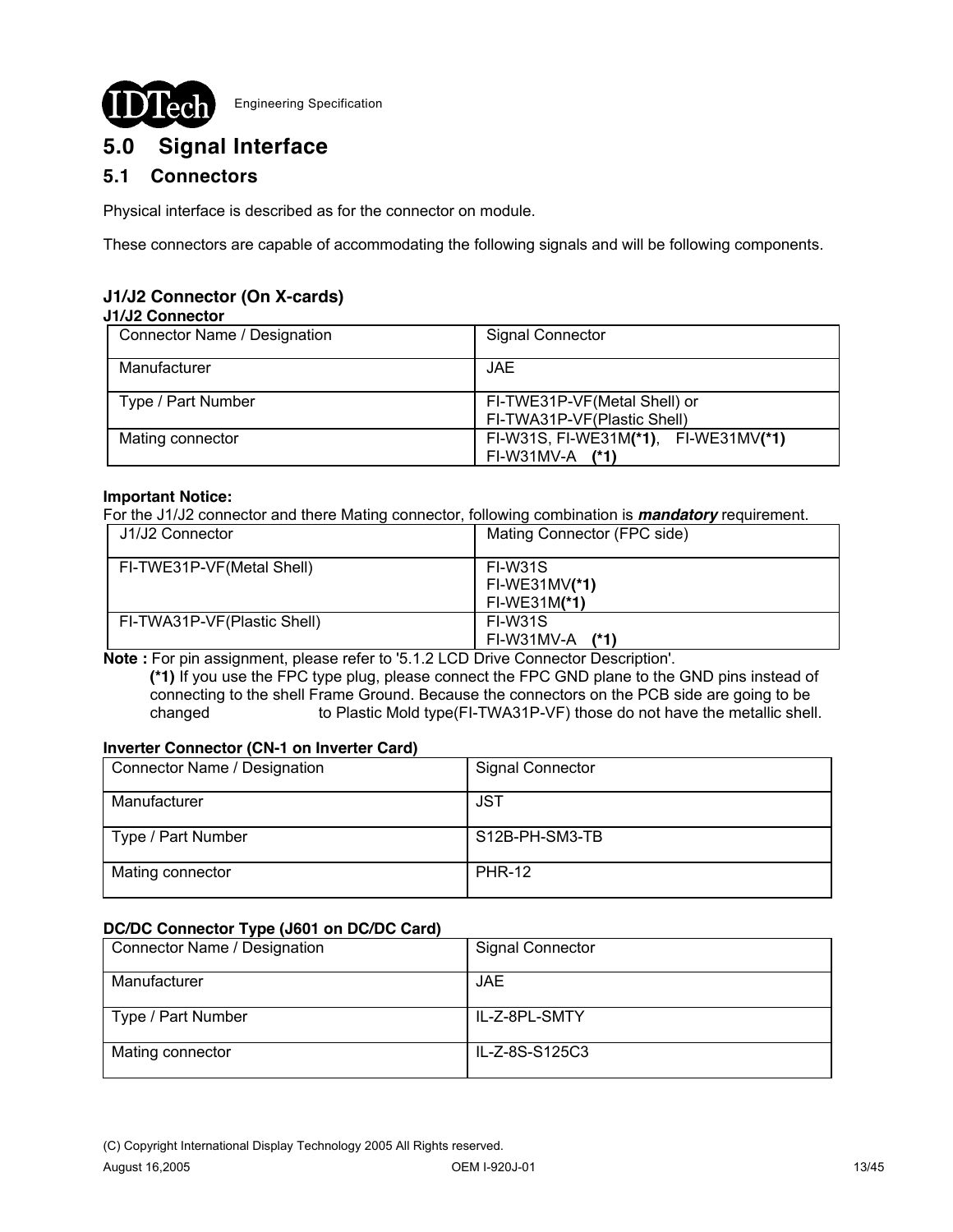

# **5.0 Signal Interface**

## **5.1 Connectors**

Physical interface is described as for the connector on module.

These connectors are capable of accommodating the following signals and will be following components.

## **J1/J2 Connector (On X-cards)**

#### **J1/J2 Connector**

| Connector Name / Designation | <b>Signal Connector</b>                                     |  |  |
|------------------------------|-------------------------------------------------------------|--|--|
| Manufacturer                 | <b>JAE</b>                                                  |  |  |
| Type / Part Number           | FI-TWE31P-VF(Metal Shell) or<br>FI-TWA31P-VF(Plastic Shell) |  |  |
| Mating connector             | FI-W31S, FI-WE31M(*1), FI-WE31MV(*1)<br>FI-W31MV-A (*1)     |  |  |

#### **Important Notice:**

For the J1/J2 connector and there Mating connector, following combination is *mandatory* requirement.

| J1/J2 Connector             | Mating Connector (FPC side)                  |
|-----------------------------|----------------------------------------------|
| FI-TWE31P-VF(Metal Shell)   | FI-W31S<br>$FI-WE31MV(*1)$<br>$FI-WE31M(*1)$ |
| FI-TWA31P-VF(Plastic Shell) | FI-W31S<br>(1)<br>FI-W31MV-A                 |

**Note :** For pin assignment, please refer to '5.1.2 LCD Drive Connector Description'.

 **(\*1)** If you use the FPC type plug, please connect the FPC GND plane to the GND pins instead of connecting to the shell Frame Ground. Because the connectors on the PCB side are going to be changed to Plastic Mold type(FI-TWA31P-VF) those do not have the metallic shell.

### **Inverter Connector (CN-1 on Inverter Card)**

| Connector Name / Designation | <b>Signal Connector</b> |
|------------------------------|-------------------------|
| Manufacturer                 | JST                     |
| Type / Part Number           | S12B-PH-SM3-TB          |
| Mating connector             | <b>PHR-12</b>           |

### **DC/DC Connector Type (J601 on DC/DC Card)**

| - -                          |                         |
|------------------------------|-------------------------|
| Connector Name / Designation | <b>Signal Connector</b> |
| Manufacturer                 | JAE.                    |
| Type / Part Number           | IL-Z-8PL-SMTY           |
| Mating connector             | IL-Z-8S-S125C3          |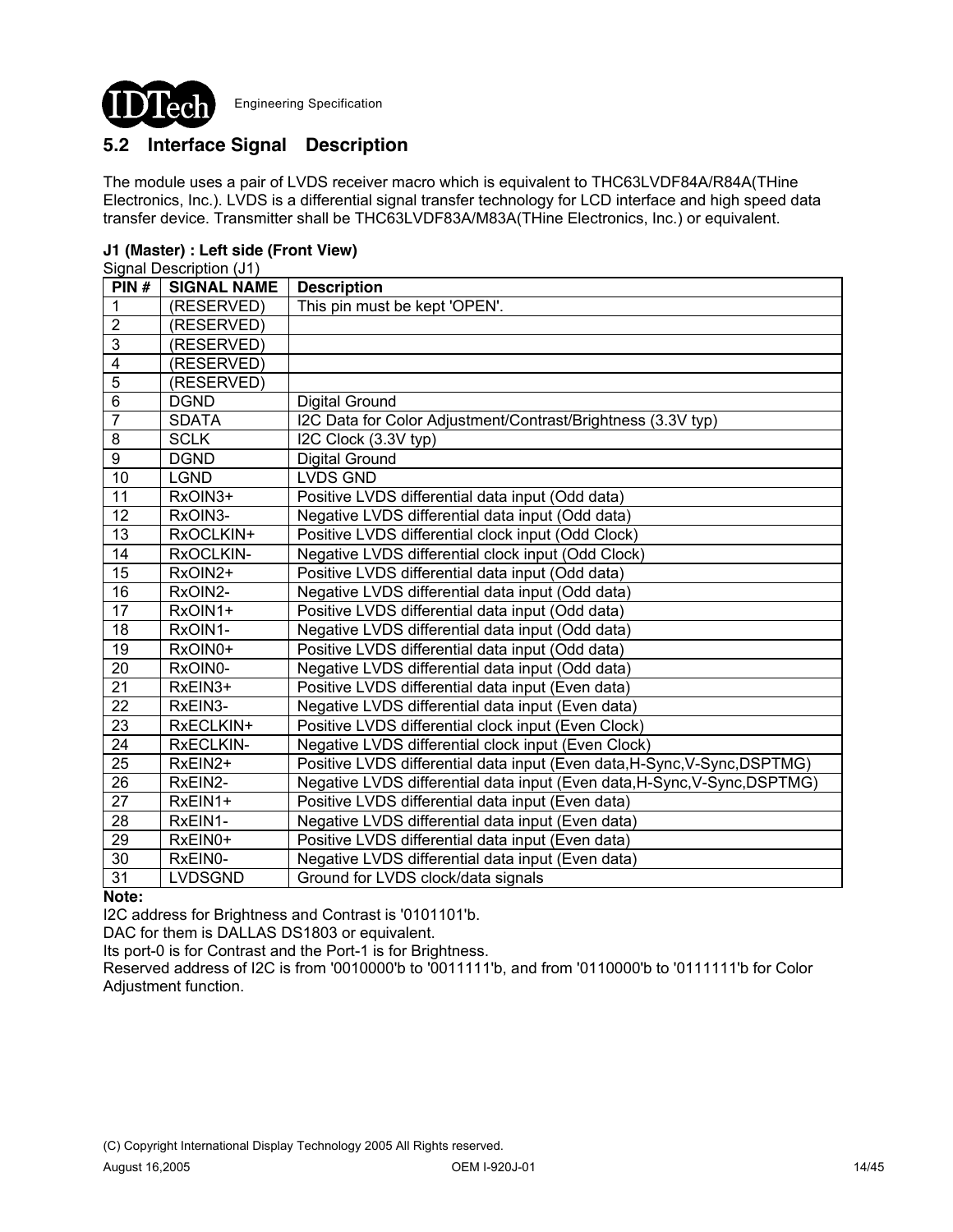

## **5.2 Interface Signal Description**

The module uses a pair of LVDS receiver macro which is equivalent to THC63LVDF84A/R84A(THine Electronics, Inc.). LVDS is a differential signal transfer technology for LCD interface and high speed data transfer device. Transmitter shall be THC63LVDF83A/M83A(THine Electronics, Inc.) or equivalent.

### **J1 (Master) : Left side (Front View)**

|                 | Signal Description (J1) |                                                                           |
|-----------------|-------------------------|---------------------------------------------------------------------------|
| PIN#            | <b>SIGNAL NAME</b>      | <b>Description</b>                                                        |
| 1               | (RESERVED)              | This pin must be kept 'OPEN'.                                             |
| $\overline{2}$  | (RESERVED)              |                                                                           |
| $\overline{3}$  | (RESERVED)              |                                                                           |
| $\overline{4}$  | (RESERVED)              |                                                                           |
| $\overline{5}$  | (RESERVED)              |                                                                           |
| $\overline{6}$  | <b>DGND</b>             | Digital Ground                                                            |
| $\overline{7}$  | <b>SDATA</b>            | I2C Data for Color Adjustment/Contrast/Brightness (3.3V typ)              |
| 8               | <b>SCLK</b>             | I2C Clock (3.3V typ)                                                      |
| $\overline{9}$  | <b>DGND</b>             | <b>Digital Ground</b>                                                     |
| 10              | <b>LGND</b>             | <b>LVDS GND</b>                                                           |
| 11              | RxOIN3+                 | Positive LVDS differential data input (Odd data)                          |
| 12              | RxOIN3-                 | Negative LVDS differential data input (Odd data)                          |
| 13              | RxOCLKIN+               | Positive LVDS differential clock input (Odd Clock)                        |
| 14              | RxOCLKIN-               | Negative LVDS differential clock input (Odd Clock)                        |
| 15              | RxOIN2+                 | Positive LVDS differential data input (Odd data)                          |
| 16              | RxOIN2-                 | Negative LVDS differential data input (Odd data)                          |
| $\overline{17}$ | RxOIN1+                 | Positive LVDS differential data input (Odd data)                          |
| 18              | RxOIN1-                 | Negative LVDS differential data input (Odd data)                          |
| $\overline{19}$ | RxOIN0+                 | Positive LVDS differential data input (Odd data)                          |
| 20              | RxOIN0-                 | Negative LVDS differential data input (Odd data)                          |
| 21              | RxEIN3+                 | Positive LVDS differential data input (Even data)                         |
| $\overline{22}$ | RxEIN3-                 | Negative LVDS differential data input (Even data)                         |
| 23              | RxECLKIN+               | Positive LVDS differential clock input (Even Clock)                       |
| $\overline{24}$ | RxECLKIN-               | Negative LVDS differential clock input (Even Clock)                       |
| $\overline{25}$ | RxEIN2+                 | Positive LVDS differential data input (Even data, H-Sync, V-Sync, DSPTMG) |
| $\overline{26}$ | RxEIN2-                 | Negative LVDS differential data input (Even data, H-Sync, V-Sync, DSPTMG) |
| $\overline{27}$ | RxEIN1+                 | Positive LVDS differential data input (Even data)                         |
| 28              | RxEIN1-                 | Negative LVDS differential data input (Even data)                         |
| 29              | RxEIN0+                 | Positive LVDS differential data input (Even data)                         |
| 30              | RxEIN0-                 | Negative LVDS differential data input (Even data)                         |
| $\overline{31}$ | <b>LVDSGND</b>          | Ground for LVDS clock/data signals                                        |

#### **Note:**

I2C address for Brightness and Contrast is '0101101'b.

DAC for them is DALLAS DS1803 or equivalent.

Its port-0 is for Contrast and the Port-1 is for Brightness.

Reserved address of I2C is from '0010000'b to '0011111'b, and from '0110000'b to '0111111'b for Color Adjustment function.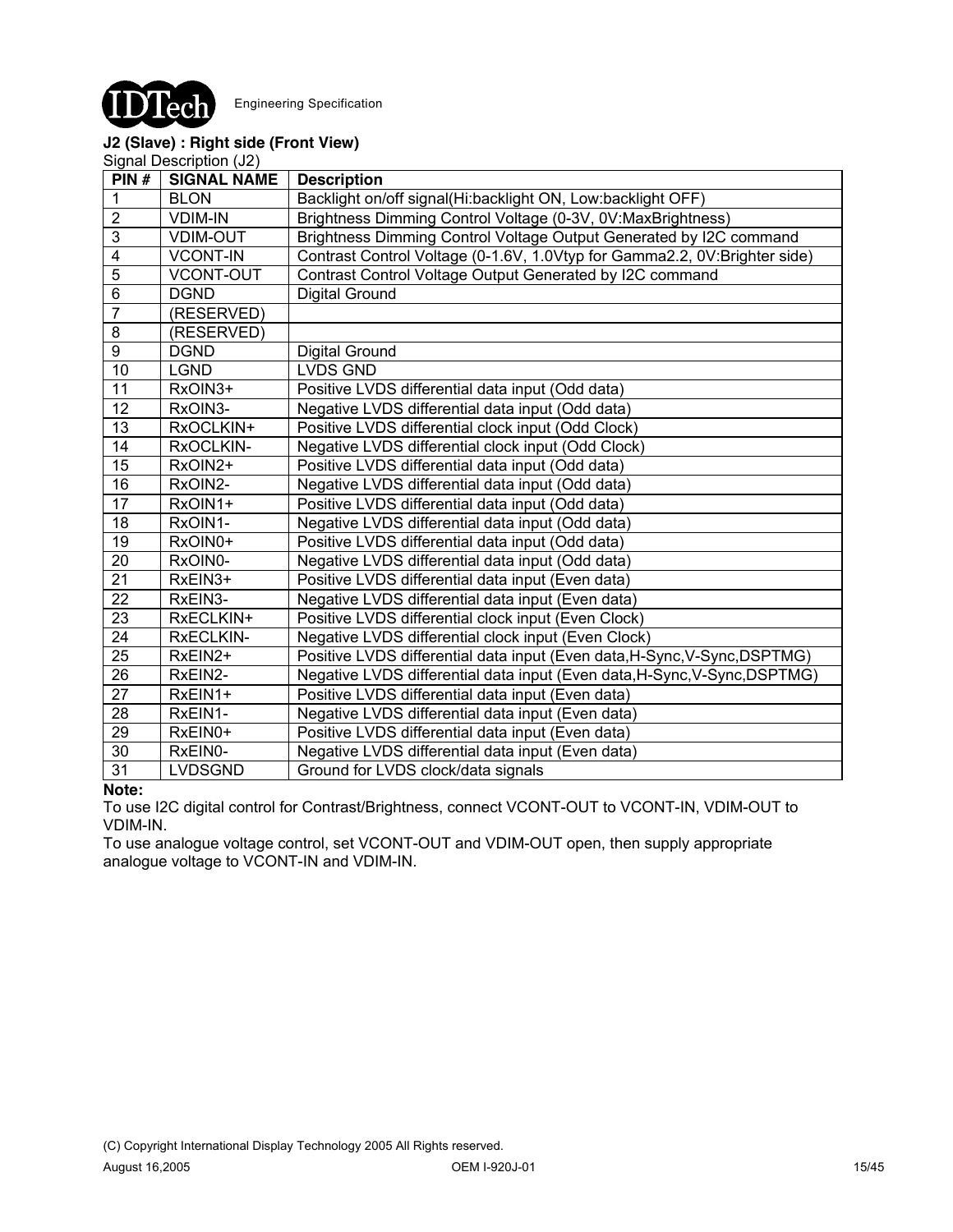

### **J2 (Slave) : Right side (Front View)**

Signal Description (J2)

| PIN#            | <b>SIGNAL NAME</b> | <b>Description</b>                                                        |
|-----------------|--------------------|---------------------------------------------------------------------------|
| 1               | <b>BLON</b>        | Backlight on/off signal(Hi:backlight ON, Low:backlight OFF)               |
| $\overline{2}$  | <b>VDIM-IN</b>     | Brightness Dimming Control Voltage (0-3V, 0V:MaxBrightness)               |
| $\overline{3}$  | <b>VDIM-OUT</b>    | Brightness Dimming Control Voltage Output Generated by I2C command        |
| 4               | <b>VCONT-IN</b>    | Contrast Control Voltage (0-1.6V, 1.0Vtyp for Gamma2.2, 0V:Brighter side) |
| $\overline{5}$  | <b>VCONT-OUT</b>   | Contrast Control Voltage Output Generated by I2C command                  |
| $6\phantom{1}$  | <b>DGND</b>        | <b>Digital Ground</b>                                                     |
| 7               | (RESERVED)         |                                                                           |
| 8               | (RESERVED)         |                                                                           |
| $\overline{9}$  | <b>DGND</b>        | Digital Ground                                                            |
| $\overline{10}$ | <b>LGND</b>        | <b>LVDS GND</b>                                                           |
| 11              | RxOIN3+            | Positive LVDS differential data input (Odd data)                          |
| 12              | RxOIN3-            | Negative LVDS differential data input (Odd data)                          |
| 13              | RxOCLKIN+          | Positive LVDS differential clock input (Odd Clock)                        |
| 14              | RxOCLKIN-          | Negative LVDS differential clock input (Odd Clock)                        |
| 15              | RxOIN2+            | Positive LVDS differential data input (Odd data)                          |
| 16              | RxOIN2-            | Negative LVDS differential data input (Odd data)                          |
| 17              | RxOIN1+            | Positive LVDS differential data input (Odd data)                          |
| 18              | RxOIN1-            | Negative LVDS differential data input (Odd data)                          |
| $\overline{19}$ | RxOIN0+            | Positive LVDS differential data input (Odd data)                          |
| 20              | RxOIN0-            | Negative LVDS differential data input (Odd data)                          |
| 21              | RxEIN3+            | Positive LVDS differential data input (Even data)                         |
| 22              | RxEIN3-            | Negative LVDS differential data input (Even data)                         |
| 23              | RxECLKIN+          | Positive LVDS differential clock input (Even Clock)                       |
| 24              | RxECLKIN-          | Negative LVDS differential clock input (Even Clock)                       |
| $\overline{25}$ | RxEIN2+            | Positive LVDS differential data input (Even data, H-Sync, V-Sync, DSPTMG) |
| 26              | RxEIN2-            | Negative LVDS differential data input (Even data, H-Sync, V-Sync, DSPTMG) |
| 27              | RxEIN1+            | Positive LVDS differential data input (Even data)                         |
| 28              | RxEIN1-            | Negative LVDS differential data input (Even data)                         |
| 29              | RxEIN0+            | Positive LVDS differential data input (Even data)                         |
| 30              | RxEIN0-            | Negative LVDS differential data input (Even data)                         |
| $\overline{31}$ | <b>LVDSGND</b>     | Ground for LVDS clock/data signals                                        |

#### **Note:**

To use I2C digital control for Contrast/Brightness, connect VCONT-OUT to VCONT-IN, VDIM-OUT to VDIM-IN.

To use analogue voltage control, set VCONT-OUT and VDIM-OUT open, then supply appropriate analogue voltage to VCONT-IN and VDIM-IN.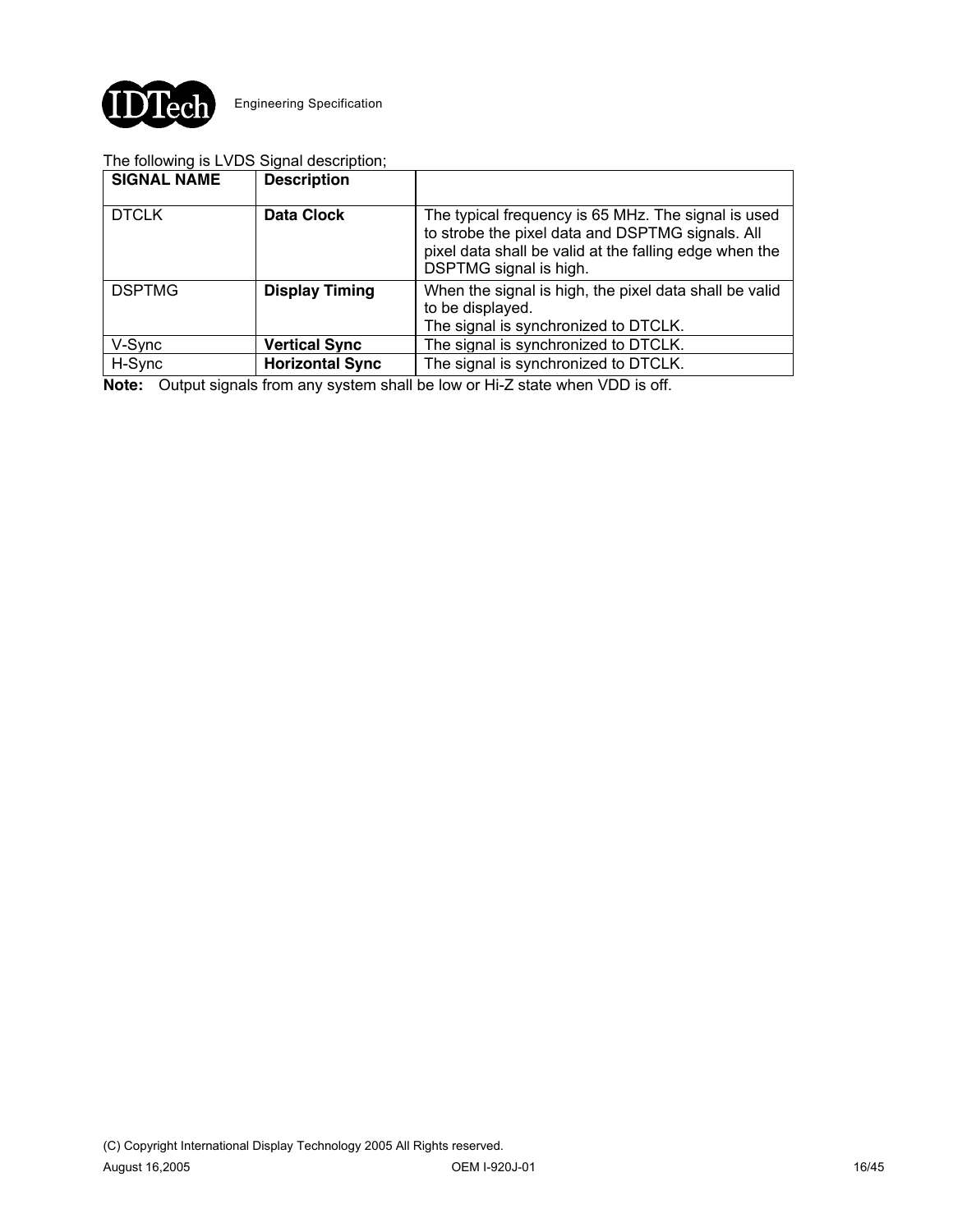

### The following is LVDS Signal description;

| <b>SIGNAL NAME</b> | <b>Description</b>     |                                                                                                                                                                                             |
|--------------------|------------------------|---------------------------------------------------------------------------------------------------------------------------------------------------------------------------------------------|
| <b>DTCLK</b>       | <b>Data Clock</b>      | The typical frequency is 65 MHz. The signal is used<br>to strobe the pixel data and DSPTMG signals. All<br>pixel data shall be valid at the falling edge when the<br>DSPTMG signal is high. |
| <b>DSPTMG</b>      | <b>Display Timing</b>  | When the signal is high, the pixel data shall be valid<br>to be displayed.<br>The signal is synchronized to DTCLK.                                                                          |
| V-Sync             | <b>Vertical Sync</b>   | The signal is synchronized to DTCLK.                                                                                                                                                        |
| H-Sync             | <b>Horizontal Sync</b> | The signal is synchronized to DTCLK.                                                                                                                                                        |

**Note:** Output signals from any system shall be low or Hi-Z state when VDD is off.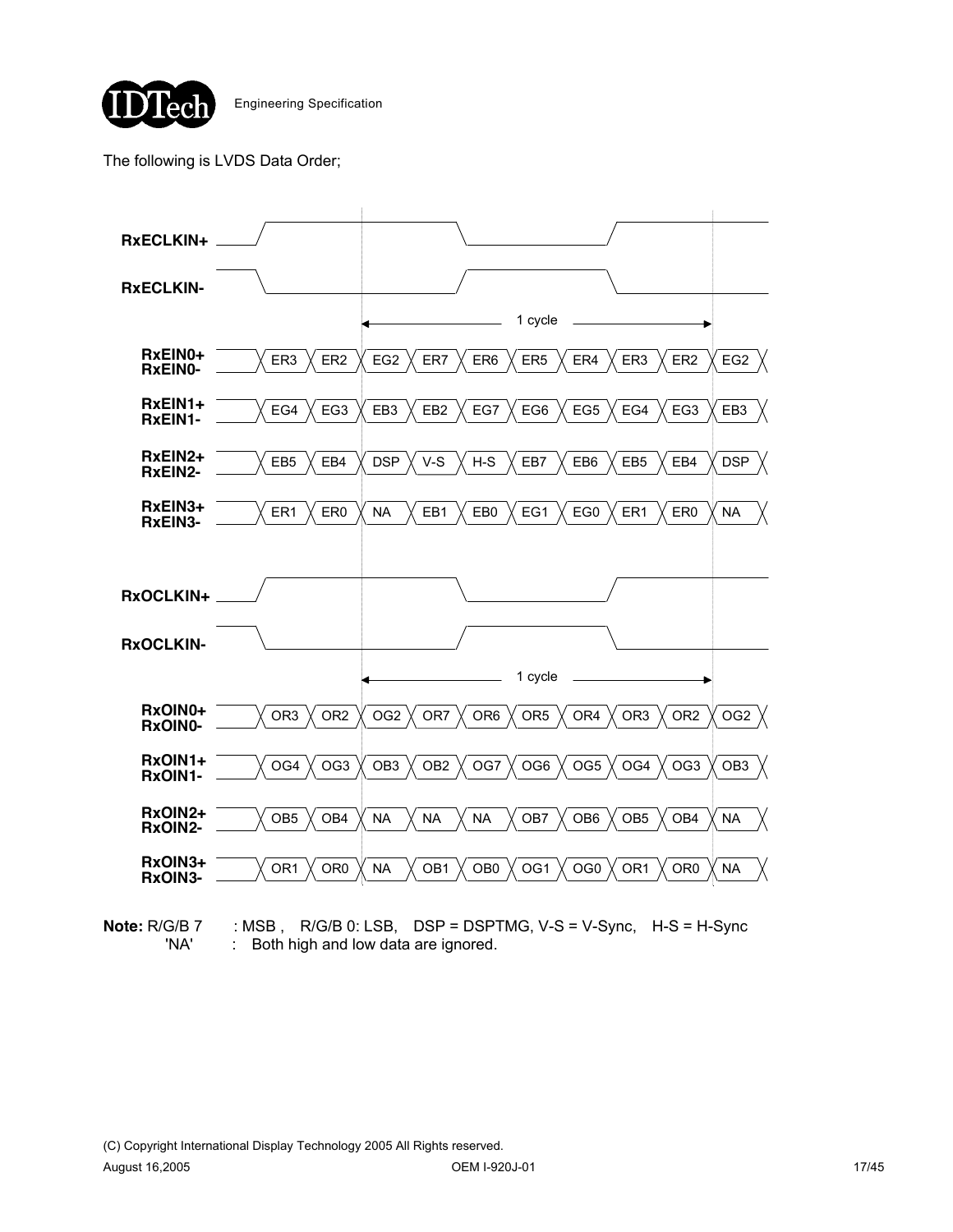

The following is LVDS Data Order;



**Note:** R/G/B 7 : MSB, R/G/B 0: LSB, DSP = DSPTMG, V-S = V-Sync, H-S = H-Sync 'NA' : Both high and low data are ignored.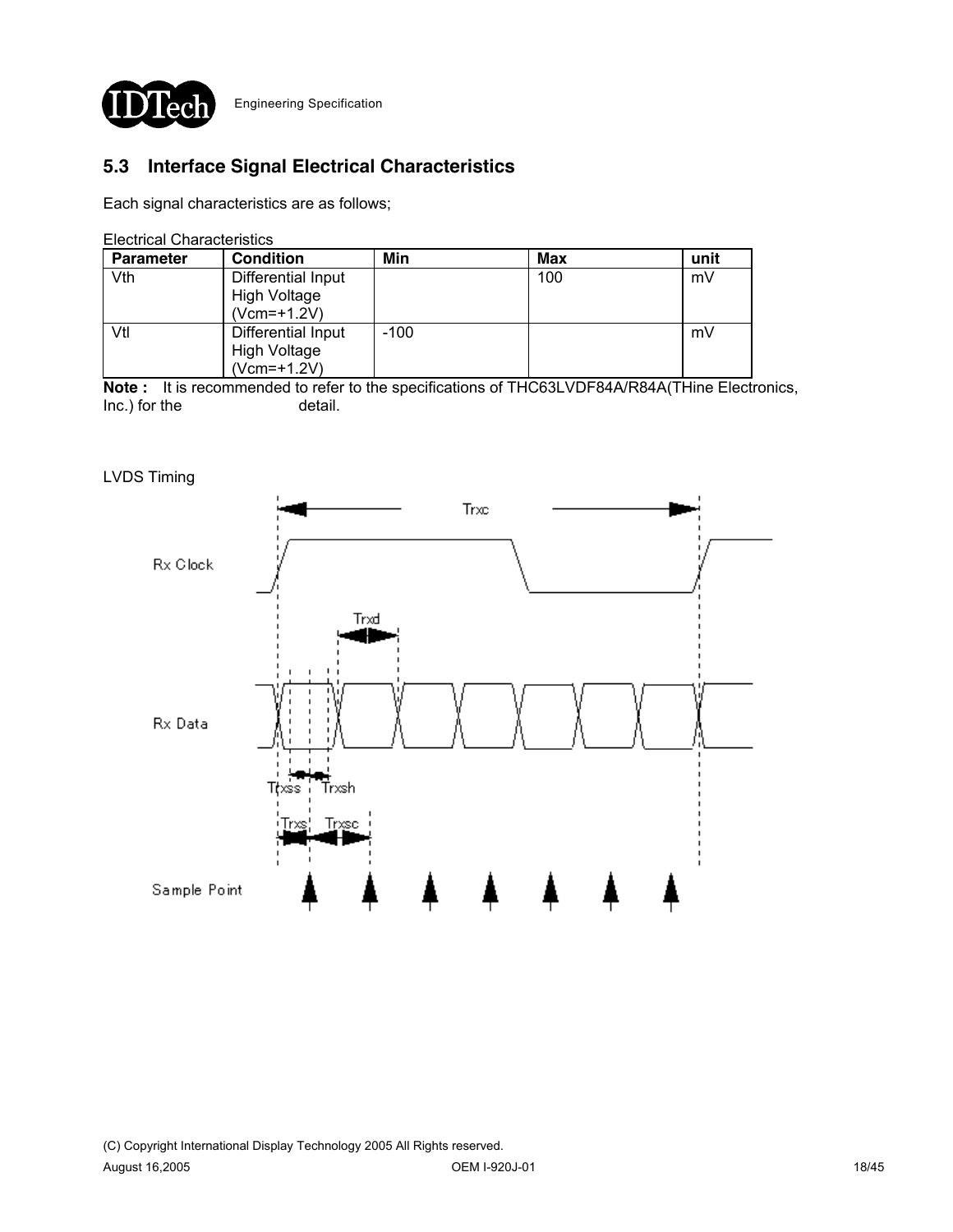

# **5.3 Interface Signal Electrical Characteristics**

Each signal characteristics are as follows;

Electrical Characteristics

| <b>Parameter</b> | <b>Condition</b>    | Min    | Max | unit |
|------------------|---------------------|--------|-----|------|
| Vth              | Differential Input  |        | 100 | mV   |
|                  | <b>High Voltage</b> |        |     |      |
|                  | (Vcm=+1.2V)         |        |     |      |
| Vtl              | Differential Input  | $-100$ |     | mV   |
|                  | High Voltage        |        |     |      |
|                  | (Vcm=+1.2V)         |        |     |      |

**Note :** It is recommended to refer to the specifications of THC63LVDF84A/R84A(THine Electronics, Inc.) for the detail.

#### LVDS Timing

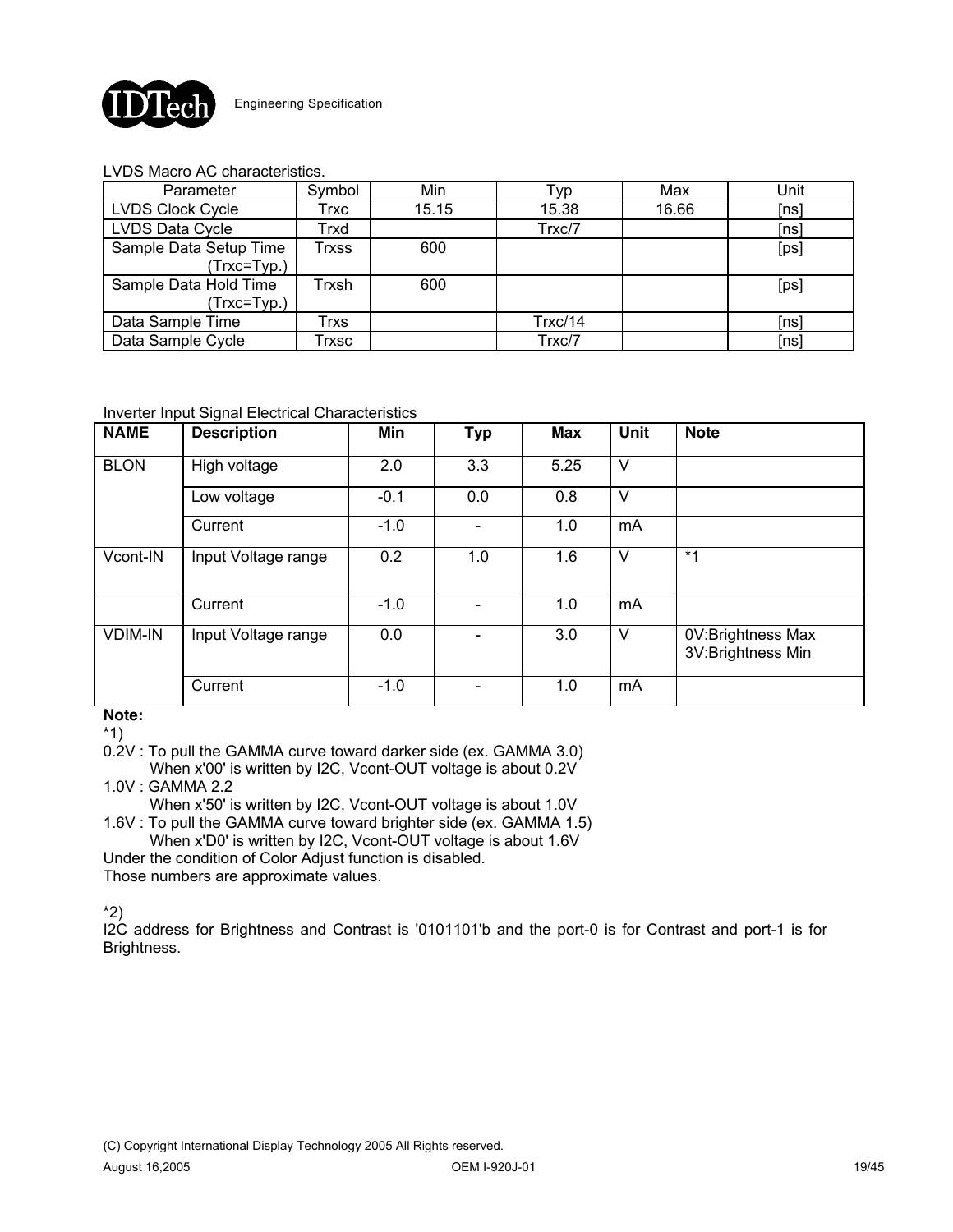

### LVDS Macro AC characteristics.

| Parameter               | Symbol | Min   | Гур     | Max   | Unit |
|-------------------------|--------|-------|---------|-------|------|
| <b>LVDS Clock Cycle</b> | Trxc   | 15.15 | 15.38   | 16.66 | [ns] |
| LVDS Data Cycle         | Trxd   |       | Trxc/7  |       | [ns] |
| Sample Data Setup Time  | Trxss  | 600   |         |       | [ps] |
| (Trxc=Typ.)             |        |       |         |       |      |
| Sample Data Hold Time   | Trxsh  | 600   |         |       | [ps] |
| (Trxc=Typ.)             |        |       |         |       |      |
| Data Sample Time        | Trxs   |       | Trxc/14 |       | [ns] |
| Data Sample Cycle       | Гrхsс  |       | Trxc/7  |       | [ns] |

### Inverter Input Signal Electrical Characteristics

| <b>NAME</b>    | <b>Description</b>  | Min    | <b>Typ</b> | Max  | <b>Unit</b> | <b>Note</b>                            |
|----------------|---------------------|--------|------------|------|-------------|----------------------------------------|
| <b>BLON</b>    | High voltage        | 2.0    | 3.3        | 5.25 | $\vee$      |                                        |
|                | Low voltage         | $-0.1$ | 0.0        | 0.8  | V           |                                        |
|                | Current             | $-1.0$ |            | 1.0  | mA          |                                        |
| Vcont-IN       | Input Voltage range | 0.2    | 1.0        | 1.6  | V           | $*1$                                   |
|                | Current             | $-1.0$ |            | 1.0  | mA          |                                        |
| <b>VDIM-IN</b> | Input Voltage range | 0.0    |            | 3.0  | V           | 0V:Brightness Max<br>3V:Brightness Min |
|                | Current             | $-1.0$ |            | 1.0  | mA          |                                        |

#### **Note:**

\*1)

0.2V : To pull the GAMMA curve toward darker side (ex. GAMMA 3.0)

When x'00' is written by I2C, Vcont-OUT voltage is about 0.2V 1.0V : GAMMA 2.2

When x'50' is written by I2C, Vcont-OUT voltage is about 1.0V 1.6V : To pull the GAMMA curve toward brighter side (ex. GAMMA 1.5)

When x'D0' is written by I2C, Vcont-OUT voltage is about 1.6V

Under the condition of Color Adjust function is disabled. Those numbers are approximate values.

\*2)

I2C address for Brightness and Contrast is '0101101'b and the port-0 is for Contrast and port-1 is for Brightness.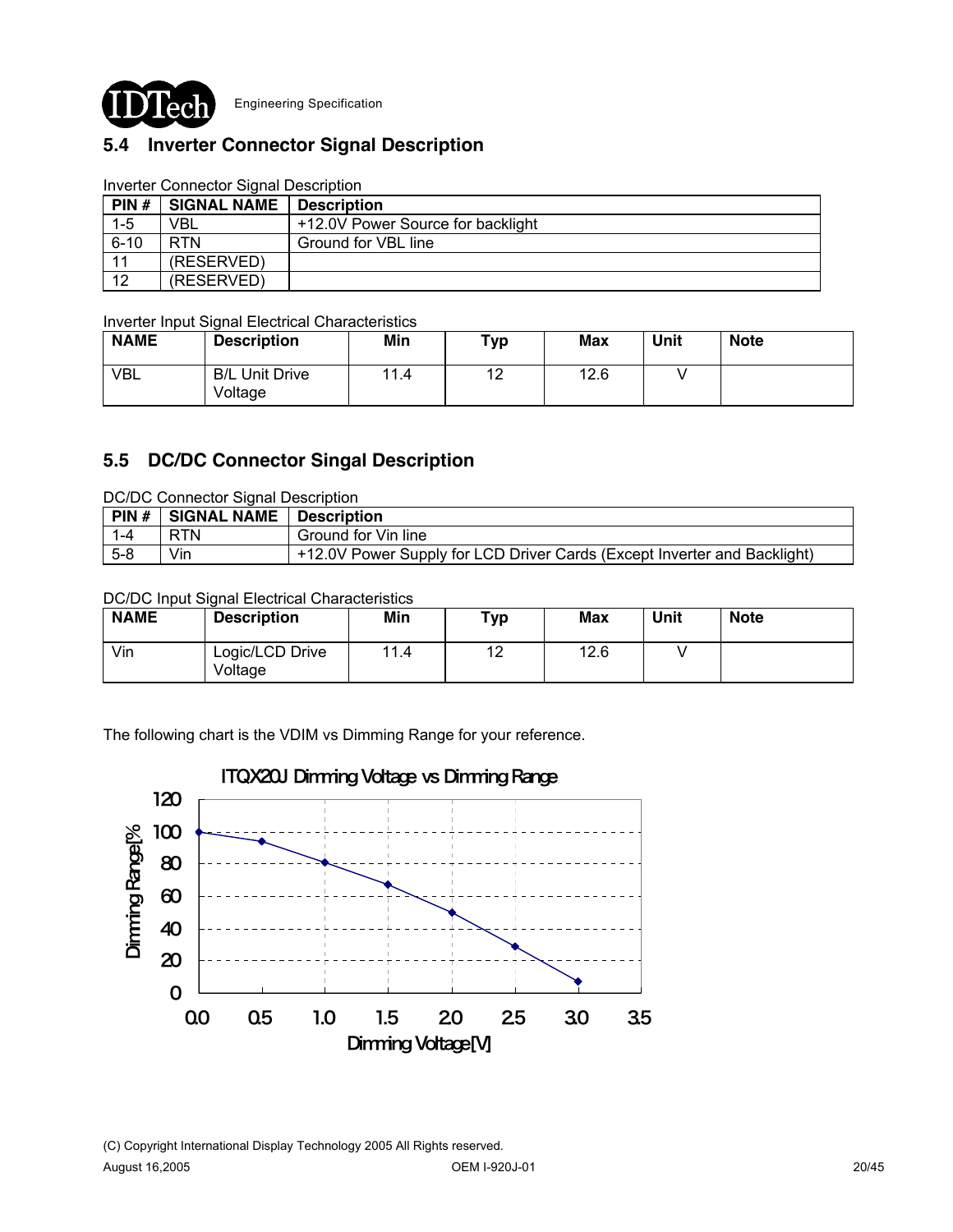

# **5.4 Inverter Connector Signal Description**

|          | <u>mventer Connection Signal Description</u> |                                   |
|----------|----------------------------------------------|-----------------------------------|
| PIN#     | <b>SIGNAL NAME</b>                           | <b>Description</b>                |
| $1 - 5$  | VBL                                          | +12.0V Power Source for backlight |
| $6 - 10$ | <b>RTN</b>                                   | Ground for VBL line               |
| 11       | (RESERVED)                                   |                                   |
| 12       | (RESERVED)                                   |                                   |

#### Inverter Connector Signal Description

Inverter Input Signal Electrical Characteristics

| <b>NAME</b> | <b>Description</b>               | Min  | тур                    | Max  | Unit | <b>Note</b> |
|-------------|----------------------------------|------|------------------------|------|------|-------------|
| <b>VBL</b>  | <b>B/L Unit Drive</b><br>Voltage | 11.4 | $\overline{10}$<br>' – | 12.6 |      |             |

## **5.5 DC/DC Connector Singal Description**

DC/DC Connector Signal Description

| PIN# | <b>SIGNAL NAME</b> | <b>Description</b>                                                       |
|------|--------------------|--------------------------------------------------------------------------|
|      | <b>RTN</b>         | Ground for Vin line                                                      |
| 5-8  | Vin                | +12.0V Power Supply for LCD Driver Cards (Except Inverter and Backlight) |

### DC/DC Input Signal Electrical Characteristics

| <b>NAME</b> | <b>Description</b>         | Min  | ⊤ур                   | Max  | Unit | <b>Note</b> |
|-------------|----------------------------|------|-----------------------|------|------|-------------|
| Vin         | Logic/LCD Drive<br>Voltage | 11.4 | $\overline{A}$<br>. . | 12.6 |      |             |

The following chart is the VDIM vs Dimming Range for your reference.

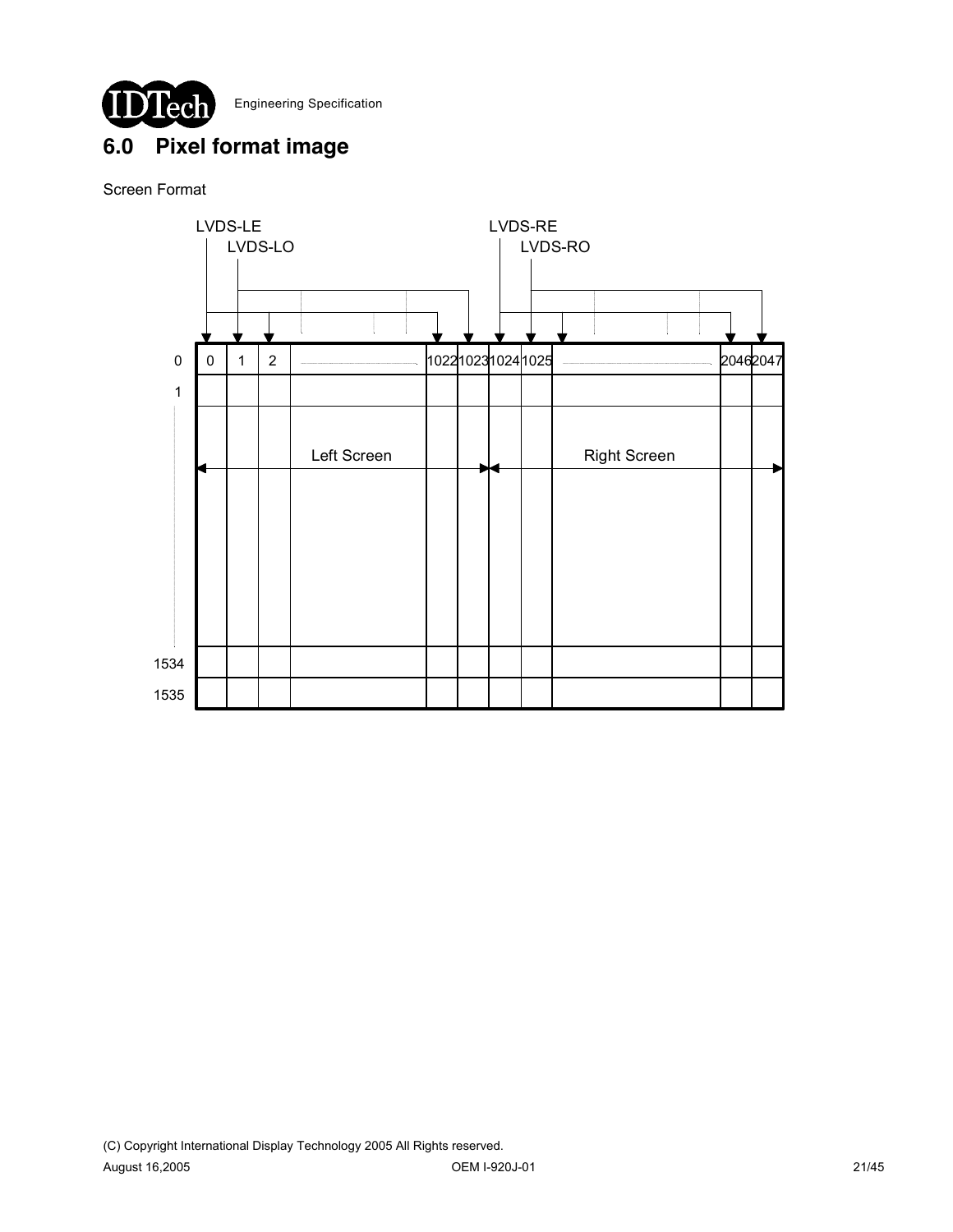# **6.0 Pixel format image**

## Screen Format

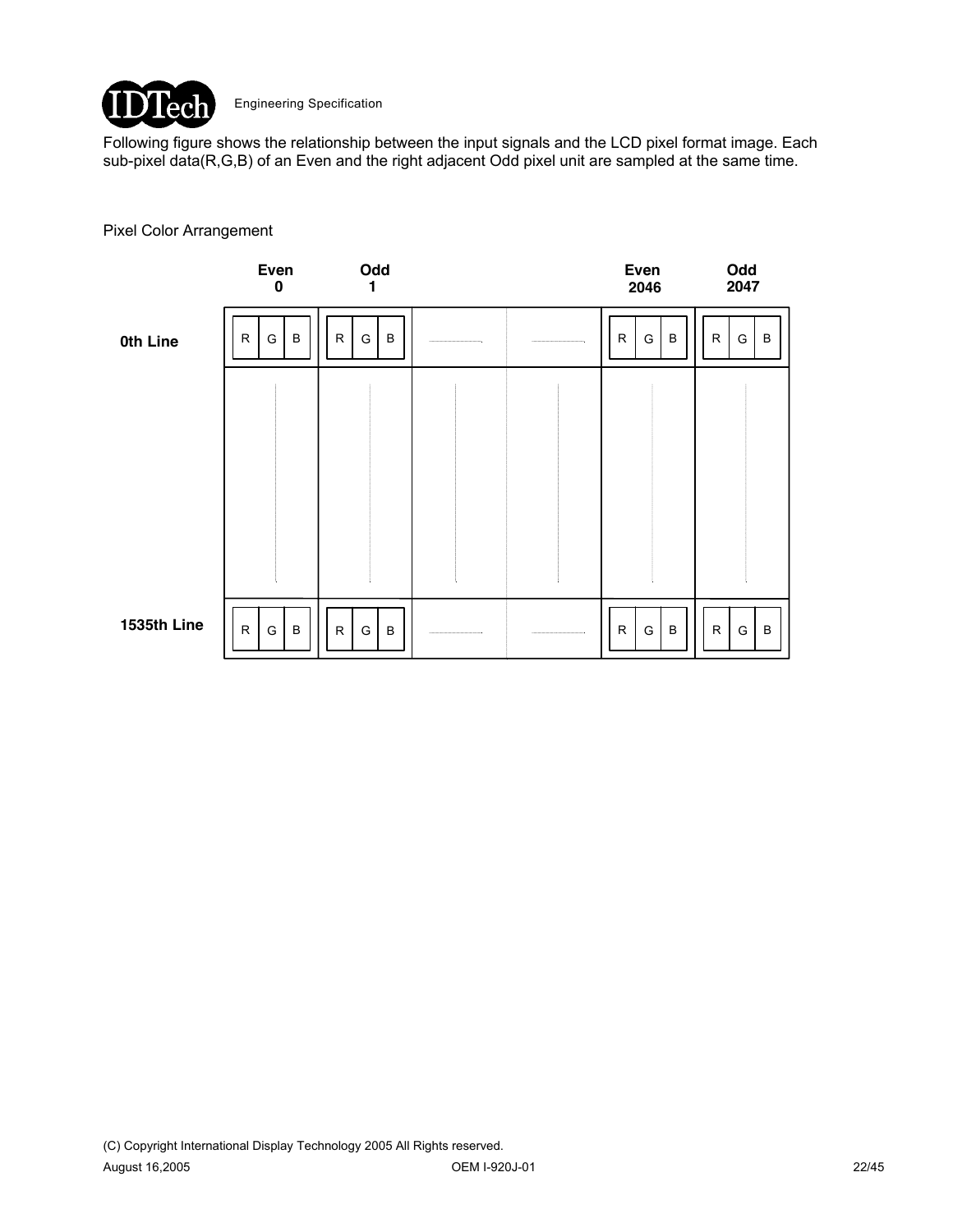

Following figure shows the relationship between the input signals and the LCD pixel format image. Each sub-pixel data(R,G,B) of an Even and the right adjacent Odd pixel unit are sampled at the same time.

#### Pixel Color Arrangement

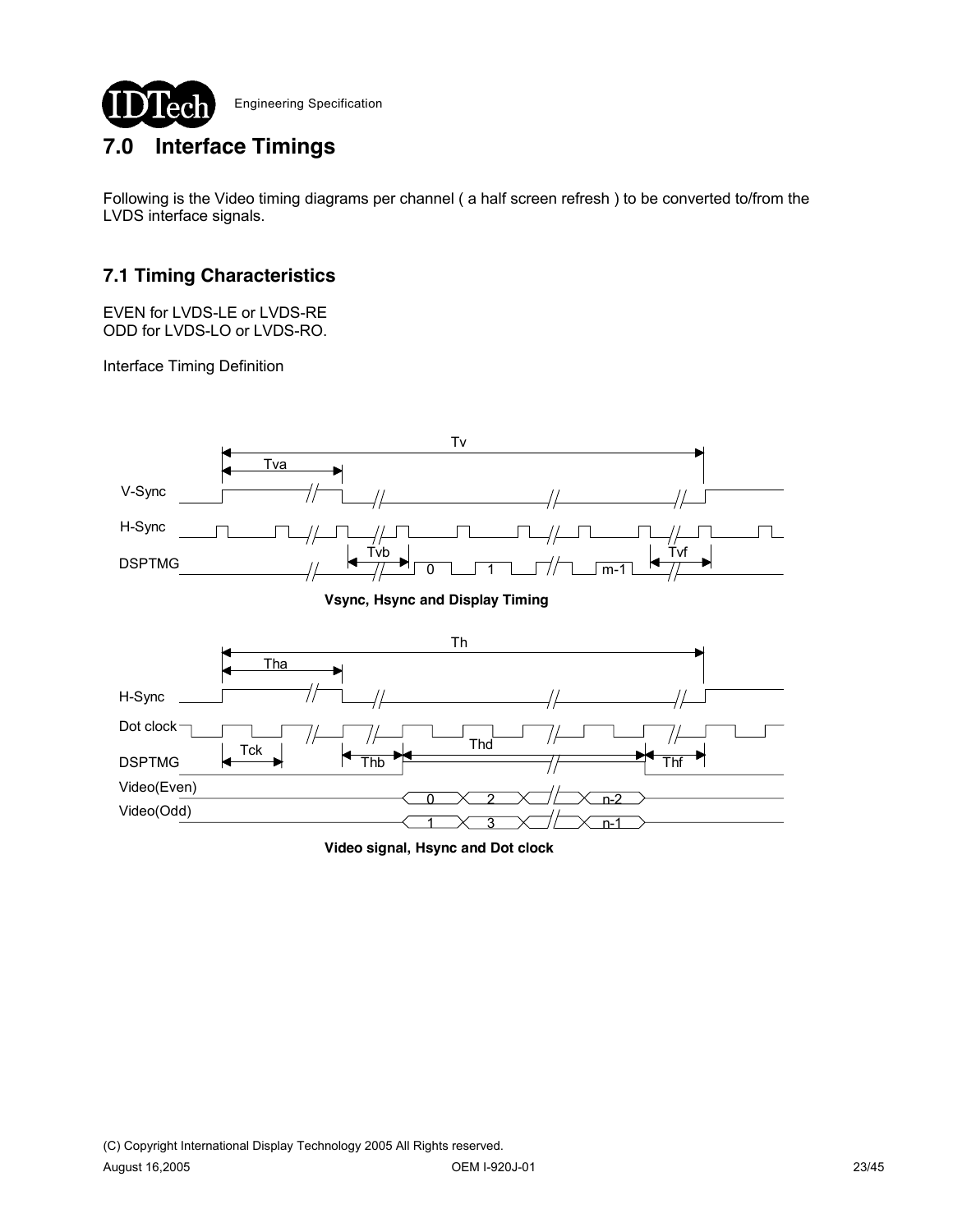

# **7.0 Interface Timings**

Following is the Video timing diagrams per channel ( a half screen refresh ) to be converted to/from the LVDS interface signals.

# **7.1 Timing Characteristics**

EVEN for LVDS-LE or LVDS-RE ODD for LVDS-LO or LVDS-RO.

Interface Timing Definition



**Video signal, Hsync and Dot clock**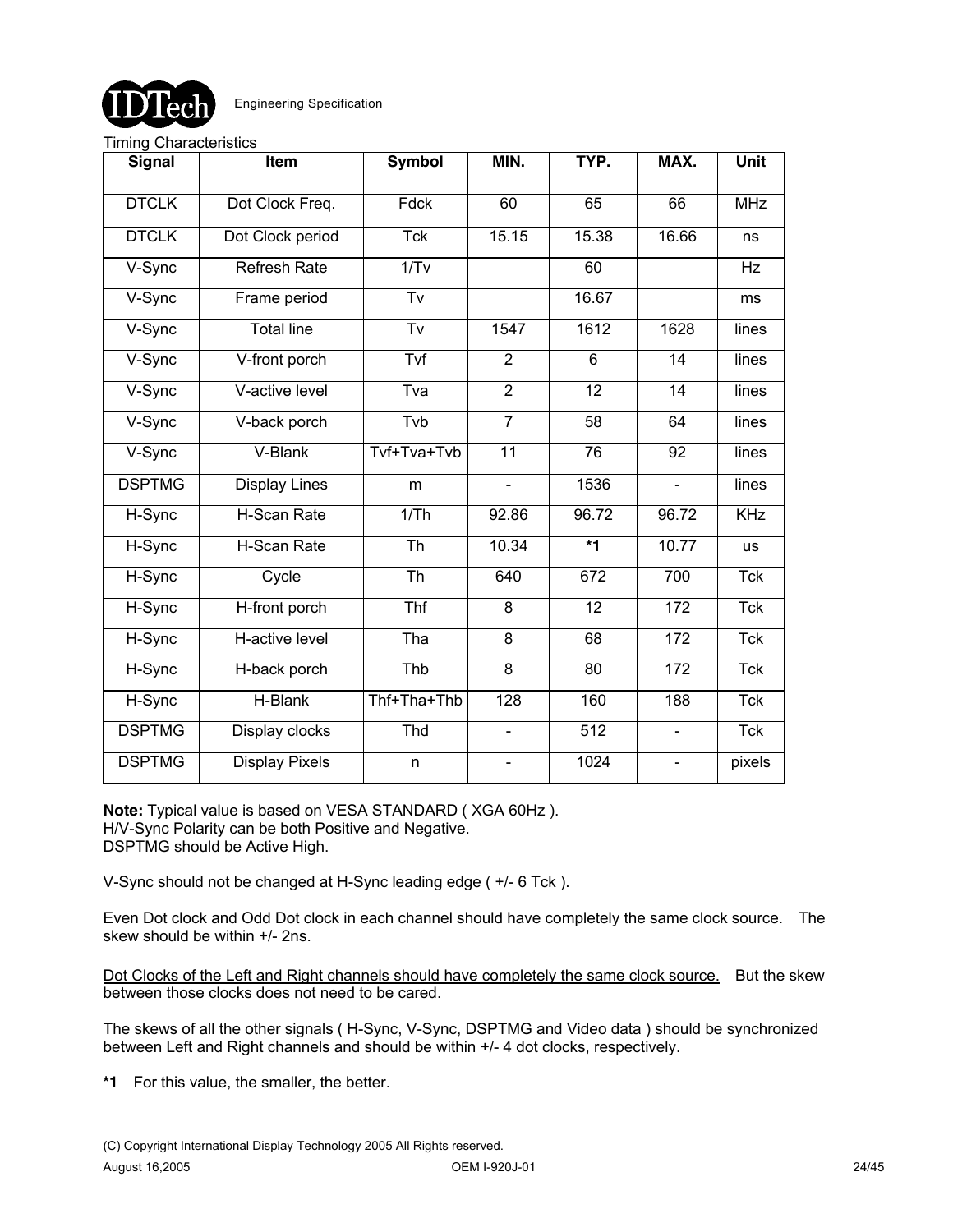

#### Timing Characteristics

| <b>Signal</b> | Item                  | <b>Symbol</b> | MIN.                         | TYP.                    | MAX.                         | Unit       |
|---------------|-----------------------|---------------|------------------------------|-------------------------|------------------------------|------------|
| <b>DTCLK</b>  | Dot Clock Freq.       | Fdck          | 60                           | 65                      | 66                           | <b>MHz</b> |
| <b>DTCLK</b>  | Dot Clock period      | <b>Tck</b>    | 15.15                        | 15.38                   | 16.66                        | ns         |
| V-Sync        | <b>Refresh Rate</b>   | 1/Tv          |                              | 60                      |                              | Hz         |
| V-Sync        | Frame period          | Tv            |                              | 16.67                   |                              | ms         |
| V-Sync        | <b>Total line</b>     | Tv            | 1547                         | 1612                    | 1628                         | lines      |
| V-Sync        | V-front porch         | Tvf           | $\overline{2}$               | $6\phantom{1}$          | 14                           | lines      |
| V-Sync        | V-active level        | Tva           | $\overline{2}$               | 12                      | 14                           | lines      |
| V-Sync        | V-back porch          | Tvb           | $\overline{7}$               | $\overline{58}$         | 64                           | lines      |
| V-Sync        | V-Blank               | Tvf+Tva+Tvb   | 11                           | 76                      | $\overline{92}$              | lines      |
| <b>DSPTMG</b> | <b>Display Lines</b>  | m             | $\blacksquare$               | 1536                    | $\blacksquare$               | lines      |
| H-Sync        | H-Scan Rate           | 1/Th          | 92.86                        | 96.72                   | 96.72                        | <b>KHz</b> |
| H-Sync        | H-Scan Rate           | Th            | 10.34                        | $\overline{\mathbf{f}}$ | 10.77                        | <b>us</b>  |
| H-Sync        | Cycle                 | Th            | 640                          | 672                     | 700                          | Tck        |
| H-Sync        | H-front porch         | Thf           | 8                            | 12                      | $\overline{172}$             | <b>Tck</b> |
| H-Sync        | H-active level        | Tha           | 8                            | 68                      | 172                          | <b>Tck</b> |
| H-Sync        | H-back porch          | Thb           | 8                            | 80                      | 172                          | <b>Tck</b> |
| H-Sync        | H-Blank               | Thf+Tha+Thb   | 128                          | 160                     | 188                          | <b>Tck</b> |
| <b>DSPTMG</b> | Display clocks        | Thd           | $\qquad \qquad \blacksquare$ | 512                     | $\blacksquare$               | <b>Tck</b> |
| <b>DSPTMG</b> | <b>Display Pixels</b> | n             |                              | 1024                    | $\qquad \qquad \blacksquare$ | pixels     |

**Note:** Typical value is based on VESA STANDARD ( XGA 60Hz ). H/V-Sync Polarity can be both Positive and Negative. DSPTMG should be Active High.

V-Sync should not be changed at H-Sync leading edge ( +/- 6 Tck ).

Even Dot clock and Odd Dot clock in each channel should have completely the same clock source. The skew should be within +/- 2ns.

Dot Clocks of the Left and Right channels should have completely the same clock source. But the skew between those clocks does not need to be cared.

The skews of all the other signals ( H-Sync, V-Sync, DSPTMG and Video data ) should be synchronized between Left and Right channels and should be within +/- 4 dot clocks, respectively.

**\*1** For this value, the smaller, the better.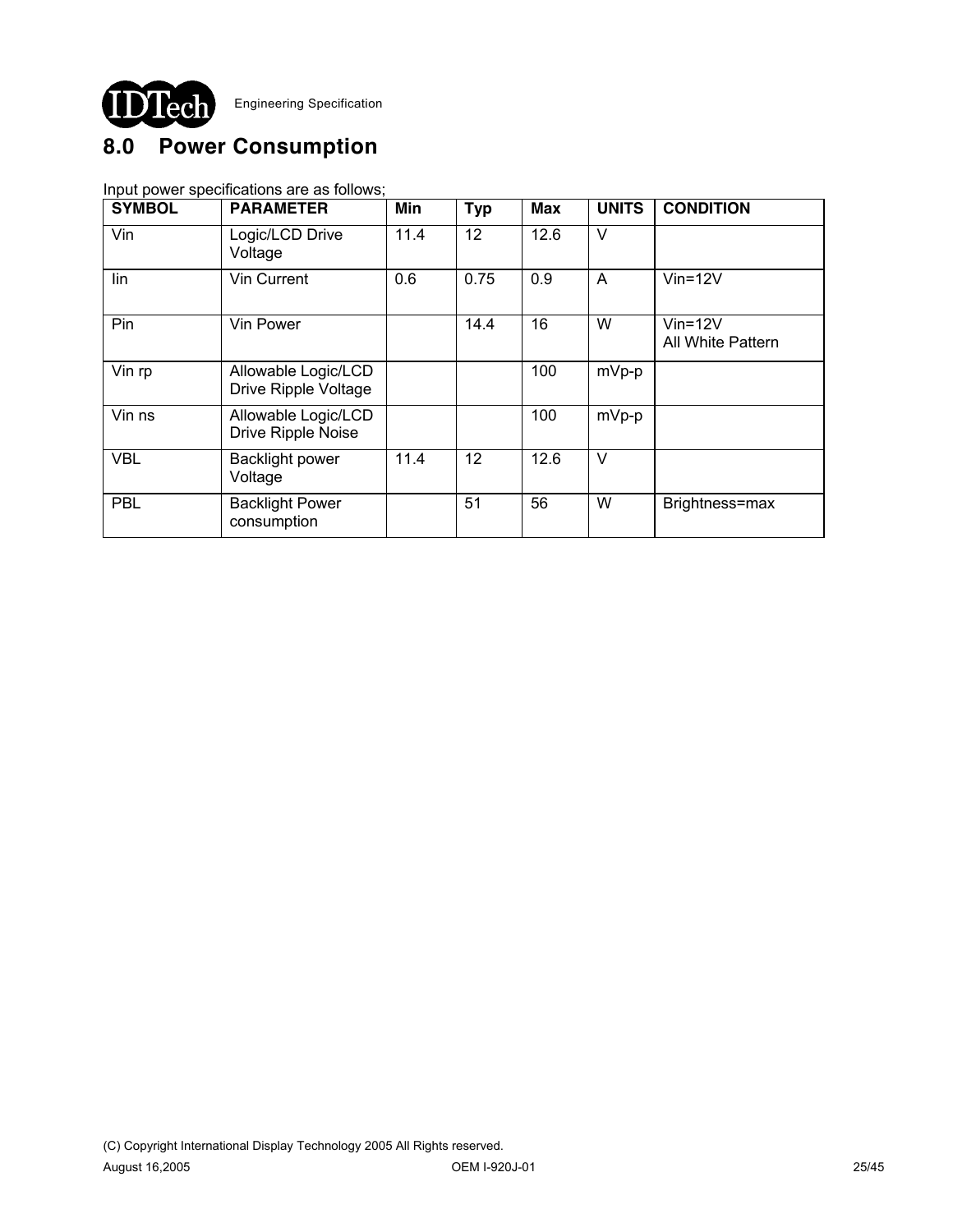

# **8.0 Power Consumption**

Input power specifications are as follows;

| <b>SYMBOL</b> | <b>PARAMETER</b>                            | Min  | <b>Typ</b> | <b>Max</b> | <b>UNITS</b> | <b>CONDITION</b>                   |
|---------------|---------------------------------------------|------|------------|------------|--------------|------------------------------------|
| Vin           | Logic/LCD Drive<br>Voltage                  | 11.4 | 12         | 12.6       | $\vee$       |                                    |
| lin           | Vin Current                                 | 0.6  | 0.75       | 0.9        | A            | $Vin=12V$                          |
| Pin           | Vin Power                                   |      | 14.4       | 16         | W            | $V$ in=12 $V$<br>All White Pattern |
| Vin rp        | Allowable Logic/LCD<br>Drive Ripple Voltage |      |            | 100        | $mVp-p$      |                                    |
| Vin ns        | Allowable Logic/LCD<br>Drive Ripple Noise   |      |            | 100        | mVp-p        |                                    |
| <b>VBL</b>    | <b>Backlight power</b><br>Voltage           | 11.4 | 12         | 12.6       | $\vee$       |                                    |
| <b>PBL</b>    | <b>Backlight Power</b><br>consumption       |      | 51         | 56         | W            | Brightness=max                     |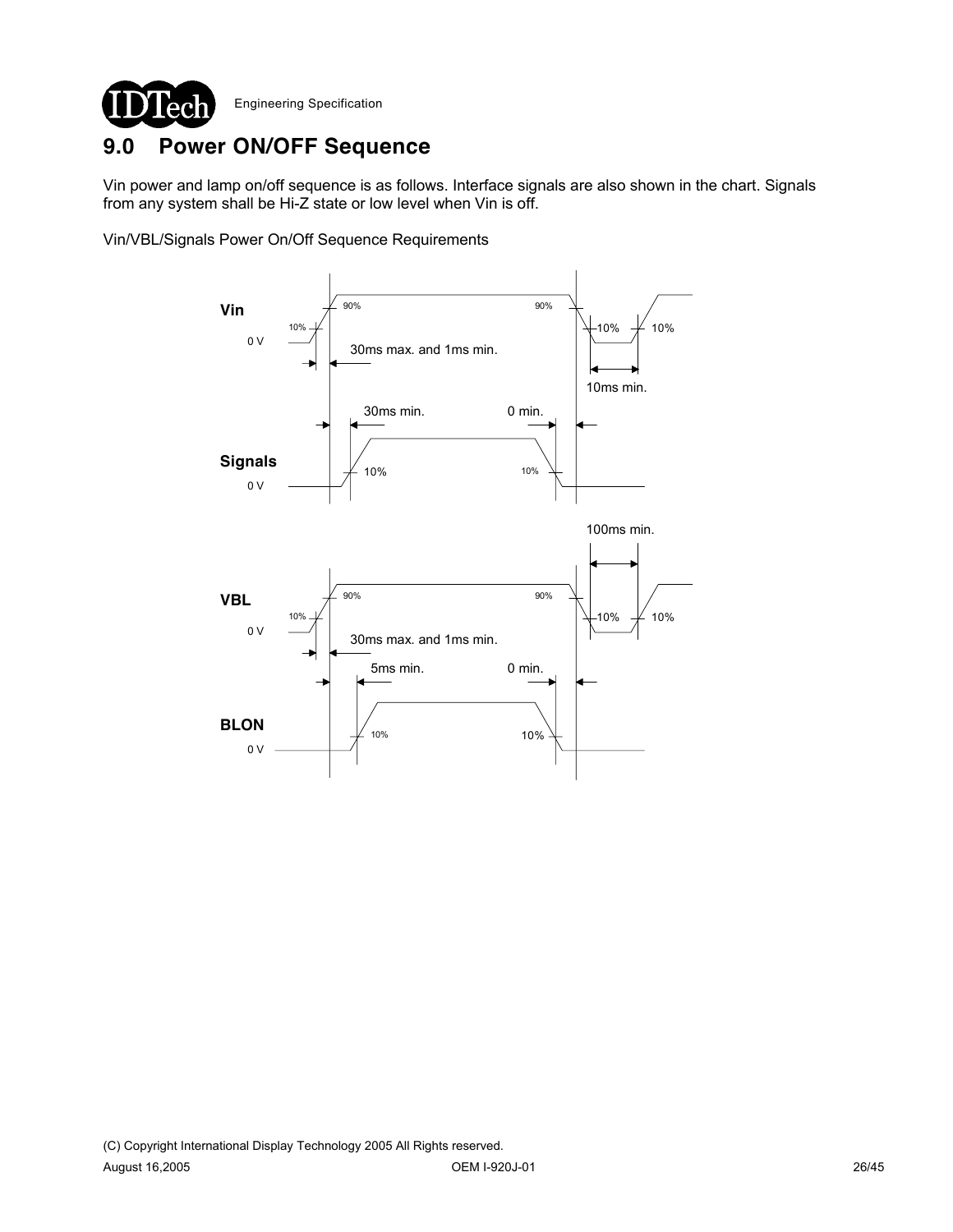

# **9.0 Power ON/OFF Sequence**

Vin power and lamp on/off sequence is as follows. Interface signals are also shown in the chart. Signals from any system shall be Hi-Z state or low level when Vin is off.

Vin/VBL/Signals Power On/Off Sequence Requirements

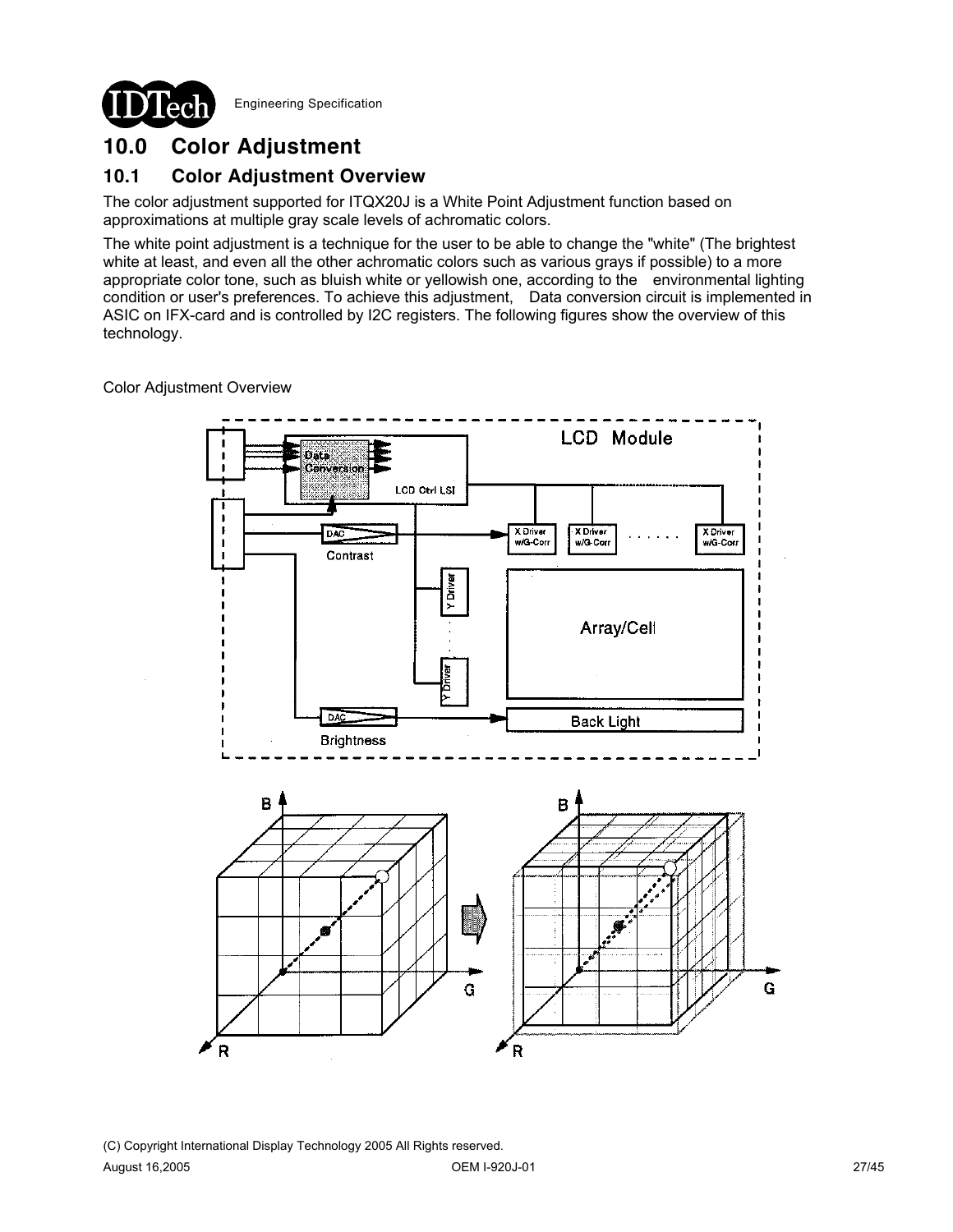

# **10.0 Color Adjustment**

## **10.1 Color Adjustment Overview**

The color adjustment supported for ITQX20J is a White Point Adjustment function based on approximations at multiple gray scale levels of achromatic colors.

The white point adjustment is a technique for the user to be able to change the "white" (The brightest white at least, and even all the other achromatic colors such as various grays if possible) to a more appropriate color tone, such as bluish white or yellowish one, according to the environmental lighting condition or user's preferences. To achieve this adjustment, Data conversion circuit is implemented in ASIC on IFX-card and is controlled by I2C registers. The following figures show the overview of this technology.

Color Adjustment Overview

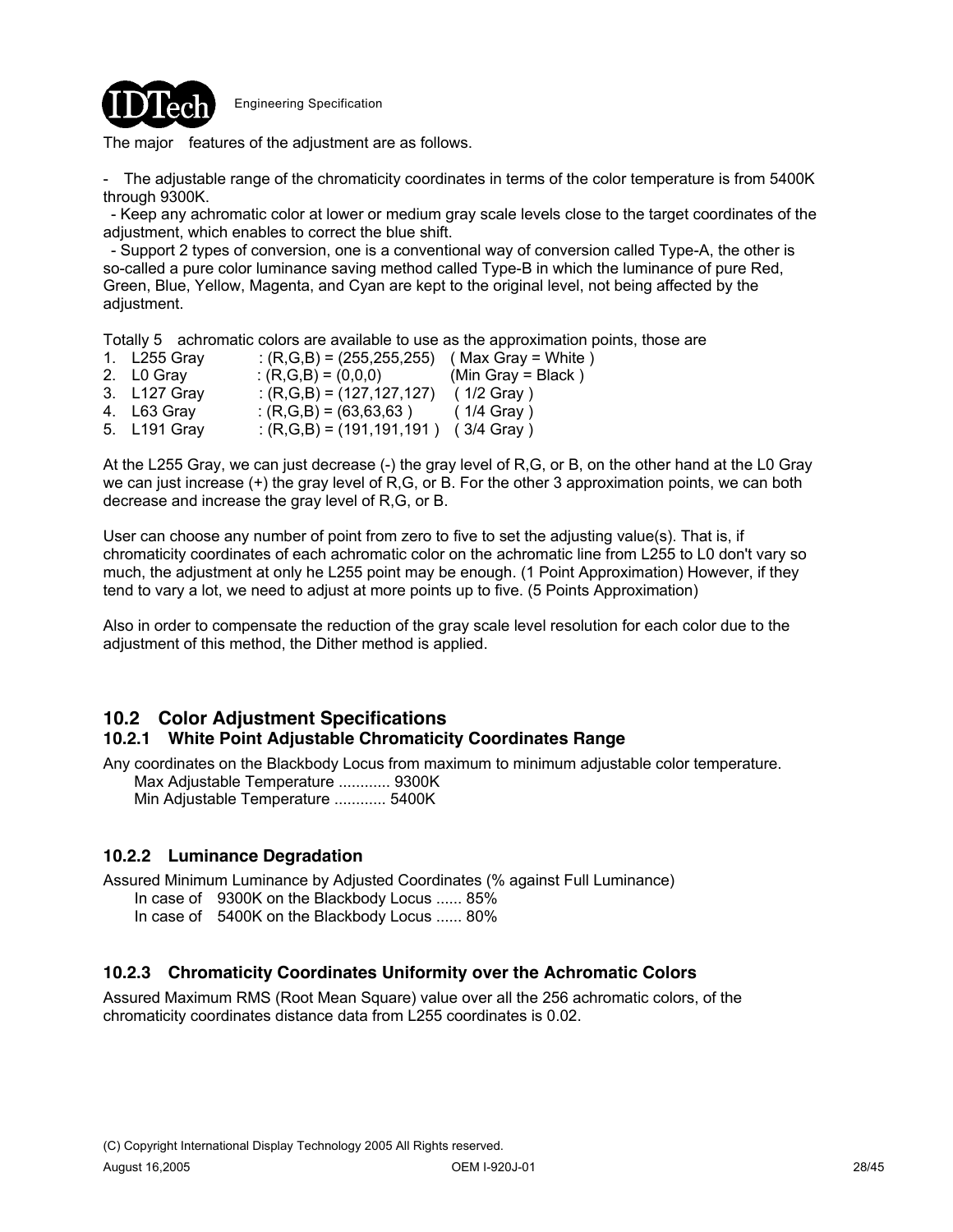

The major features of the adjustment are as follows.

- The adjustable range of the chromaticity coordinates in terms of the color temperature is from 5400K through 9300K.

- Keep any achromatic color at lower or medium gray scale levels close to the target coordinates of the adjustment, which enables to correct the blue shift.

- Support 2 types of conversion, one is a conventional way of conversion called Type-A, the other is so-called a pure color luminance saving method called Type-B in which the luminance of pure Red, Green, Blue, Yellow, Magenta, and Cyan are kept to the original level, not being affected by the adjustment.

Totally 5 achromatic colors are available to use as the approximation points, those are

1. L255 Gray :  $(R,G,B) = (255,255,255)$  (Max Gray = White ) 2. L0 Gray :  $(R,G,B) = (0,0,0)$  (Min Gray = Black )<br>3. L127 Gray :  $(R,G,B) = (127,127,127)$  (1/2 Gray )  $(3.127 \cdot 127 \cdot 127)$  (1/2 Gray )<br> $(3.63 \cdot 127 \cdot 127)$  (1/4 Gray ) 4. L63 Gray :  $(R,G,B) = (63,63,63)$ 5. L191 Gray :  $(R, G, B) = (191, 191, 191)$  (3/4 Gray)

At the L255 Gray, we can just decrease (-) the gray level of R,G, or B, on the other hand at the L0 Gray we can just increase (+) the gray level of R,G, or B. For the other 3 approximation points, we can both decrease and increase the gray level of R,G, or B.

User can choose any number of point from zero to five to set the adjusting value(s). That is, if chromaticity coordinates of each achromatic color on the achromatic line from L255 to L0 don't vary so much, the adjustment at only he L255 point may be enough. (1 Point Approximation) However, if they tend to vary a lot, we need to adjust at more points up to five. (5 Points Approximation)

Also in order to compensate the reduction of the gray scale level resolution for each color due to the adjustment of this method, the Dither method is applied.

# **10.2 Color Adjustment Specifications**

### **10.2.1 White Point Adjustable Chromaticity Coordinates Range**

Any coordinates on the Blackbody Locus from maximum to minimum adjustable color temperature. Max Adjustable Temperature ............ 9300K Min Adjustable Temperature ............ 5400K

### **10.2.2 Luminance Degradation**

Assured Minimum Luminance by Adjusted Coordinates (% against Full Luminance)

In case of 9300K on the Blackbody Locus ...... 85%

In case of 5400K on the Blackbody Locus ...... 80%

### **10.2.3 Chromaticity Coordinates Uniformity over the Achromatic Colors**

Assured Maximum RMS (Root Mean Square) value over all the 256 achromatic colors, of the chromaticity coordinates distance data from L255 coordinates is 0.02.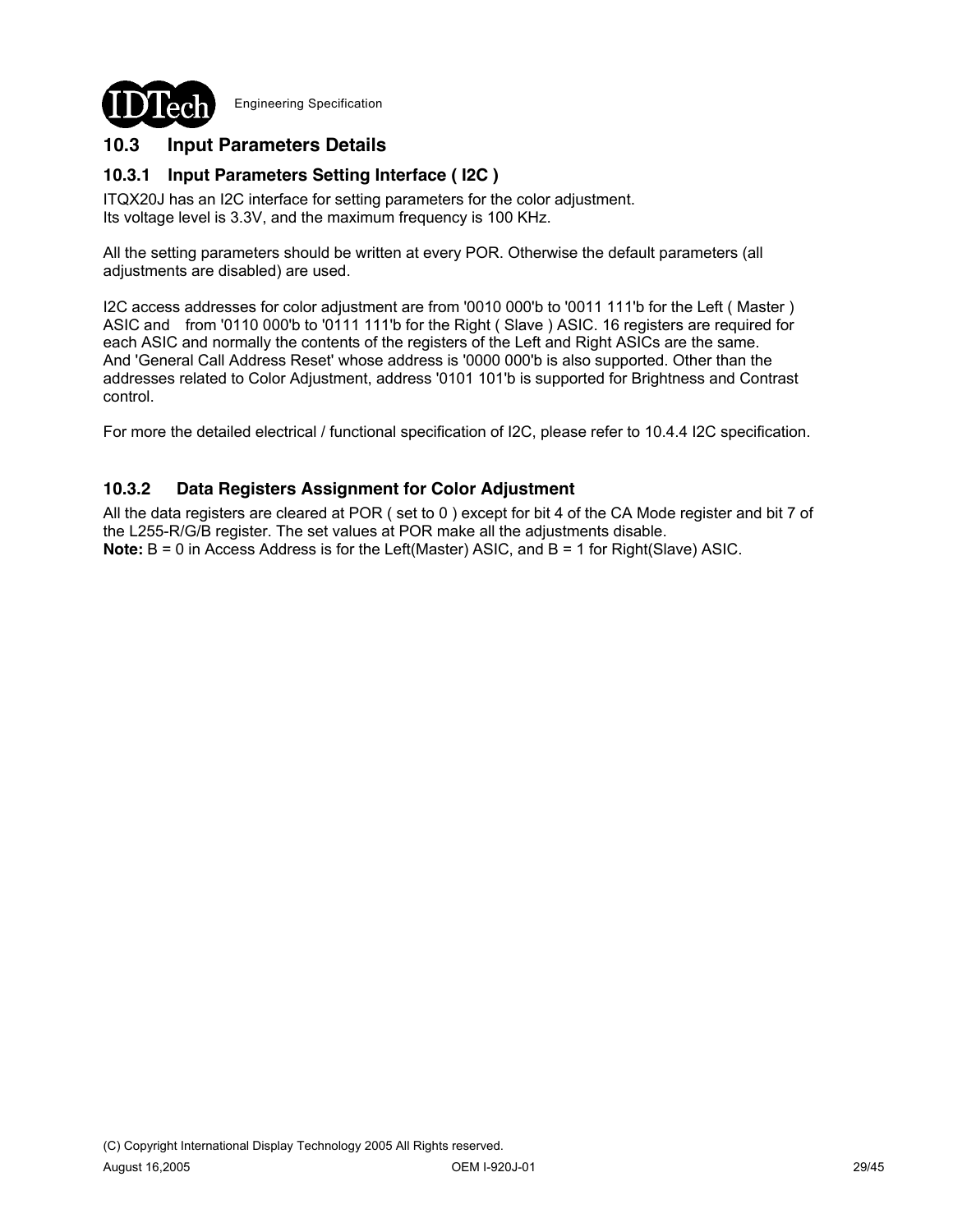

## **10.3 Input Parameters Details**

## **10.3.1 Input Parameters Setting Interface ( I2C )**

ITQX20J has an I2C interface for setting parameters for the color adjustment. Its voltage level is 3.3V, and the maximum frequency is 100 KHz.

All the setting parameters should be written at every POR. Otherwise the default parameters (all adjustments are disabled) are used.

I2C access addresses for color adjustment are from '0010 000'b to '0011 111'b for the Left ( Master ) ASIC and from '0110 000'b to '0111 111'b for the Right ( Slave ) ASIC. 16 registers are required for each ASIC and normally the contents of the registers of the Left and Right ASICs are the same. And 'General Call Address Reset' whose address is '0000 000'b is also supported. Other than the addresses related to Color Adjustment, address '0101 101'b is supported for Brightness and Contrast control.

For more the detailed electrical / functional specification of I2C, please refer to 10.4.4 I2C specification.

### **10.3.2 Data Registers Assignment for Color Adjustment**

All the data registers are cleared at POR ( set to 0 ) except for bit 4 of the CA Mode register and bit 7 of the L255-R/G/B register. The set values at POR make all the adjustments disable. **Note:** B = 0 in Access Address is for the Left(Master) ASIC, and B = 1 for Right(Slave) ASIC.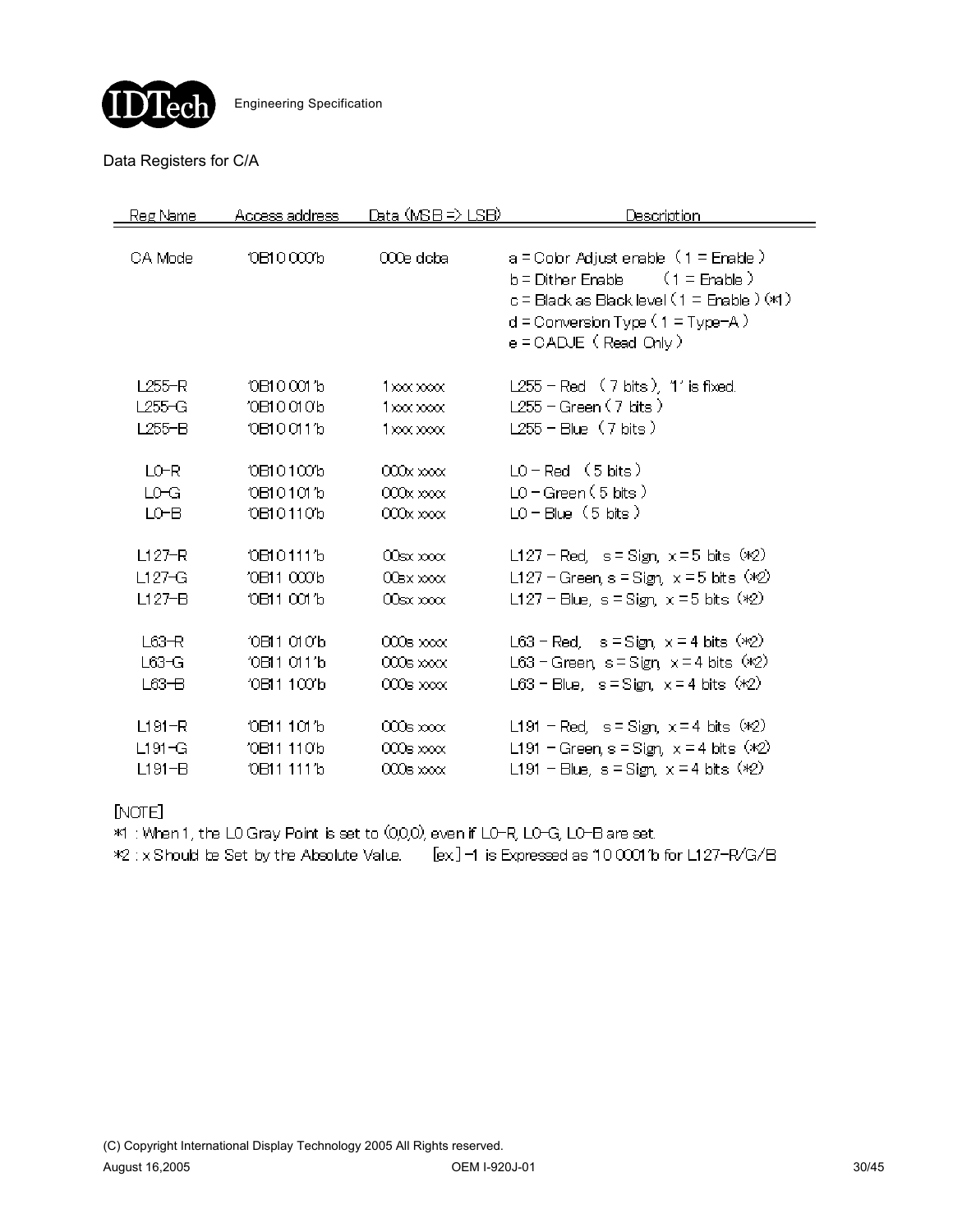

### Data Registers for C/A

| Reg Name   | Access address         | Data (MSB => LSB)     | Description                                                                                                                                                                                           |
|------------|------------------------|-----------------------|-------------------------------------------------------------------------------------------------------------------------------------------------------------------------------------------------------|
| CA Mode    | 10B100001b             | 000e doba             | $a =$ Color Adjust enable $(1 =$ Enable $)$<br>$(1 =$ Enable $)$<br>b = Dither Enable<br>c = Black as Black level (1 = Enable ) (*1)<br>$d =$ Conversion Type (1 = Type-A)<br>e = CADJE ( Read Only ) |
| L255-R     | 10B100011b             | $1 \times 0 \times 0$ | $L255$ – Red $(7 \text{ bits})$ , 1' is fixed.                                                                                                                                                        |
| L255-G     | 10 DI 0 0 1 0 b        | $1x00x$ $x000x$       | $L255 - Green(7 bits)$                                                                                                                                                                                |
| $L255 - B$ | 10B100111b             | $1x00x$ $x00x$        | $L255 - Blue$ (7 bits)                                                                                                                                                                                |
| LO-R       | 10B101001b             | 000x xxxx             | $LO - Red$ (5 bits)                                                                                                                                                                                   |
| LO-G       | 10B101011b             | $000x \times x$       | $LO-Green(5 bits)$                                                                                                                                                                                    |
| LO-B       | 10B101101b             | $000x \times x$       | $LO - Blue (5 bits)$                                                                                                                                                                                  |
| $L127-R$   | 10B101111b             | $00$ sx $x\infty$     | L127 – Red, $s =$ Sign, $x =$ 5 bits $(x2)$                                                                                                                                                           |
| $L127-G$   | '0B11 000'b            | $00$ BX $000$         | L127 – Green, s = Sign, $x = 5$ bits (*2)                                                                                                                                                             |
| $L127-B$   | 10B11 001'b            | $00$ sx $x$ oo $x$    | L127 – Blue, s = Sign, $x = 5$ bits ( $\sqrt{2}$ )                                                                                                                                                    |
| $L63-R$    | 10 B11 01 01 b         | $000$ s xxx           | L63 – Red. s = Sign, $x = 4$ bits $(x2)$                                                                                                                                                              |
| L63-G      | '0B11 011'b            | $000$ s $\times$      | L63 – Green, s = Sign, $x = 4$ bits (*2)                                                                                                                                                              |
| $L63-B$    | '0B11 100'b            | $000$ s xxxx          | L63 – Blue, $s =$ Sign, $x = 4$ bits $(x2)$                                                                                                                                                           |
| $L191 - R$ | 10 TO 11 10 TO         | $000$ s xxx           | L191 - Red, $s =$ Sign, $x = 4$ bits $(x2)$                                                                                                                                                           |
| L191-G     | '0B11 110b             | $000$ s xxxx          | L191 - Green, s = Sign, $x = 4$ bits (*2)                                                                                                                                                             |
| $L191 - B$ | 0B11 111 <sup>'b</sup> | 000s xxx              | L191 - Blue, $s =$ Sign, $x = 4$ bits $(x2)$                                                                                                                                                          |

[NOTE]

\*1 : When 1, the LO Gray Point is set to (0,0,0), even if LO-R, LO-G, LO-B are set.

\*2 : x Should be Set by the Absolute Value.  $[ex]$  -1 is Expressed as 10 0001'b for L127-R/G/B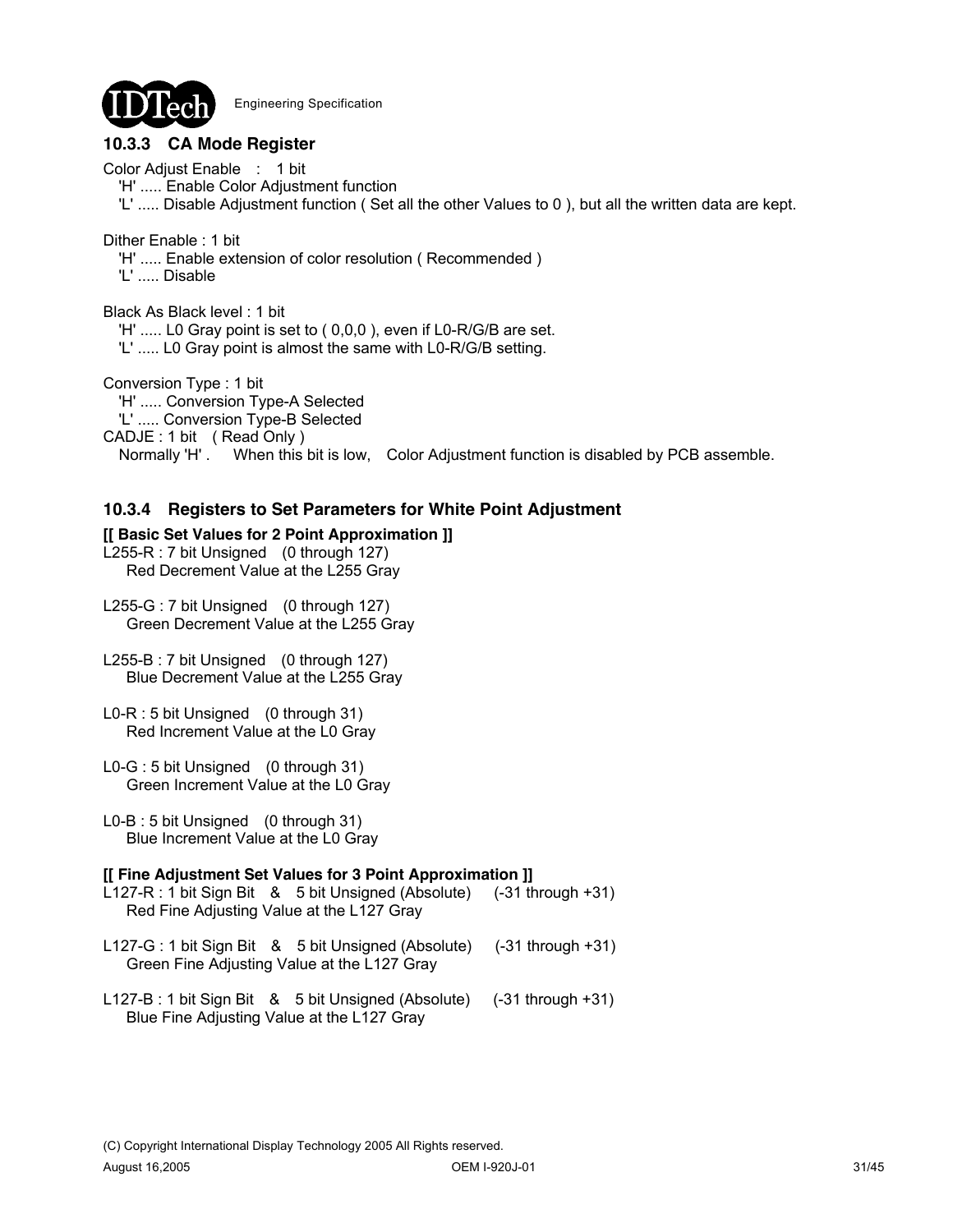

# **10.3.3 CA Mode Register**

Color Adjust Enable : 1 bit

'H' ..... Enable Color Adjustment function

'L' ..... Disable Adjustment function (Set all the other Values to 0), but all the written data are kept.

Dither Enable : 1 bit

- 'H' ..... Enable extension of color resolution ( Recommended )
- 'L' ..... Disable

Black As Black level : 1 bit 'H' ..... L0 Gray point is set to ( 0,0,0 ), even if L0-R/G/B are set. 'L' ..... L0 Gray point is almost the same with L0-R/G/B setting.

Conversion Type : 1 bit 'H' ..... Conversion Type-A Selected

'L' ..... Conversion Type-B Selected

CADJE : 1 bit ( Read Only )

Normally 'H' . When this bit is low, Color Adjustment function is disabled by PCB assemble.

## **10.3.4 Registers to Set Parameters for White Point Adjustment**

## **[[ Basic Set Values for 2 Point Approximation ]]**

L255-R : 7 bit Unsigned (0 through 127) Red Decrement Value at the L255 Gray

L255-G : 7 bit Unsigned (0 through 127) Green Decrement Value at the L255 Gray

- L255-B : 7 bit Unsigned (0 through 127) Blue Decrement Value at the L255 Gray
- L0-R : 5 bit Unsigned (0 through 31) Red Increment Value at the L0 Gray
- L0-G : 5 bit Unsigned (0 through 31) Green Increment Value at the L0 Gray
- L0-B : 5 bit Unsigned (0 through 31) Blue Increment Value at the L0 Gray

### **[[ Fine Adjustment Set Values for 3 Point Approximation ]]**

- L127-R : 1 bit Sign Bit & 5 bit Unsigned (Absolute) (-31 through +31) Red Fine Adjusting Value at the L127 Gray
- L127-G : 1 bit Sign Bit & 5 bit Unsigned (Absolute) (-31 through +31) Green Fine Adjusting Value at the L127 Gray
- L127-B : 1 bit Sign Bit & 5 bit Unsigned (Absolute) (-31 through +31) Blue Fine Adjusting Value at the L127 Gray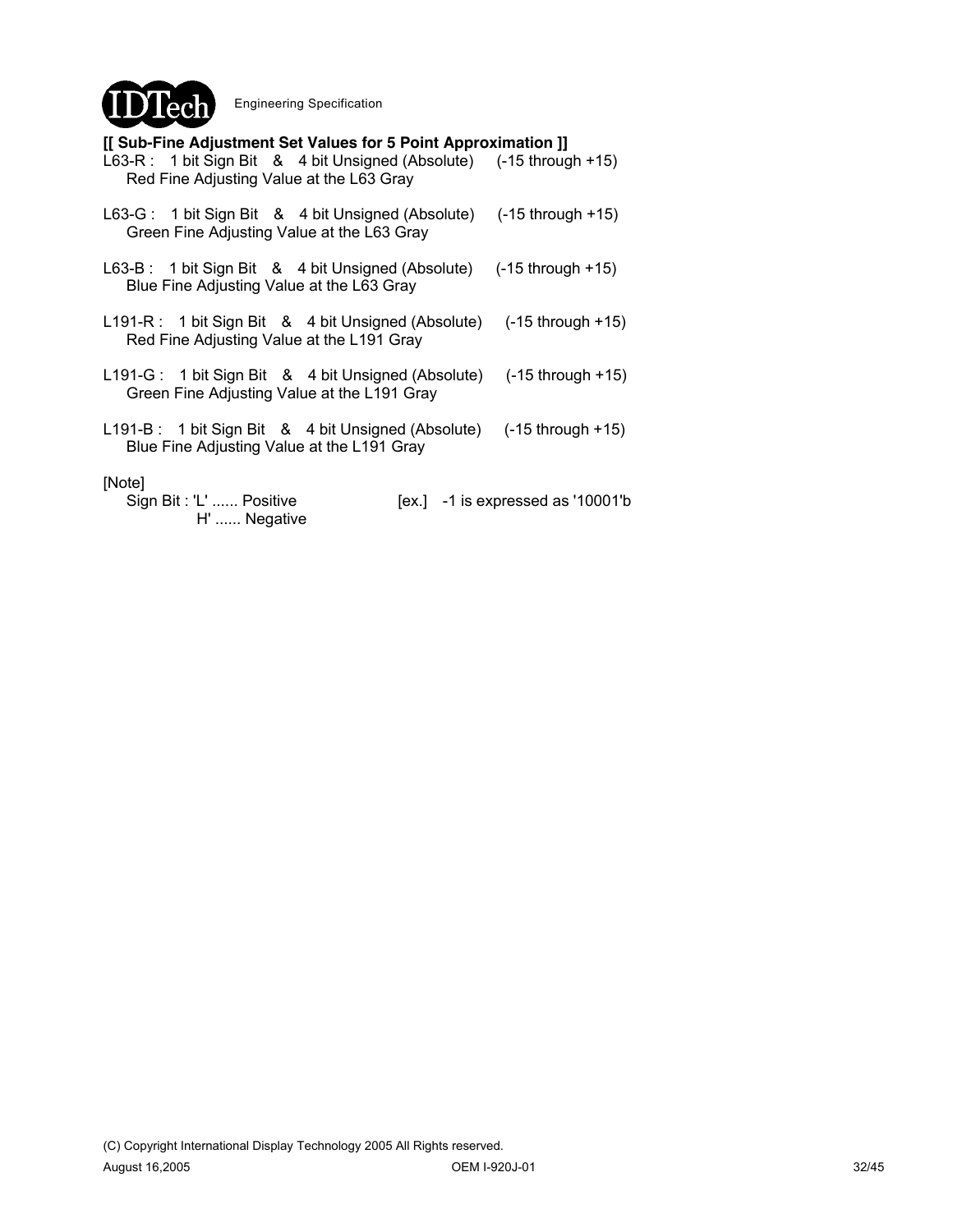

### **[[ Sub-Fine Adjustment Set Values for 5 Point Approximation ]]**

| L63-R: 1 bit Sign Bit & 4 bit Unsigned (Absolute) (-15 through +15)<br>Red Fine Adjusting Value at the L63 Gray     |                                     |
|---------------------------------------------------------------------------------------------------------------------|-------------------------------------|
| L63-G: 1 bit Sign Bit & 4 bit Unsigned (Absolute) (-15 through +15)<br>Green Fine Adjusting Value at the L63 Gray   |                                     |
| L63-B: 1 bit Sign Bit & 4 bit Unsigned (Absolute) (-15 through +15)<br>Blue Fine Adjusting Value at the L63 Gray    |                                     |
| L191-R: 1 bit Sign Bit & 4 bit Unsigned (Absolute) (-15 through +15)<br>Red Fine Adjusting Value at the L191 Gray   |                                     |
| L191-G: 1 bit Sign Bit & 4 bit Unsigned (Absolute) (-15 through +15)<br>Green Fine Adjusting Value at the L191 Gray |                                     |
| L191-B: 1 bit Sign Bit & 4 bit Unsigned (Absolute) (-15 through +15)<br>Blue Fine Adjusting Value at the L191 Gray  |                                     |
| [Note]<br>Sign Bit: 'L'  Positive<br>H'  Negative                                                                   | $[ex.]$ -1 is expressed as '10001'b |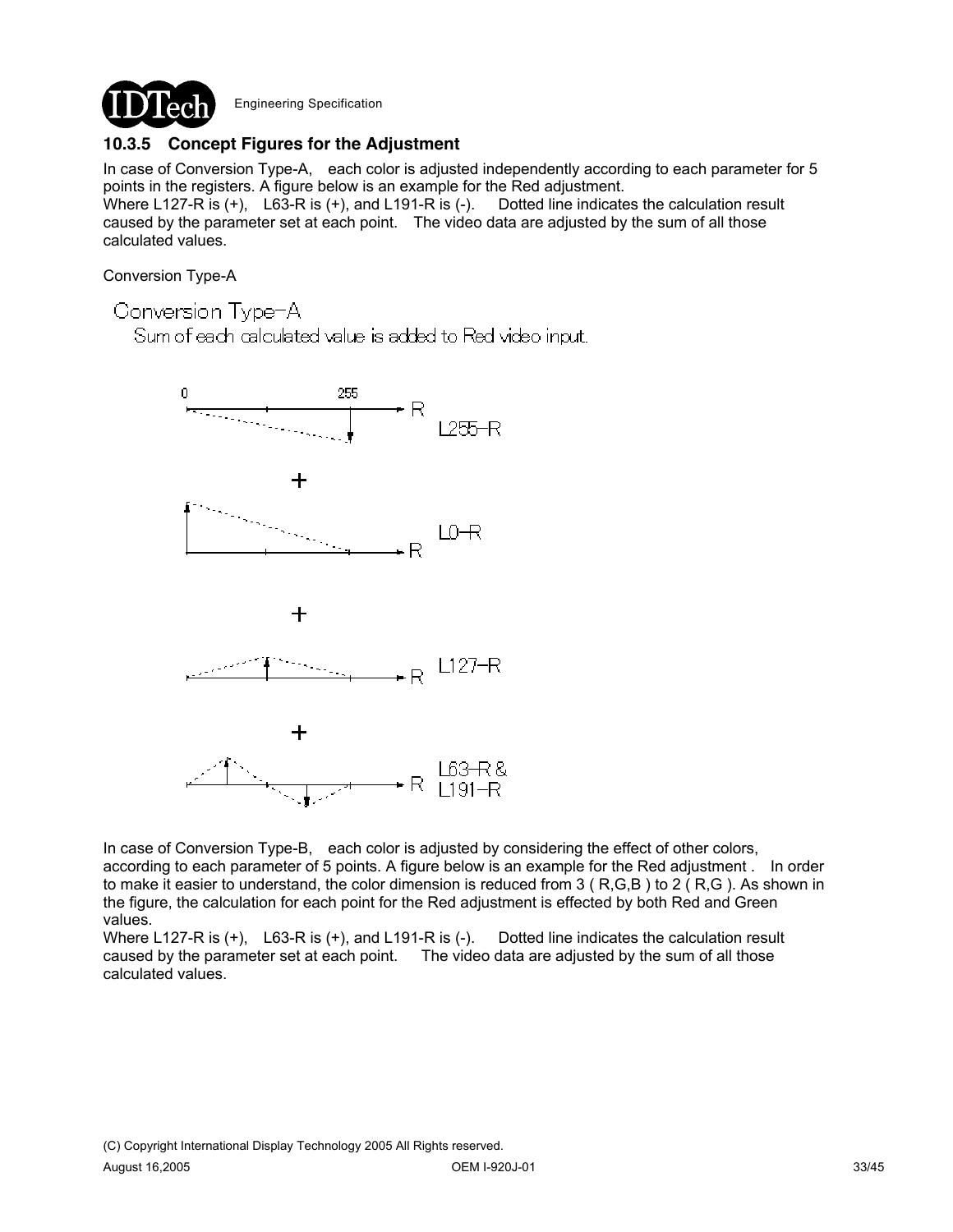

## **10.3.5 Concept Figures for the Adjustment**

In case of Conversion Type-A, each color is adjusted independently according to each parameter for 5 points in the registers. A figure below is an example for the Red adjustment. Where L127-R is (+), L63-R is (+), and L191-R is (-). Dotted line indicates the calculation result caused by the parameter set at each point. The video data are adjusted by the sum of all those calculated values.

Conversion Type-A

Conversion Type-A

Sum of each calculated value is added to Red video input.



In case of Conversion Type-B, each color is adjusted by considering the effect of other colors, according to each parameter of 5 points. A figure below is an example for the Red adjustment . In order to make it easier to understand, the color dimension is reduced from 3 (R,G,B) to 2 (R,G). As shown in the figure, the calculation for each point for the Red adjustment is effected by both Red and Green values.

Where L127-R is (+), L63-R is (+), and L191-R is (-). Dotted line indicates the calculation result caused by the parameter set at each point. The video data are adjusted by the sum of all those calculated values.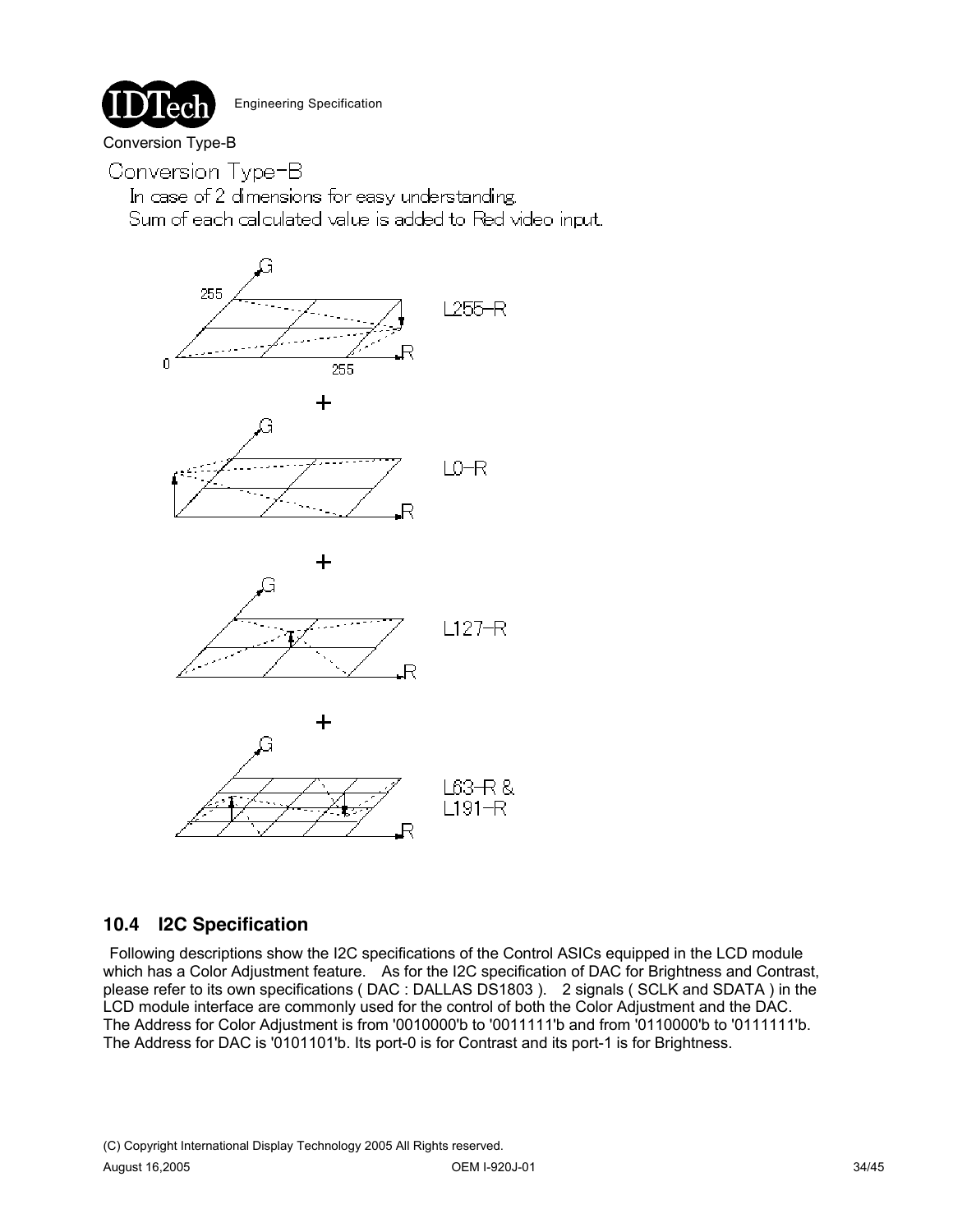## Conversion Type-B

Conversion Type-B

In case of 2 dimensions for easy understanding. Sum of each calculated value is added to Red video input.



## **10.4 I2C Specification**

Following descriptions show the I2C specifications of the Control ASICs equipped in the LCD module which has a Color Adjustment feature. As for the I2C specification of DAC for Brightness and Contrast, please refer to its own specifications ( DAC : DALLAS DS1803 ). 2 signals ( SCLK and SDATA ) in the LCD module interface are commonly used for the control of both the Color Adjustment and the DAC. The Address for Color Adjustment is from '0010000'b to '0011111'b and from '0110000'b to '0111111'b. The Address for DAC is '0101101'b. Its port-0 is for Contrast and its port-1 is for Brightness.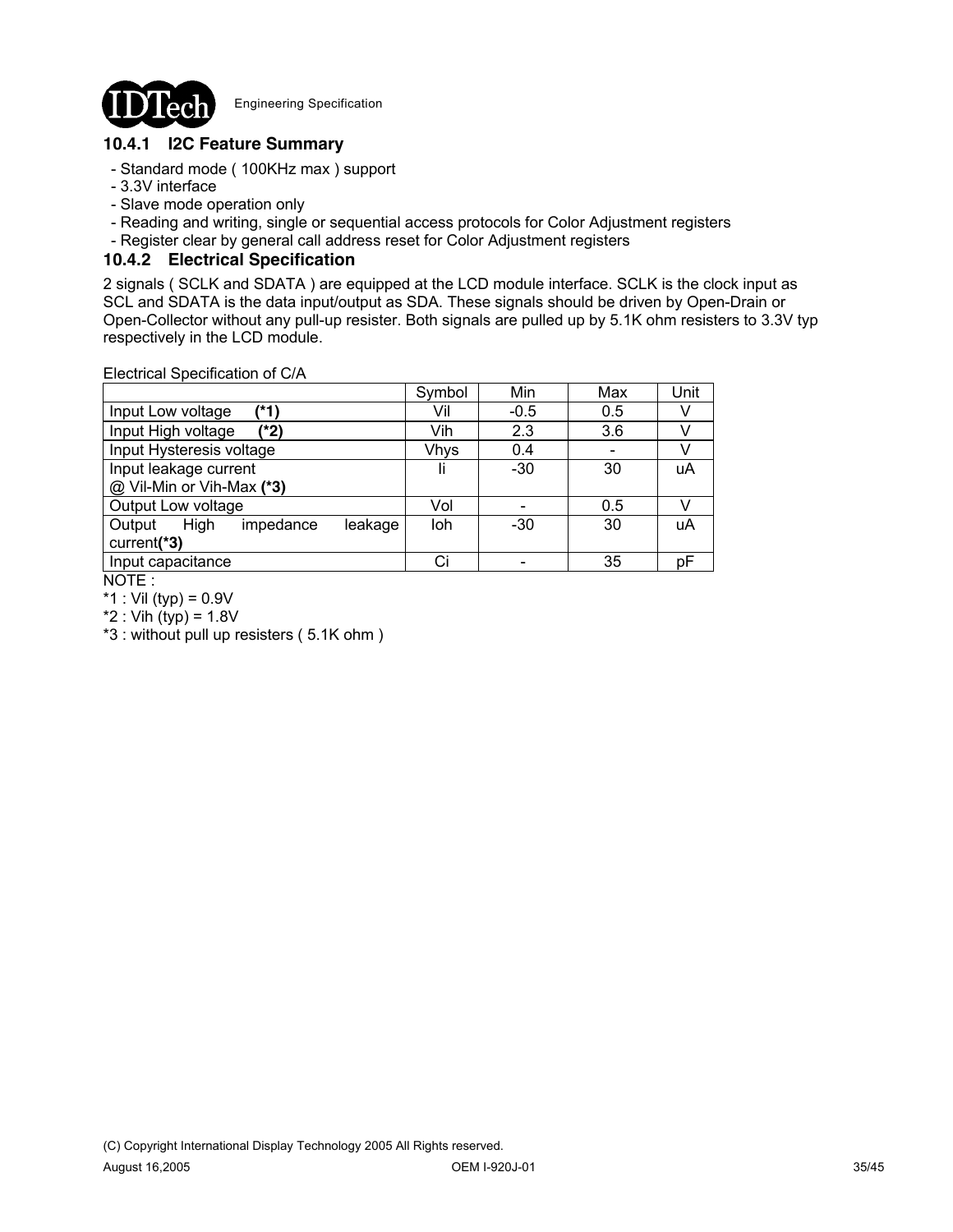

### **10.4.1 I2C Feature Summary**

- Standard mode ( 100KHz max ) support
- 3.3V interface
- Slave mode operation only
- Reading and writing, single or sequential access protocols for Color Adjustment registers
- Register clear by general call address reset for Color Adjustment registers

### **10.4.2 Electrical Specification**

2 signals ( SCLK and SDATA ) are equipped at the LCD module interface. SCLK is the clock input as SCL and SDATA is the data input/output as SDA. These signals should be driven by Open-Drain or Open-Collector without any pull-up resister. Both signals are pulled up by 5.1K ohm resisters to 3.3V typ respectively in the LCD module.

Electrical Specification of C/A

| Electrical Specification of C/A        |             |        |     |      |
|----------------------------------------|-------------|--------|-----|------|
|                                        | Symbol      | Min    | Max | Unit |
| (*1)<br>Input Low voltage              | Vil         | $-0.5$ | 0.5 |      |
| Input High voltage<br>(*2)             | Vih         | 2.3    | 3.6 |      |
| Input Hysteresis voltage               | <b>Vhys</b> | 0.4    |     |      |
| Input leakage current                  | Ιi          | $-30$  | 30  | uA   |
| @ Vil-Min or Vih-Max (*3)              |             |        |     |      |
| Output Low voltage                     | Vol         |        | 0.5 |      |
| High<br>Output<br>impedance<br>leakage | loh         | $-30$  | 30  | uA   |
| current(*3)                            |             |        |     |      |
| Input capacitance                      | Ci          |        | 35  | рF   |
| $\cdots$                               |             |        |     |      |

NOTE :

\*1 : Vil (typ) =  $0.9V$ 

 $*2$  : Vih (typ) = 1.8V

\*3 : without pull up resisters ( 5.1K ohm )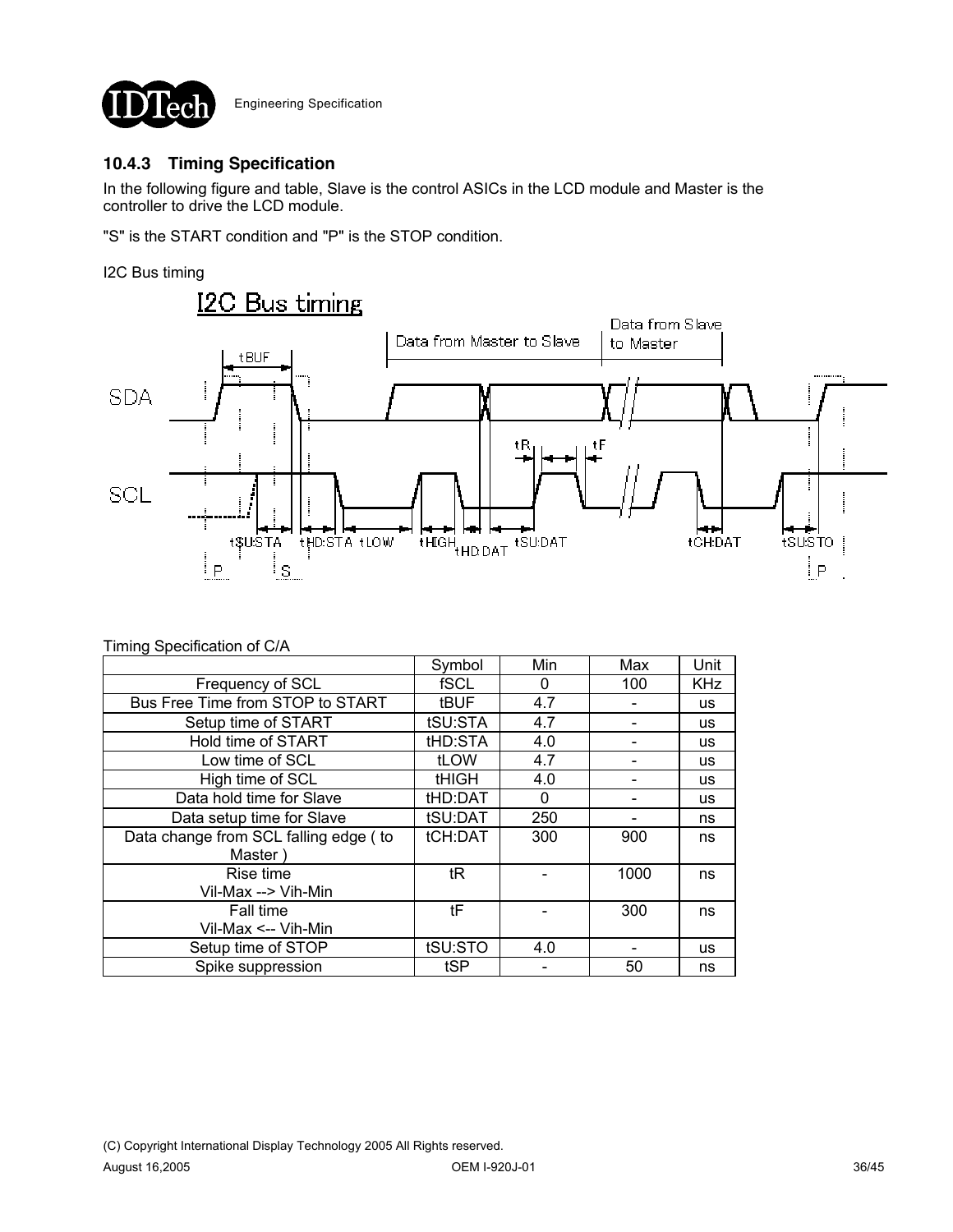

# **10.4.3 Timing Specification**

In the following figure and table, Slave is the control ASICs in the LCD module and Master is the controller to drive the LCD module.

"S" is the START condition and "P" is the STOP condition.

#### I2C Bus timing



### Timing Specification of C/A

|                                       | Symbol       | Min | Max  | Unit       |
|---------------------------------------|--------------|-----|------|------------|
| Frequency of SCL                      | fSCL         | 0   | 100  | <b>KHz</b> |
| Bus Free Time from STOP to START      | <b>tBUF</b>  | 4.7 |      | <b>us</b>  |
| Setup time of START                   | tSU:STA      | 4.7 |      | <b>us</b>  |
| Hold time of START                    | tHD:STA      | 4.0 |      | <b>us</b>  |
| Low time of SCL                       | tLOW         | 4.7 |      | <b>us</b>  |
| High time of SCL                      | <b>tHIGH</b> | 4.0 |      | <b>us</b>  |
| Data hold time for Slave              | tHD:DAT      | 0   |      | <b>us</b>  |
| Data setup time for Slave             | tSU:DAT      | 250 |      | ns         |
| Data change from SCL falling edge (to | tCH:DAT      | 300 | 900  | ns         |
| Master)                               |              |     |      |            |
| Rise time                             | tR           |     | 1000 | ns         |
| Vil-Max --> Vih-Min                   |              |     |      |            |
| Fall time                             | tF           |     | 300  | ns         |
| Vil-Max <-- Vih-Min                   |              |     |      |            |
| Setup time of STOP                    | tSU:STO      | 4.0 |      | us         |
| Spike suppression                     | tSP          |     | 50   | ns         |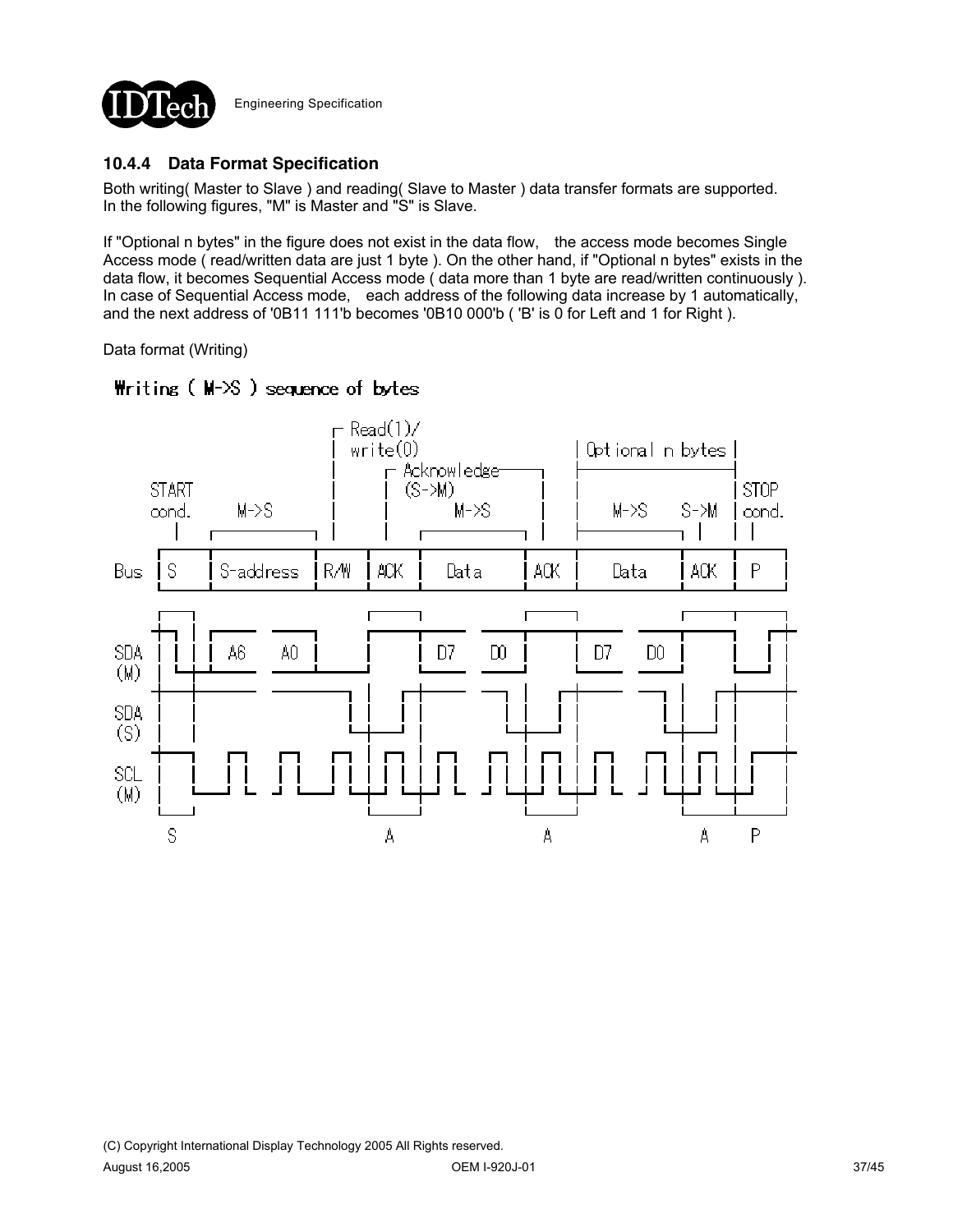

## **10.4.4 Data Format Specification**

Both writing( Master to Slave ) and reading( Slave to Master ) data transfer formats are supported. In the following figures, "M" is Master and "S" is Slave.

If "Optional n bytes" in the figure does not exist in the data flow, the access mode becomes Single Access mode ( read/written data are just 1 byte ). On the other hand, if "Optional n bytes" exists in the data flow, it becomes Sequential Access mode ( data more than 1 byte are read/written continuously ). In case of Sequential Access mode, each address of the following data increase by 1 automatically, and the next address of '0B11 111'b becomes '0B10 000'b ( 'B' is 0 for Left and 1 for Right ).

Data format (Writing)



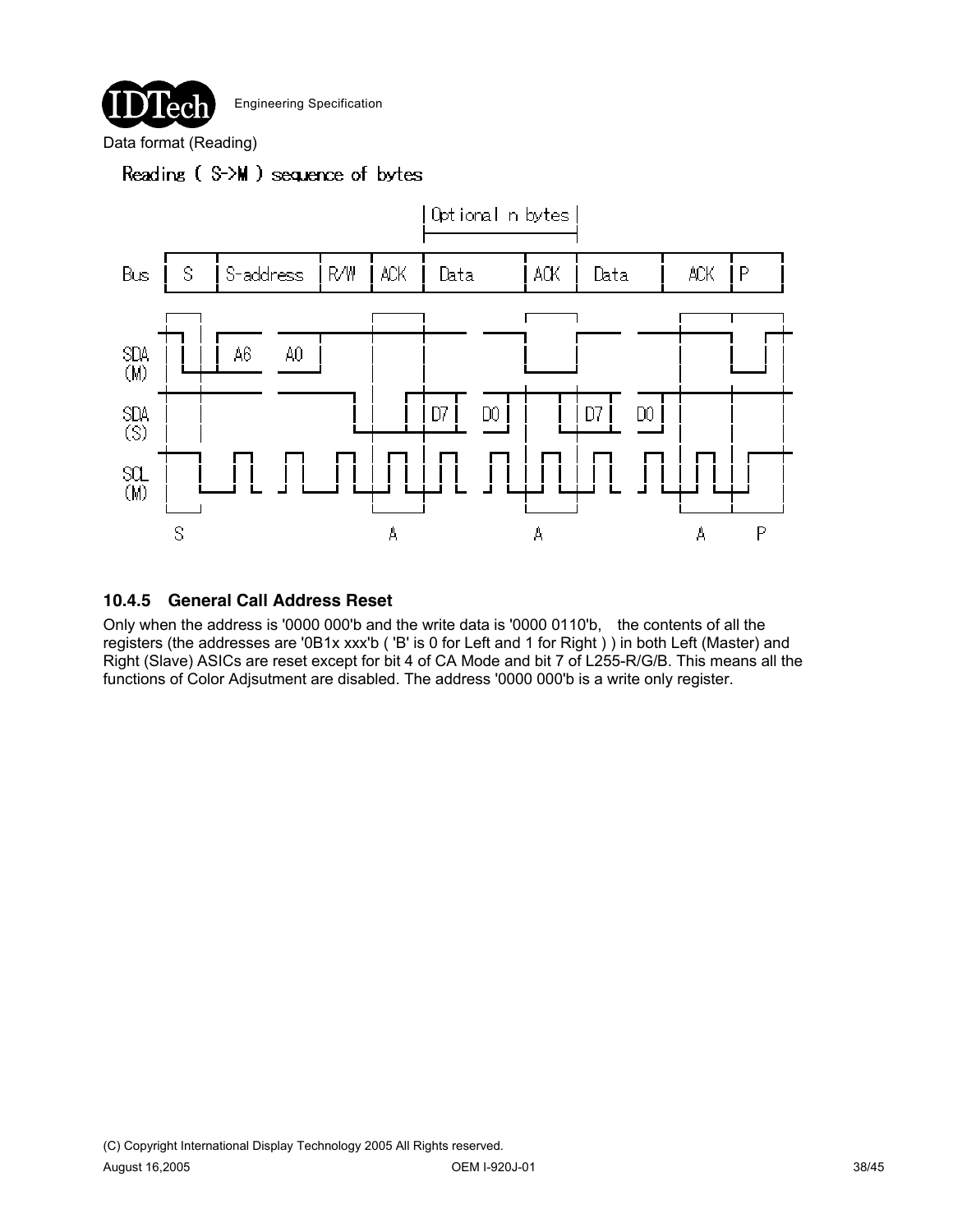

Data format (Reading)

# Reading (S->M) sequence of bytes



### **10.4.5 General Call Address Reset**

Only when the address is '0000 000'b and the write data is '0000 0110'b, the contents of all the registers (the addresses are '0B1x xxx'b ( 'B' is 0 for Left and 1 for Right ) ) in both Left (Master) and Right (Slave) ASICs are reset except for bit 4 of CA Mode and bit 7 of L255-R/G/B. This means all the functions of Color Adjsutment are disabled. The address '0000 000'b is a write only register.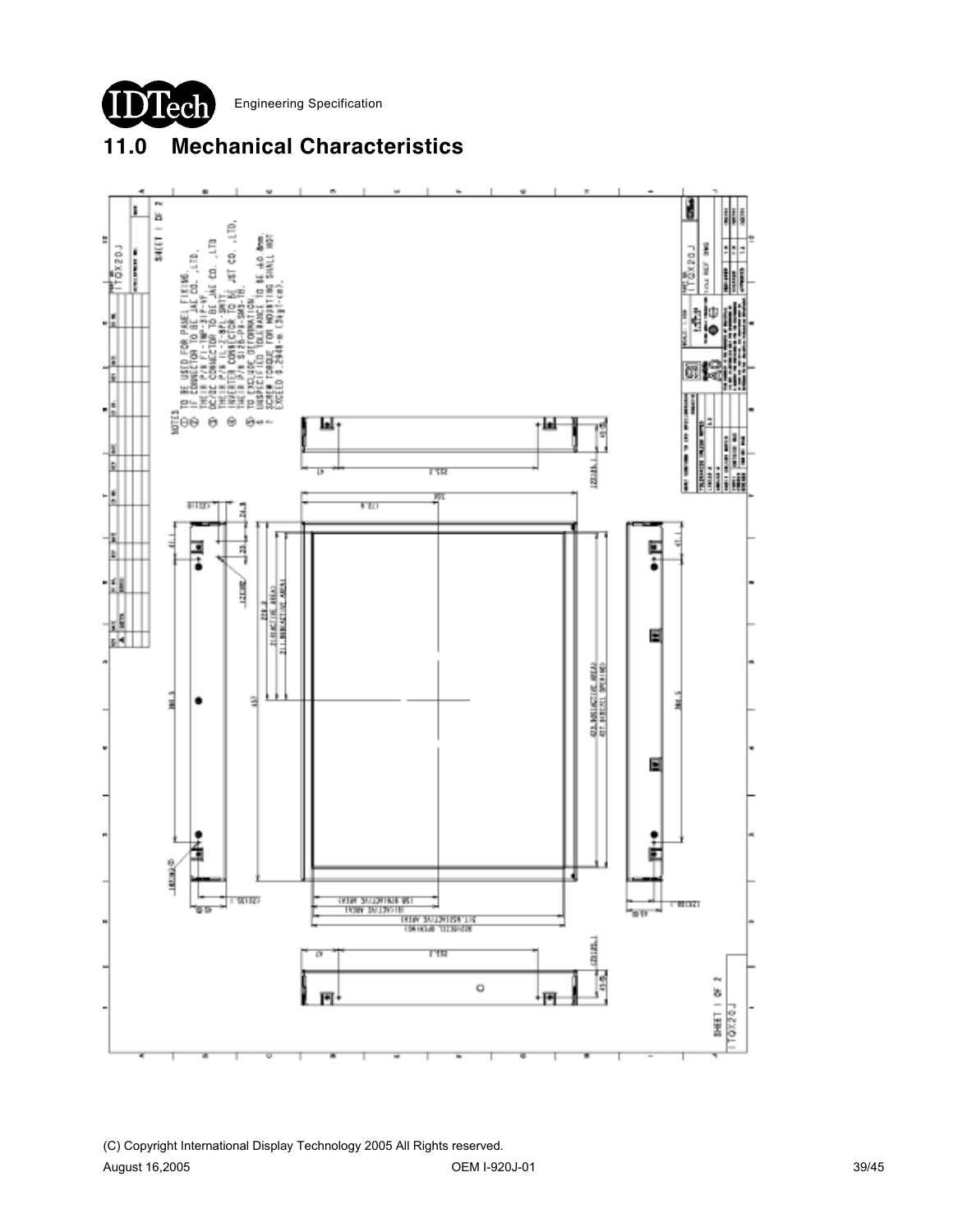

# **11.0 Mechanical Characteristics**

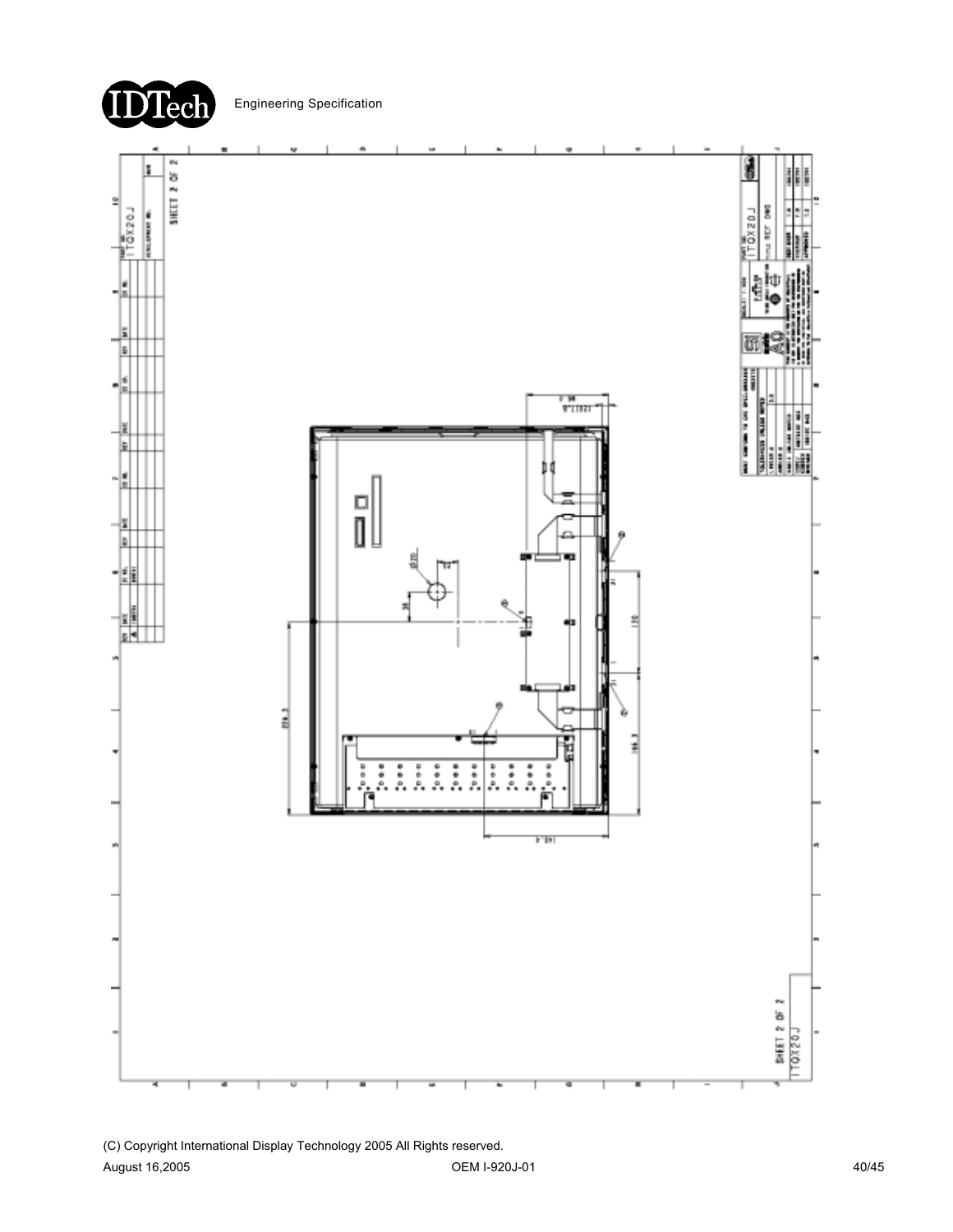

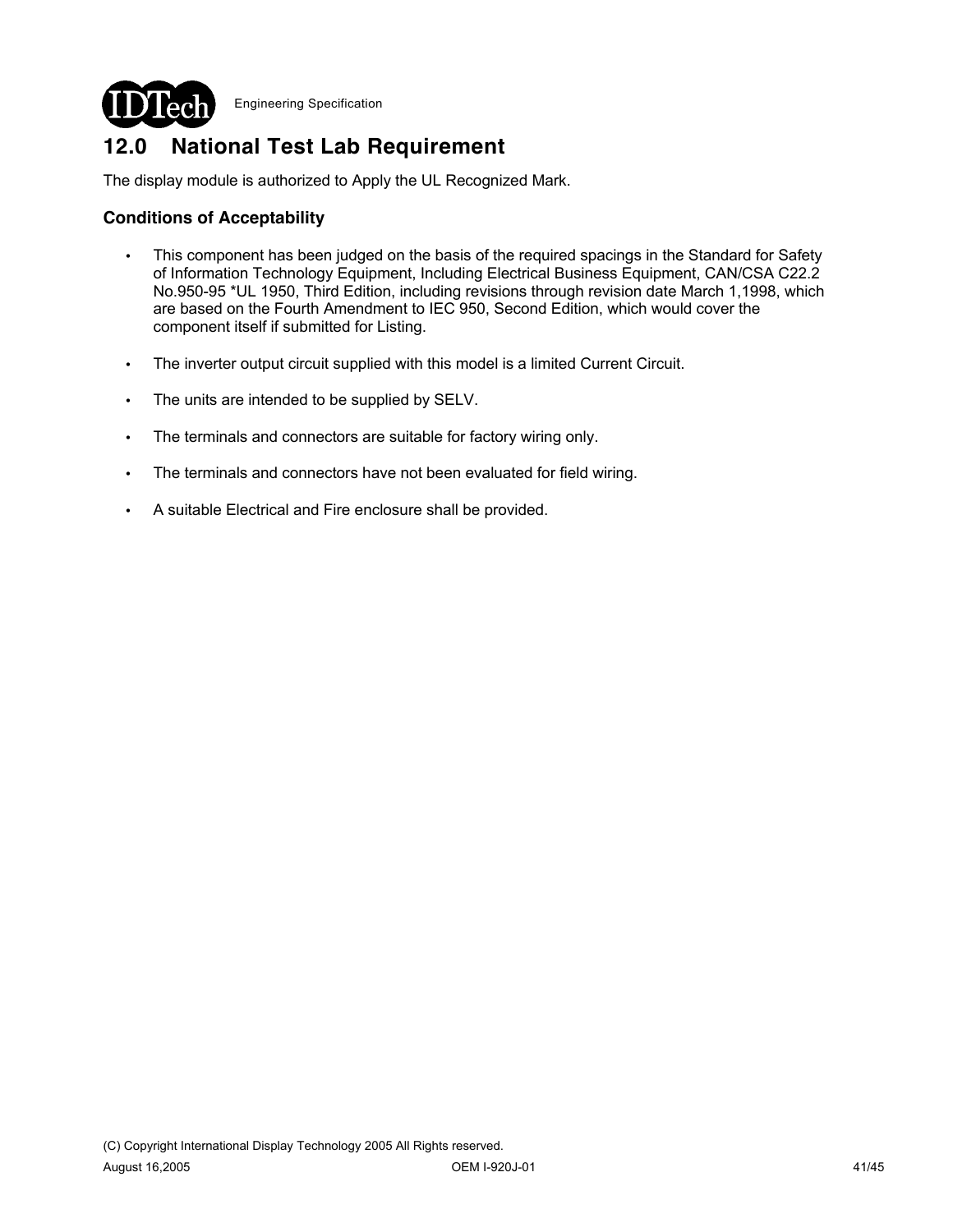

# **12.0 National Test Lab Requirement**

The display module is authorized to Apply the UL Recognized Mark.

## **Conditions of Acceptability**

- This component has been judged on the basis of the required spacings in the Standard for Safety of Information Technology Equipment, Including Electrical Business Equipment, CAN/CSA C22.2 No.950-95 \*UL 1950, Third Edition, including revisions through revision date March 1,1998, which are based on the Fourth Amendment to IEC 950, Second Edition, which would cover the component itself if submitted for Listing.
- The inverter output circuit supplied with this model is a limited Current Circuit.
- The units are intended to be supplied by SELV.
- The terminals and connectors are suitable for factory wiring only.
- The terminals and connectors have not been evaluated for field wiring.
- A suitable Electrical and Fire enclosure shall be provided.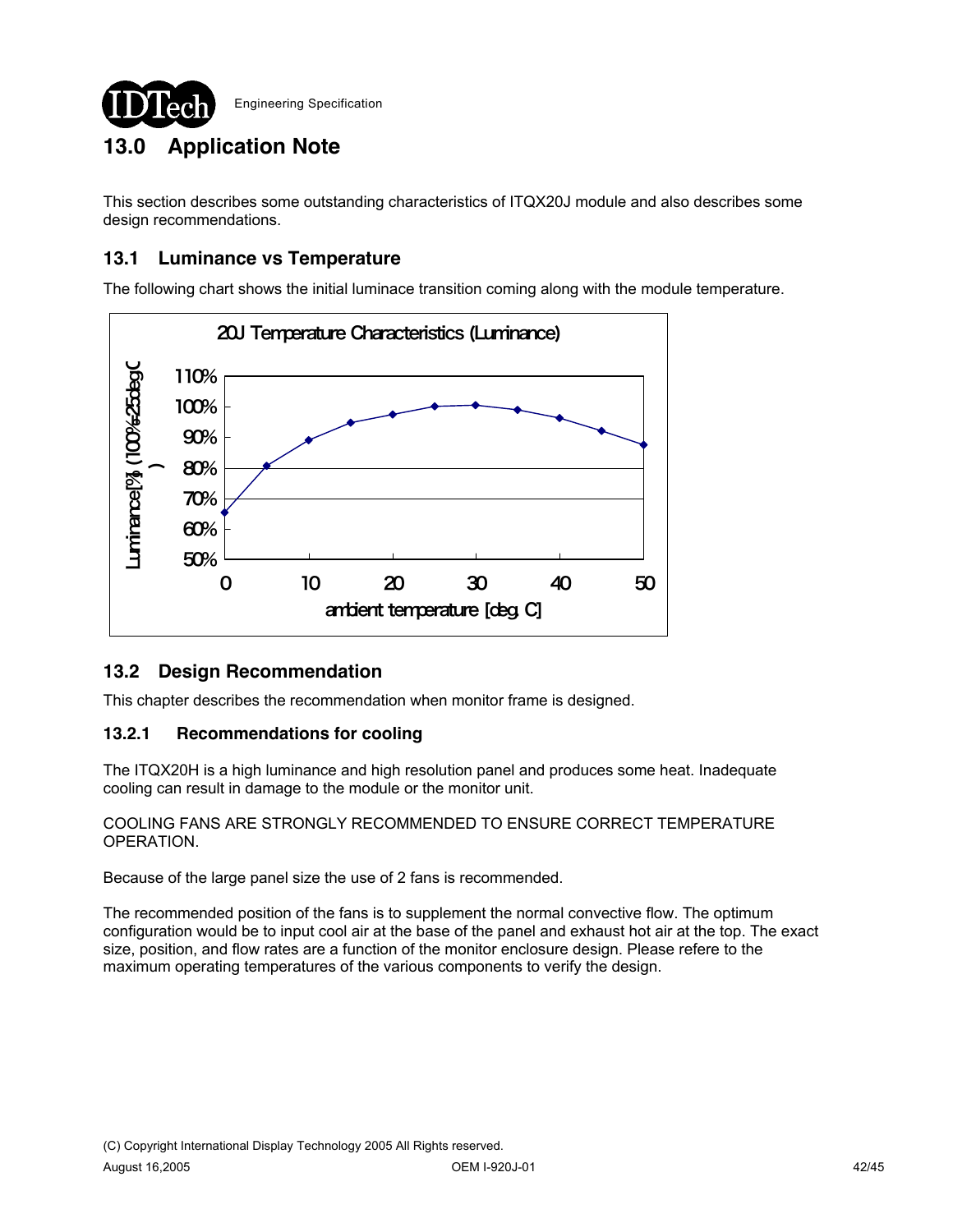

# **13.0 Application Note**

This section describes some outstanding characteristics of ITQX20J module and also describes some design recommendations.

## **13.1 Luminance vs Temperature**

The following chart shows the initial luminace transition coming along with the module temperature.



## **13.2 Design Recommendation**

This chapter describes the recommendation when monitor frame is designed.

### **13.2.1 Recommendations for cooling**

The ITQX20H is a high luminance and high resolution panel and produces some heat. Inadequate cooling can result in damage to the module or the monitor unit.

COOLING FANS ARE STRONGLY RECOMMENDED TO ENSURE CORRECT TEMPERATURE OPERATION.

Because of the large panel size the use of 2 fans is recommended.

The recommended position of the fans is to supplement the normal convective flow. The optimum configuration would be to input cool air at the base of the panel and exhaust hot air at the top. The exact size, position, and flow rates are a function of the monitor enclosure design. Please refere to the maximum operating temperatures of the various components to verify the design.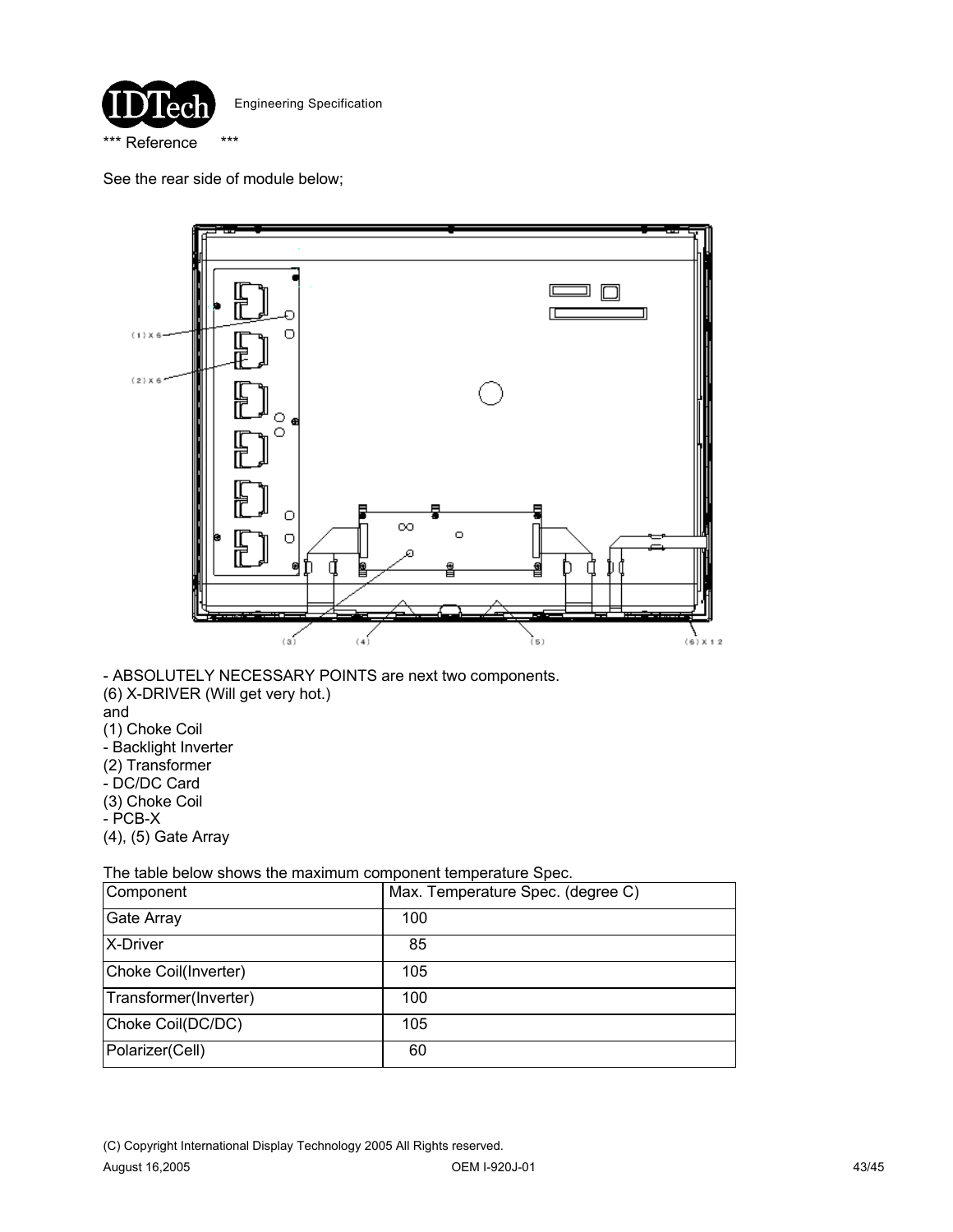

See the rear side of module below;



- ABSOLUTELY NECESSARY POINTS are next two components. (6) X-DRIVER (Will get very hot.) and (1) Choke Coil - Backlight Inverter (2) Transformer - DC/DC Card (3) Choke Coil - PCB-X (4), (5) Gate Array

The table below shows the maximum component temperature Spec.

| Component             | Max. Temperature Spec. (degree C) |
|-----------------------|-----------------------------------|
| <b>Gate Array</b>     | 100                               |
| <b>X-Driver</b>       | 85                                |
| Choke Coil(Inverter)  | 105                               |
| Transformer(Inverter) | 100                               |
| Choke Coil(DC/DC)     | 105                               |
| Polarizer(Cell)       | 60                                |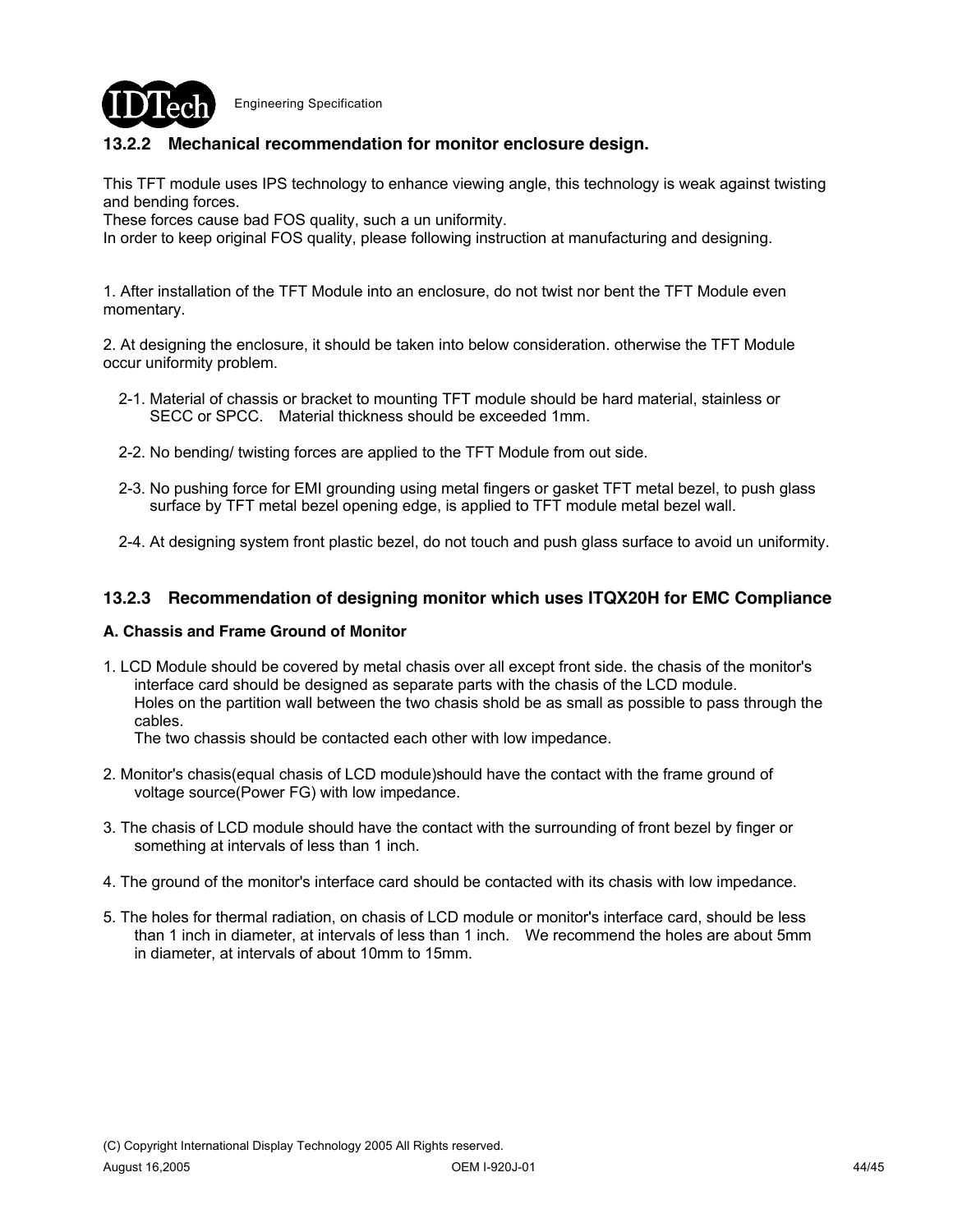

### **13.2.2 Mechanical recommendation for monitor enclosure design.**

This TFT module uses IPS technology to enhance viewing angle, this technology is weak against twisting and bending forces.

These forces cause bad FOS quality, such a un uniformity.

In order to keep original FOS quality, please following instruction at manufacturing and designing.

1. After installation of the TFT Module into an enclosure, do not twist nor bent the TFT Module even momentary.

2. At designing the enclosure, it should be taken into below consideration. otherwise the TFT Module occur uniformity problem.

- 2-1. Material of chassis or bracket to mounting TFT module should be hard material, stainless or SECC or SPCC. Material thickness should be exceeded 1mm.
- 2-2. No bending/ twisting forces are applied to the TFT Module from out side.
- 2-3. No pushing force for EMI grounding using metal fingers or gasket TFT metal bezel, to push glass surface by TFT metal bezel opening edge, is applied to TFT module metal bezel wall.
- 2-4. At designing system front plastic bezel, do not touch and push glass surface to avoid un uniformity.

#### **13.2.3 Recommendation of designing monitor which uses ITQX20H for EMC Compliance**

#### **A. Chassis and Frame Ground of Monitor**

1. LCD Module should be covered by metal chasis over all except front side. the chasis of the monitor's interface card should be designed as separate parts with the chasis of the LCD module. Holes on the partition wall between the two chasis shold be as small as possible to pass through the cables.

The two chassis should be contacted each other with low impedance.

- 2. Monitor's chasis(equal chasis of LCD module)should have the contact with the frame ground of voltage source(Power FG) with low impedance.
- 3. The chasis of LCD module should have the contact with the surrounding of front bezel by finger or something at intervals of less than 1 inch.
- 4. The ground of the monitor's interface card should be contacted with its chasis with low impedance.
- 5. The holes for thermal radiation, on chasis of LCD module or monitor's interface card, should be less than 1 inch in diameter, at intervals of less than 1 inch. We recommend the holes are about 5mm in diameter, at intervals of about 10mm to 15mm.